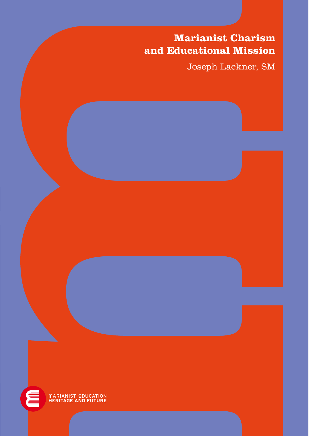# **Marianist Charism and Educational Mission**

Joseph Lackner, SM

MARIANIST EDUCATION<br>**HERITAGE AND FUTURE**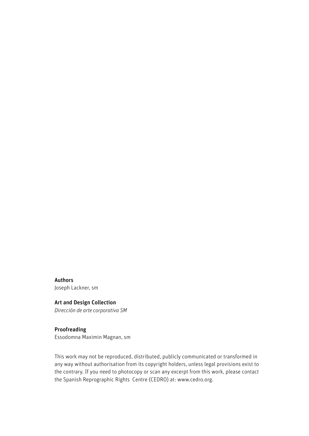Authors Joseph Lackner, sm

#### Art and Design Collection

Dirección de arte corporativa SM

#### Proofreading

Essodomna Maximin Magnan, sm

This work may not be reproduced, distributed, publicly communicated or transformed in any way without authorisation from its copyright holders, unless legal provisions exist to the contrary. If you need to photocopy or scan any excerpt from this work, please contact the Spanish Reprographic Rights Centre (CEDRO) at: www.cedro.org.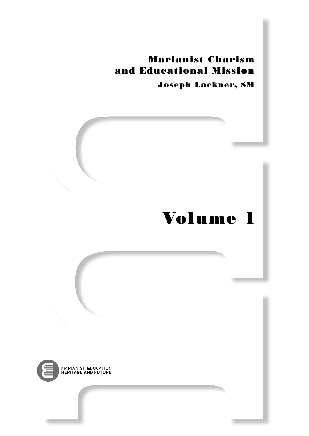# Marianist Charism and Educational Mission Joseph Lackner, SM

# Volume 1

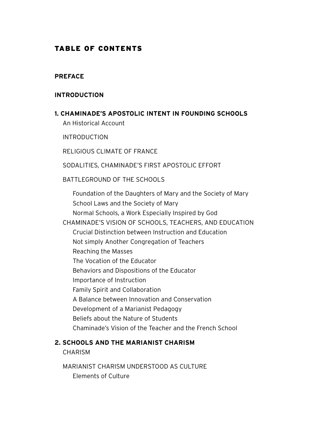## TABLE OF CONTENTS

#### **PREFACE**

#### **INTRODUCTION**

- **1. CHAMINADE'S APOSTOLIC INTENT IN FOUNDING SCHOOLS** An Historical Account
	- INTRODUCTION
	- RELIGIOUS CLIMATE OF FRANCE
	- SODALITIES, CHAMINADE'S FIRST APOSTOLIC EFFORT
	- BATTLEGROUND OF THE SCHOOLS

Foundation of the Daughters of Mary and the Society of Mary School Laws and the Society of Mary Normal Schools, a Work Especially Inspired by God CHAMINADE'S VISION OF SCHOOLS, TEACHERS, AND EDUCATION Crucial Distinction between Instruction and Education Not simply Another Congregation of Teachers Reaching the Masses The Vocation of the Educator Behaviors and Dispositions of the Educator Importance of Instruction Family Spirit and Collaboration A Balance between Innovation and Conservation Development of a Marianist Pedagogy Beliefs about the Nature of Students Chaminade's Vision of the Teacher and the French School

#### **2. SCHOOLS AND THE MARIANIST CHARISM**

**CHARISM** 

MARIANIST CHARISM UNDERSTOOD AS CULTURE Elements of Culture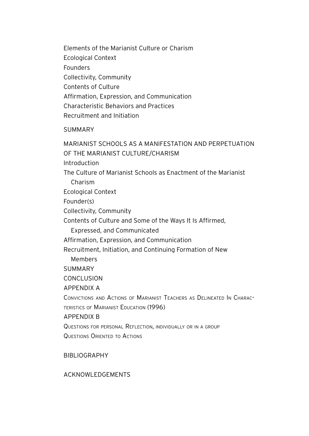Elements of the Marianist Culture or Charism Ecological Context Founders Collectivity, Community Contents of Culture Affirmation, Expression, and Communication Characteristic Behaviors and Practices Recruitment and Initiation

#### SUMMARY

MARIANIST SCHOOLS AS A MANIFESTATION AND PERPETUATION OF THE MARIANIST CULTURE/CHARISM Introduction The Culture of Marianist Schools as Enactment of the Marianist Charism Ecological Context Founder(s) Collectivity, Community Contents of Culture and Some of the Ways It Is Affirmed, Expressed, and Communicated Affirmation, Expression, and Communication Recruitment, Initiation, and Continuing Formation of New Members SUMMARY **CONCLUSION** APPENDIX A CONVICTIONS AND ACTIONS OF MARIANIST TEACHERS AS DELINEATED IN CHARAC-TERISTICS OF MARIANIST EDUCATION (1996) APPENDIX B QUESTIONS FOR PERSONAL REFLECTION, INDIVIDUALLY OR IN <sup>A</sup> GROUP QUESTIONS ORIENTED TO ACTIONS

#### BIBLIOGRAPHY

#### ACKNOWLEDGEMENTS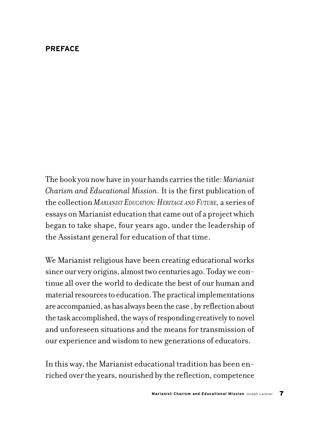## **PREFACE**

The book you now have in your hands carries the title: *Marianist Charism and Educational Mission.* It is the first publication of the collection *MARIANIST EDUCATION: HERITAGE AND FUTURE,* a series of essays on Marianist education that came out of a project which began to take shape, four years ago, under the leadership of the Assistant general for education of that time.

We Marianist religious have been creating educational works since our very origins, almost two centuries ago. Today we continue all over the world to dedicate the best of our human and material resources to education. The practical implementations are accompanied, as has always been the case , by reflection about the task accomplished, the ways of responding creatively to novel and unforeseen situations and the means for transmission of our experience and wisdom to new generations of educators.

In this way, the Marianist educational tradition has been enriched over the years, nourished by the reflection, competence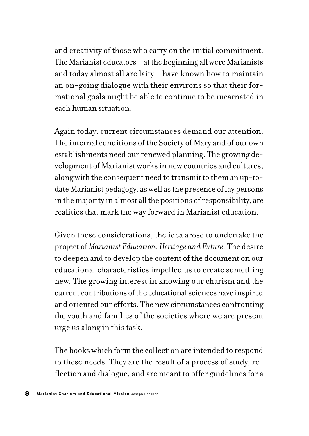and creativity of those who carry on the initial commitment. The Marianist educators – at the beginning all were Marianists and today almost all are laity – have known how to maintain an on-going dialogue with their environs so that their formational goals might be able to continue to be incarnated in each human situation.

Again today, current circumstances demand our attention. The internal conditions of the Society of Mary and of our own establishments need our renewed planning. The growing development of Marianist works in new countries and cultures, along with the consequent need to transmit to them an up-todate Marianist pedagogy, as well as the presence of lay persons in the majority in almost all the positions of responsibility, are realities that mark the way forward in Marianist education.

Given these considerations, the idea arose to undertake the project of *Marianist Education: Heritage and Future.* The desire to deepen and to develop the content of the document on our educational characteristics impelled us to create something new. The growing interest in knowing our charism and the current contributions of the educational sciences have inspired and oriented our efforts. The new circumstances confronting the youth and families of the societies where we are present urge us along in this task.

The books which form the collection are intended to respond to these needs. They are the result of a process of study, reflection and dialogue, and are meant to offer guidelines for a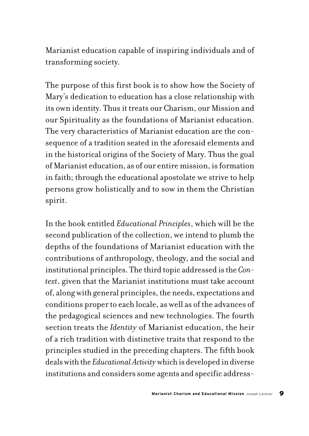Marianist education capable of inspiring individuals and of transforming society.

The purpose of this first book is to show how the Society of Mary's dedication to education has a close relationship with its own identity. Thus it treats our Charism, our Mission and our Spirituality as the foundations of Marianist education. The very characteristics of Marianist education are the consequence of a tradition seated in the aforesaid elements and in the historical origins of the Society of Mary. Thus the goal of Marianist education, as of our entire mission, is formation in faith; through the educational apostolate we strive to help persons grow holistically and to sow in them the Christian spirit.

In the book entitled *Educational Principles*, which will be the second publication of the collection, we intend to plumb the depths of the foundations of Marianist education with the contributions of anthropology, theology, and the social and institutional principles. The third topic addressed is the *Context*, given that the Marianist institutions must take account of, along with general principles, the needs, expectations and conditions proper to each locale, as well as of the advances of the pedagogical sciences and new technologies. The fourth section treats the *Identity* of Marianist education, the heir of a rich tradition with distinctive traits that respond to the principles studied in the preceding chapters. The fifth book deals with the *Educational Activity* which is developed in diverse institutions and considers some agents and specific address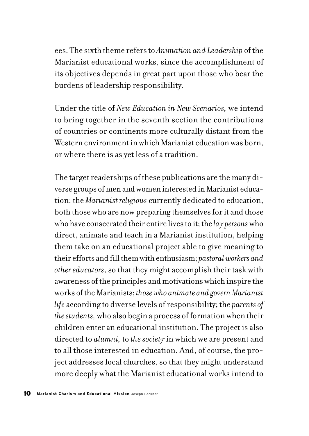ees. The sixth theme refers to *Animation and Leadership* of the Marianist educational works, since the accomplishment of its objectives depends in great part upon those who bear the burdens of leadership responsibility.

Under the title of *New Education in New Scenarios,* we intend to bring together in the seventh section the contributions of countries or continents more culturally distant from the Western environment in which Marianist education was born, or where there is as yet less of a tradition.

The target readerships of these publications are the many diverse groups of men and women interested in Marianist education: the *Marianist religious* currently dedicated to education, both those who are now preparing themselves for it and those who have consecrated their entire lives to it; the *lay persons* who direct, animate and teach in a Marianist institution, helping them take on an educational project able to give meaning to their efforts and fill them with enthusiasm; *pastoral workers and other educators*, so that they might accomplish their task with awareness of the principles and motivations which inspire the works of the Marianists; *those who animate and govern Marianist life* according to diverse levels of responsibility; the *parents of the students,* who also begin a process of formation when their children enter an educational institution. The project is also directed to *alumni,* to *the society* in which we are present and to all those interested in education. And, of course, the project addresses local churches, so that they might understand more deeply what the Marianist educational works intend to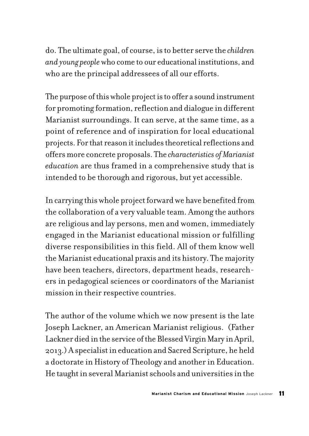do. The ultimate goal, of course, is to better serve the *children and young people* who come to our educational institutions, and who are the principal addressees of all our efforts.

The purpose of this whole project is to offer a sound instrument for promoting formation, reflection and dialogue in different Marianist surroundings. It can serve, at the same time, as a point of reference and of inspiration for local educational projects. For that reason it includes theoretical reflections and offers more concrete proposals. The *characteristics of Marianist education* are thus framed in a comprehensive study that is intended to be thorough and rigorous, but yet accessible.

In carrying this whole project forward we have benefited from the collaboration of a very valuable team. Among the authors are religious and lay persons, men and women, immediately engaged in the Marianist educational mission or fulfilling diverse responsibilities in this field. All of them know well the Marianist educational praxis and its history. The majority have been teachers, directors, department heads, researchers in pedagogical sciences or coordinators of the Marianist mission in their respective countries.

The author of the volume which we now present is the late Joseph Lackner, an American Marianist religious. (Father Lackner died in the service of the Blessed Virgin Mary in April, 2013.) A specialist in education and Sacred Scripture, he held a doctorate in History of Theology and another in Education. He taught in several Marianist schools and universities in the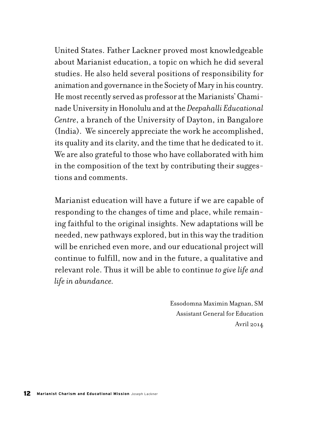United States. Father Lackner proved most knowledgeable about Marianist education, a topic on which he did several studies. He also held several positions of responsibility for animation and governance in the Society of Mary in his country. He most recently served as professor at the Marianists' Chaminade University in Honolulu and at the *Deepahalli Educational Centre*, a branch of the University of Dayton, in Bangalore (India). We sincerely appreciate the work he accomplished, its quality and its clarity, and the time that he dedicated to it. We are also grateful to those who have collaborated with him in the composition of the text by contributing their suggestions and comments.

Marianist education will have a future if we are capable of responding to the changes of time and place, while remaining faithful to the original insights. New adaptations will be needed, new pathways explored, but in this way the tradition will be enriched even more, and our educational project will continue to fulfill, now and in the future, a qualitative and relevant role. Thus it will be able to continue *to give life and life in abundance.*

> Essodomna Maximin Magnan, SM Assistant General for Education Avril 2014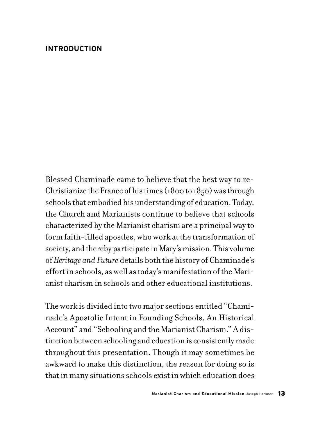### **INTRODUCTION**

Blessed Chaminade came to believe that the best way to re-Christianize the France of his times (1800 to 1850) was through schools that embodied his understanding of education. Today, the Church and Marianists continue to believe that schools characterized by the Marianist charism are a principal way to form faith-filled apostles, who work at the transformation of society, and thereby participate in Mary's mission. This volume of *Heritage and Future* details both the history of Chaminade's effort in schools, as well as today's manifestation of the Marianist charism in schools and other educational institutions.

The work is divided into two major sections entitled "Chaminade's Apostolic Intent in Founding Schools, An Historical Account" and "Schooling and the Marianist Charism." A distinction between schooling and education is consistently made throughout this presentation. Though it may sometimes be awkward to make this distinction, the reason for doing so is that in many situations schools exist in which education does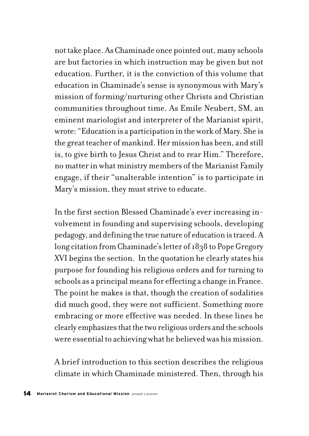not take place. As Chaminade once pointed out, many schools are but factories in which instruction may be given but not education. Further, it is the conviction of this volume that education in Chaminade's sense is synonymous with Mary's mission of forming/nurturing other Christs and Christian communities throughout time. As Emile Neubert, SM, an eminent mariologist and interpreter of the Marianist spirit, wrote: "Education is a participation in the work of Mary. She is the great teacher of mankind. Her mission has been, and still is, to give birth to Jesus Christ and to rear Him." Therefore, no matter in what ministry members of the Marianist Family engage, if their "unalterable intention" is to participate in Mary's mission, they must strive to educate.

In the first section Blessed Chaminade's ever increasing involvement in founding and supervising schools, developing pedagogy, and defining the true nature of education is traced. A long citation from Chaminade's letter of 1838 to Pope Gregory XVI begins the section. In the quotation he clearly states his purpose for founding his religious orders and for turning to schools as a principal means for effecting a change in France. The point he makes is that, though the creation of sodalities did much good, they were not sufficient. Something more embracing or more effective was needed. In these lines he clearly emphasizes that the two religious orders and the schools were essential to achieving what he believed was his mission.

A brief introduction to this section describes the religious climate in which Chaminade ministered. Then, through his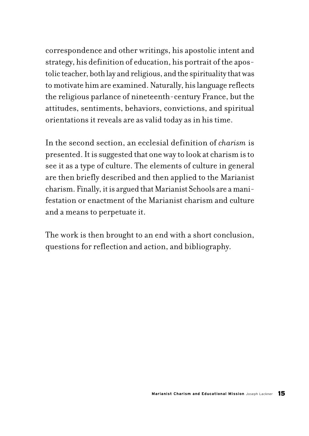correspondence and other writings, his apostolic intent and strategy, his definition of education, his portrait of the apostolic teacher, both lay and religious, and the spirituality that was to motivate him are examined. Naturally, his language reflects the religious parlance of nineteenth-century France, but the attitudes, sentiments, behaviors, convictions, and spiritual orientations it reveals are as valid today as in his time.

In the second section, an ecclesial definition of *charism* is presented. It is suggested that one way to look at charism is to see it as a type of culture. The elements of culture in general are then briefly described and then applied to the Marianist charism. Finally, it is argued that Marianist Schools are a manifestation or enactment of the Marianist charism and culture and a means to perpetuate it.

The work is then brought to an end with a short conclusion, questions for reflection and action, and bibliography.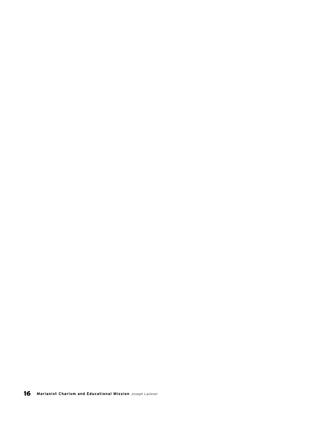**Marianist Charism and Educational Mission** Joseph Lackner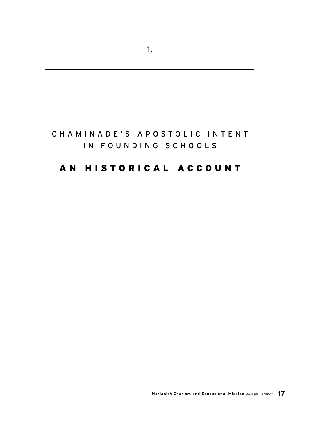## CHAMINADE'S APOSTOLIC INTENT IN FOUNDING SCHOOLS

## AN HISTORICAL ACCOUNT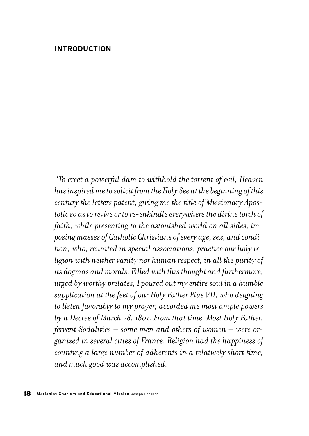#### **INTRODUCTION**

*"To erect a powerful dam to withhold the torrent of evil, Heaven has inspired me to solicit from the Holy See at the beginning of this century the letters patent, giving me the title of Missionary Apostolic so as to revive or to re-enkindle everywhere the divine torch of faith, while presenting to the astonished world on all sides, imposing masses of Catholic Christians of every age, sex, and condition, who, reunited in special associations, practice our holy religion with neither vanity nor human respect, in all the purity of its dogmas and morals. Filled with this thought and furthermore, urged by worthy prelates, I poured out my entire soul in a humble supplication at the feet of our Holy Father Pius VII, who deigning to listen favorably to my prayer, accorded me most ample powers by a Decree of March 28, 1801. From that time, Most Holy Father, fervent Sodalities – some men and others of women – were organized in several cities of France. Religion had the happiness of counting a large number of adherents in a relatively short time, and much good was accomplished.*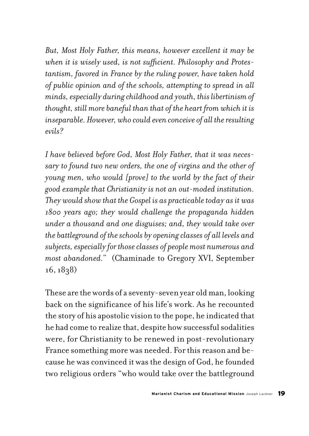*But, Most Holy Father, this means, however excellent it may be*  when it is wisely used, is not sufficient. Philosophy and Protes*tantism, favored in France by the ruling power, have taken hold of public opinion and of the schools, attempting to spread in all minds, especially during childhood and youth, this libertinism of thought, still more baneful than that of the heart from which it is inseparable. However, who could even conceive of all the resulting evils?*

*I have believed before God, Most Holy Father, that it was necessary to found two new orders, the one of virgins and the other of young men, who would [prove] to the world by the fact of their good example that Christianity is not an out-moded institution. They would show that the Gospel is as practicable today as it was 1800 years ago; they would challenge the propaganda hidden under a thousand and one disguises; and, they would take over the battleground of the schools by opening classes of all levels and subjects, especially for those classes of people most numerous and most abandoned."* (Chaminade to Gregory XVI, September 16, 1838)

These are the words of a seventy-seven year old man, looking back on the significance of his life's work. As he recounted the story of his apostolic vision to the pope, he indicated that he had come to realize that, despite how successful sodalities were, for Christianity to be renewed in post-revolutionary France something more was needed. For this reason and because he was convinced it was the design of God, he founded two religious orders "who would take over the battleground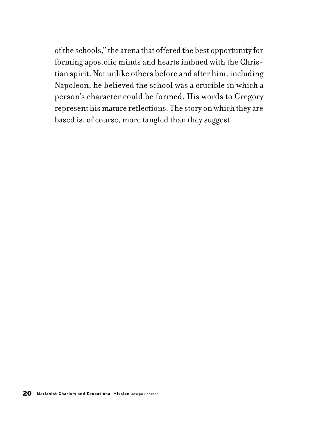of the schools," the arena that offered the best opportunity for forming apostolic minds and hearts imbued with the Christian spirit. Not unlike others before and after him, including Napoleon, he believed the school was a crucible in which a person's character could be formed. His words to Gregory represent his mature reflections. The story on which they are based is, of course, more tangled than they suggest.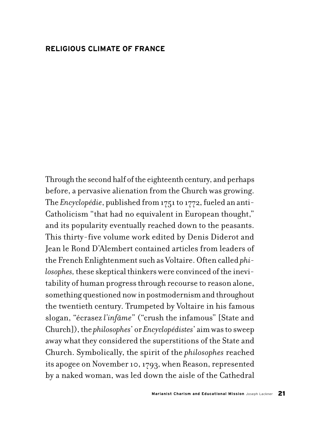#### **RELIGIOUS CLIMATE OF FRANCE**

Through the second half of the eighteenth century, and perhaps before, a pervasive alienation from the Church was growing. The *Encyclopédie*, published from 1751 to 1772, fueled an anti-Catholicism "that had no equivalent in European thought," and its popularity eventually reached down to the peasants. This thirty-five volume work edited by Denis Diderot and Jean le Rond D'Alembert contained articles from leaders of the French Enlightenment such as Voltaire. Often called *philosophes,* these skeptical thinkers were convinced of the inevitability of human progress through recourse to reason alone, something questioned now in postmodernism and throughout the twentieth century. Trumpeted by Voltaire in his famous slogan, "écrasez *l'infâme*" ("crush the infamous" [State and Church]), the *philosophes*' or *Encyclopédistes*' aim was to sweep away what they considered the superstitions of the State and Church. Symbolically, the spirit of the *philosophes* reached its apogee on November 10, 1793, when Reason, represented by a naked woman, was led down the aisle of the Cathedral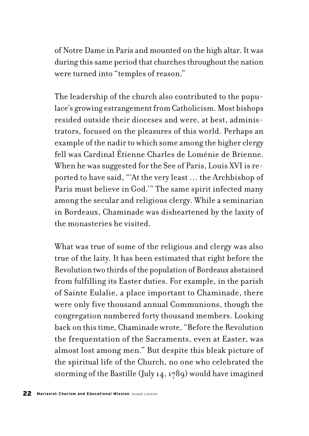of Notre Dame in Paris and mounted on the high altar. It was during this same period that churches throughout the nation were turned into "temples of reason."

The leadership of the church also contributed to the populace's growing estrangement from Catholicism. Most bishops resided outside their dioceses and were, at best, administrators, focused on the pleasures of this world. Perhaps an example of the nadir to which some among the higher clergy fell was Cardinal Étienne Charles de Loménie de Brienne. When he was suggested for the See of Paris, Louis XVI is reported to have said, "'At the very least … the Archbishop of Paris must believe in God.'" The same spirit infected many among the secular and religious clergy. While a seminarian in Bordeaux, Chaminade was disheartened by the laxity of the monasteries he visited.

What was true of some of the religious and clergy was also true of the laity. It has been estimated that right before the Revolution two thirds of the population of Bordeaux abstained from fulfilling its Easter duties. For example, in the parish of Sainte Eulalie, a place important to Chaminade, there were only five thousand annual Communions, though the congregation numbered forty thousand members. Looking back on this time, Chaminade wrote, "Before the Revolution the frequentation of the Sacraments, even at Easter, was almost lost among men." But despite this bleak picture of the spiritual life of the Church, no one who celebrated the storming of the Bastille (July 14, 1789) would have imagined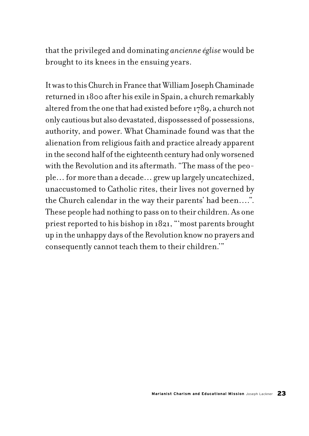that the privileged and dominating *ancienne église* would be brought to its knees in the ensuing years.

It was to this Church in France that William Joseph Chaminade returned in 1800 after his exile in Spain, a church remarkably altered from the one that had existed before 1789, a church not only cautious but also devastated, dispossessed of possessions, authority, and power. What Chaminade found was that the alienation from religious faith and practice already apparent in the second half of the eighteenth century had only worsened with the Revolution and its aftermath. "The mass of the people… for more than a decade… grew up largely uncatechized, unaccustomed to Catholic rites, their lives not governed by the Church calendar in the way their parents' had been….". These people had nothing to pass on to their children. As one priest reported to his bishop in 1821, "'most parents brought up in the unhappy days of the Revolution know no prayers and consequently cannot teach them to their children.'"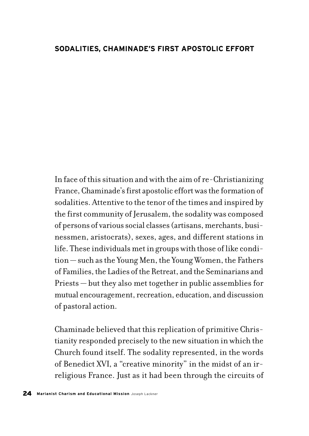## **SODALITIES, CHAMINADE'S FIRST APOSTOLIC EFFORT**

In face of this situation and with the aim of re-Christianizing France, Chaminade's first apostolic effort was the formation of sodalities. Attentive to the tenor of the times and inspired by the first community of Jerusalem, the sodality was composed of persons of various social classes (artisans, merchants, businessmen, aristocrats), sexes, ages, and different stations in life. These individuals met in groups with those of like condition — such as the Young Men, the Young Women, the Fathers of Families, the Ladies of the Retreat, and the Seminarians and Priests — but they also met together in public assemblies for mutual encouragement, recreation, education, and discussion of pastoral action.

Chaminade believed that this replication of primitive Christianity responded precisely to the new situation in which the Church found itself. The sodality represented, in the words of Benedict XVI, a "creative minority" in the midst of an irreligious France. Just as it had been through the circuits of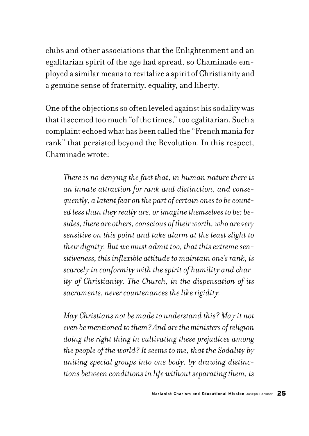clubs and other associations that the Enlightenment and an egalitarian spirit of the age had spread, so Chaminade employed a similar means to revitalize a spirit of Christianity and a genuine sense of fraternity, equality, and liberty.

One of the objections so often leveled against his sodality was that it seemed too much "of the times," too egalitarian. Such a complaint echoed what has been called the "French mania for rank" that persisted beyond the Revolution. In this respect, Chaminade wrote:

*There is no denying the fact that, in human nature there is an innate attraction for rank and distinction, and consequently, a latent fear on the part of certain ones to be counted less than they really are, or imagine themselves to be; besides, there are others, conscious of their worth, who are very sensitive on this point and take alarm at the least slight to their dignity. But we must admit too, that this extreme sensitiveness, this inflexible attitude to maintain one's rank, is scarcely in conformity with the spirit of humility and charity of Christianity. The Church, in the dispensation of its sacraments, never countenances the like rigidity.*

*May Christians not be made to understand this? May it not even be mentioned to them? And are the ministers of religion doing the right thing in cultivating these prejudices among the people of the world? It seems to me, that the Sodality by uniting special groups into one body, by drawing distinctions between conditions in life without separating them, is*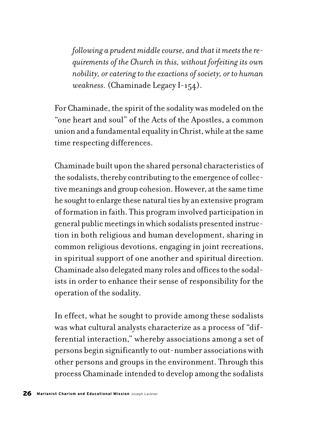*following a prudent middle course, and that it meets the requirements of the Church in this, without forfeiting its own nobility, or catering to the exactions of society, or to human weakness.* (Chaminade Legacy I-154).

For Chaminade, the spirit of the sodality was modeled on the "one heart and soul" of the Acts of the Apostles, a common union and a fundamental equality in Christ, while at the same time respecting differences.

Chaminade built upon the shared personal characteristics of the sodalists, thereby contributing to the emergence of collective meanings and group cohesion. However, at the same time he sought to enlarge these natural ties by an extensive program of formation in faith. This program involved participation in general public meetings in which sodalists presented instruction in both religious and human development, sharing in common religious devotions, engaging in joint recreations, in spiritual support of one another and spiritual direction. Chaminade also delegated many roles and offices to the sodalists in order to enhance their sense of responsibility for the operation of the sodality.

In effect, what he sought to provide among these sodalists was what cultural analysts characterize as a process of "differential interaction," whereby associations among a set of persons begin significantly to out-number associations with other persons and groups in the environment. Through this process Chaminade intended to develop among the sodalists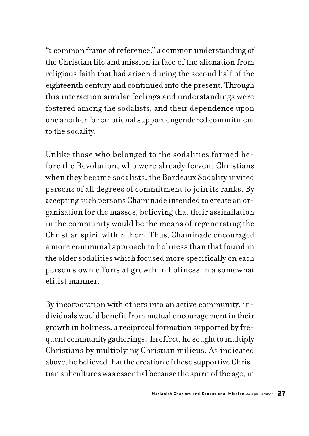"a common frame of reference," a common understanding of the Christian life and mission in face of the alienation from religious faith that had arisen during the second half of the eighteenth century and continued into the present. Through this interaction similar feelings and understandings were fostered among the sodalists, and their dependence upon one another for emotional support engendered commitment to the sodality.

Unlike those who belonged to the sodalities formed before the Revolution, who were already fervent Christians when they became sodalists, the Bordeaux Sodality invited persons of all degrees of commitment to join its ranks. By accepting such persons Chaminade intended to create an organization for the masses, believing that their assimilation in the community would be the means of regenerating the Christian spirit within them. Thus, Chaminade encouraged a more communal approach to holiness than that found in the older sodalities which focused more specifically on each person's own efforts at growth in holiness in a somewhat elitist manner.

By incorporation with others into an active community, individuals would benefit from mutual encouragement in their growth in holiness, a reciprocal formation supported by frequent community gatherings. In effect, he sought to multiply Christians by multiplying Christian milieus. As indicated above, he believed that the creation of these supportive Christian subcultures was essential because the spirit of the age, in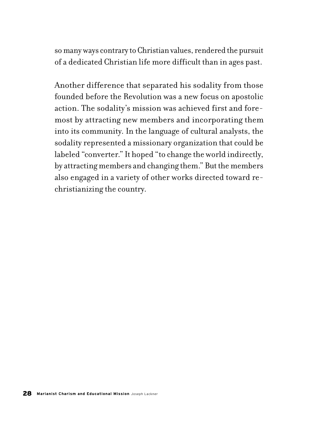so many ways contrary to Christian values, rendered the pursuit of a dedicated Christian life more difficult than in ages past.

Another difference that separated his sodality from those founded before the Revolution was a new focus on apostolic action. The sodality's mission was achieved first and foremost by attracting new members and incorporating them into its community. In the language of cultural analysts, the sodality represented a missionary organization that could be labeled "converter." It hoped "to change the world indirectly, by attracting members and changing them." But the members also engaged in a variety of other works directed toward rechristianizing the country.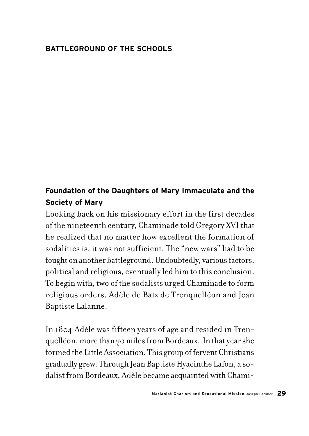## **BATTLEGROUND OF THE SCHOOLS**

## **Foundation of the Daughters of Mary Immaculate and the Society of Mary**

Looking back on his missionary effort in the first decades of the nineteenth century, Chaminade told Gregory XVI that he realized that no matter how excellent the formation of sodalities is, it was not sufficient. The "new wars" had to be fought on another battleground. Undoubtedly, various factors, political and religious, eventually led him to this conclusion. To begin with, two of the sodalists urged Chaminade to form religious orders, Adèle de Batz de Trenquelléon and Jean Baptiste Lalanne.

In 1804 Adèle was fifteen years of age and resided in Trenquelléon, more than 70 miles from Bordeaux. In that year she formed the Little Association. This group of fervent Christians gradually grew. Through Jean Baptiste Hyacinthe Lafon, a sodalist from Bordeaux, Adèle became acquainted with Chami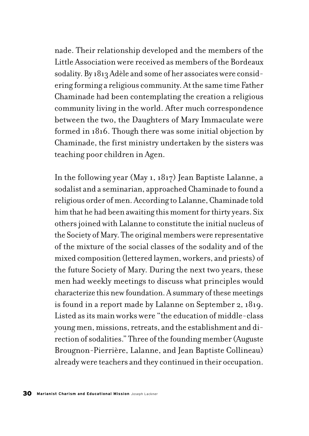nade. Their relationship developed and the members of the Little Association were received as members of the Bordeaux sodality. By 1813 Adèle and some of her associates were considering forming a religious community. At the same time Father Chaminade had been contemplating the creation a religious community living in the world. After much correspondence between the two, the Daughters of Mary Immaculate were formed in 1816. Though there was some initial objection by Chaminade, the first ministry undertaken by the sisters was teaching poor children in Agen.

In the following year (May 1, 1817) Jean Baptiste Lalanne, a sodalist and a seminarian, approached Chaminade to found a religious order of men. According to Lalanne, Chaminade told him that he had been awaiting this moment for thirty years. Six others joined with Lalanne to constitute the initial nucleus of the Society of Mary. The original members were representative of the mixture of the social classes of the sodality and of the mixed composition (lettered laymen, workers, and priests) of the future Society of Mary. During the next two years, these men had weekly meetings to discuss what principles would characterize this new foundation. A summary of these meetings is found in a report made by Lalanne on September 2, 1819. Listed as its main works were "the education of middle-class young men, missions, retreats, and the establishment and direction of sodalities." Three of the founding member (Auguste Brougnon-Pierrière, Lalanne, and Jean Baptiste Collineau) already were teachers and they continued in their occupation.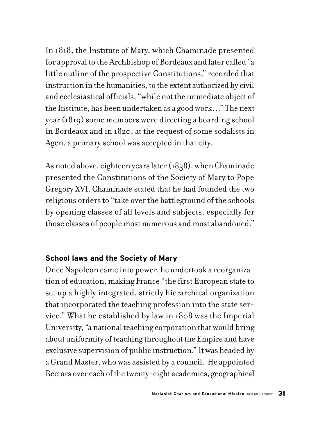In 1818, the Institute of Mary, which Chaminade presented for approval to the Archbishop of Bordeaux and later called "a little outline of the prospective Constitutions," recorded that instruction in the humanities, to the extent authorized by civil and ecclesiastical officials, "while not the immediate object of the Institute, has been undertaken as a good work…" The next year (1819) some members were directing a boarding school in Bordeaux and in 1820, at the request of some sodalists in Agen, a primary school was accepted in that city.

As noted above, eighteen years later (1838), when Chaminade presented the Constitutions of the Society of Mary to Pope Gregory XVI, Chaminade stated that he had founded the two religious orders to "take over the battleground of the schools by opening classes of all levels and subjects, especially for those classes of people most numerous and most abandoned."

## **School laws and the Society of Mary**

Once Napoleon came into power, he undertook a reorganization of education, making France "the first European state to set up a highly integrated, strictly hierarchical organization that incorporated the teaching profession into the state service." What he established by law in 1808 was the Imperial University, "a national teaching corporation that would bring about uniformity of teaching throughout the Empire and have exclusive supervision of public instruction." It was headed by a Grand Master, who was assisted by a council. He appointed Rectors over each of the twenty-eight academies, geographical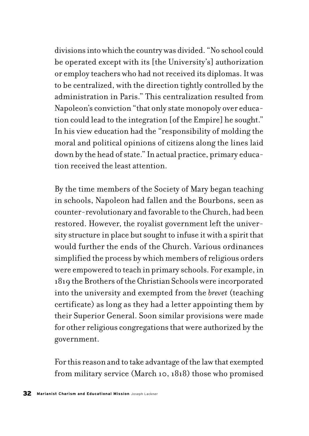divisions into which the country was divided. "No school could be operated except with its [the University's] authorization or employ teachers who had not received its diplomas. It was to be centralized, with the direction tightly controlled by the administration in Paris." This centralization resulted from Napoleon's conviction "that only state monopoly over education could lead to the integration [of the Empire] he sought." In his view education had the "responsibility of molding the moral and political opinions of citizens along the lines laid down by the head of state." In actual practice, primary education received the least attention.

By the time members of the Society of Mary began teaching in schools, Napoleon had fallen and the Bourbons, seen as counter-revolutionary and favorable to the Church, had been restored. However, the royalist government left the university structure in place but sought to infuse it with a spirit that would further the ends of the Church. Various ordinances simplified the process by which members of religious orders were empowered to teach in primary schools. For example, in 1819 the Brothers of the Christian Schools were incorporated into the university and exempted from the *brevet* (teaching certificate) as long as they had a letter appointing them by their Superior General. Soon similar provisions were made for other religious congregations that were authorized by the government.

For this reason and to take advantage of the law that exempted from military service (March 10, 1818) those who promised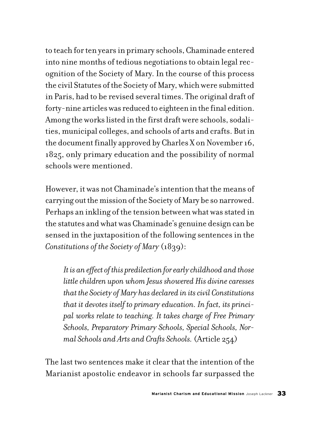to teach for ten years in primary schools, Chaminade entered into nine months of tedious negotiations to obtain legal recognition of the Society of Mary. In the course of this process the civil Statutes of the Society of Mary, which were submitted in Paris, had to be revised several times. The original draft of forty-nine articles was reduced to eighteen in the final edition. Among the works listed in the first draft were schools, sodalities, municipal colleges, and schools of arts and crafts. But in the document finally approved by Charles X on November 16, 1825, only primary education and the possibility of normal schools were mentioned.

However, it was not Chaminade's intention that the means of carrying out the mission of the Society of Mary be so narrowed. Perhaps an inkling of the tension between what was stated in the statutes and what was Chaminade's genuine design can be sensed in the juxtaposition of the following sentences in the *Constitutions of the Society of Mary* (1839):

*It is an effect of this predilection for early childhood and those little children upon whom Jesus showered His divine caresses that the Society of Mary has declared in its civil Constitutions that it devotes itself to primary education. In fact, its principal works relate to teaching. It takes charge of Free Primary Schools, Preparatory Primary Schools, Special Schools, Normal Schools and Arts and Crafts Schools.* (Article 254)

The last two sentences make it clear that the intention of the Marianist apostolic endeavor in schools far surpassed the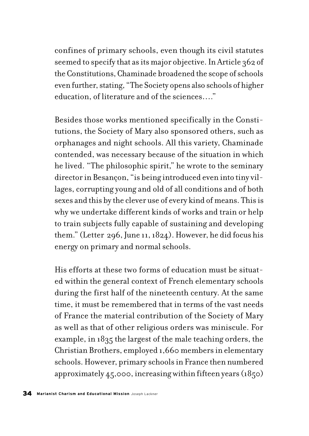confines of primary schools, even though its civil statutes seemed to specify that as its major objective. In Article 362 of the Constitutions, Chaminade broadened the scope of schools even further, stating, "The Society opens also schools of higher education, of literature and of the sciences…."

Besides those works mentioned specifically in the Constitutions, the Society of Mary also sponsored others, such as orphanages and night schools. All this variety, Chaminade contended, was necessary because of the situation in which he lived. "The philosophic spirit," he wrote to the seminary director in Besançon, "is being introduced even into tiny villages, corrupting young and old of all conditions and of both sexes and this by the clever use of every kind of means. This is why we undertake different kinds of works and train or help to train subjects fully capable of sustaining and developing them." (Letter 296, June 11,  $1824$ ). However, he did focus his energy on primary and normal schools.

His efforts at these two forms of education must be situated within the general context of French elementary schools during the first half of the nineteenth century. At the same time, it must be remembered that in terms of the vast needs of France the material contribution of the Society of Mary as well as that of other religious orders was miniscule. For example, in 1835 the largest of the male teaching orders, the Christian Brothers, employed 1,660 members in elementary schools. However, primary schools in France then numbered approximately  $45,000$ , increasing within fifteen years  $(1850)$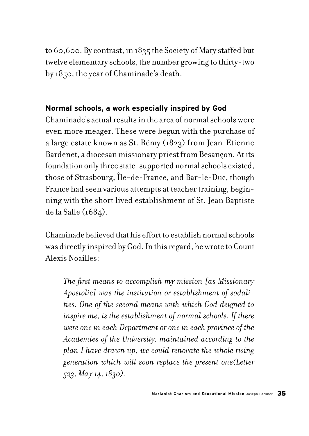to 60,600. By contrast, in 1835 the Society of Mary staffed but twelve elementary schools, the number growing to thirty-two by 1850, the year of Chaminade's death.

## **Normal schools, a work especially inspired by God**

Chaminade's actual results in the area of normal schools were even more meager. These were begun with the purchase of a large estate known as St. Rémy (1823) from Jean-Etienne Bardenet, a diocesan missionary priest from Besançon. At its foundation only three state-supported normal schools existed, those of Strasbourg, Île-de-France, and Bar-le-Duc, though France had seen various attempts at teacher training, beginning with the short lived establishment of St. Jean Baptiste de la Salle (1684).

Chaminade believed that his effort to establish normal schools was directly inspired by God. In this regard, he wrote to Count Alexis Noailles:

*The first means to accomplish my mission [as Missionary Apostolic] was the institution or establishment of sodalities. One of the second means with which God deigned to inspire me, is the establishment of normal schools. If there were one in each Department or one in each province of the Academies of the University, maintained according to the plan I have drawn up, we could renovate the whole rising generation which will soon replace the present one(Letter 523, May 14, 1830).*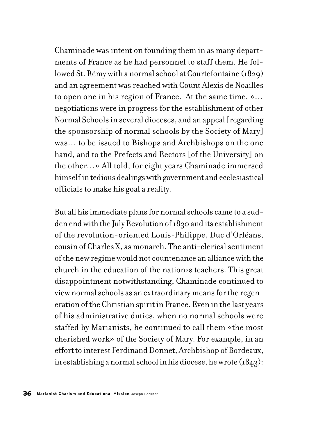Chaminade was intent on founding them in as many departments of France as he had personnel to staff them. He followed St. Rémy with a normal school at Courtefontaine (1829) and an agreement was reached with Count Alexis de Noailles to open one in his region of France. At the same time, «… negotiations were in progress for the establishment of other Normal Schools in several dioceses, and an appeal [regarding the sponsorship of normal schools by the Society of Mary] was… to be issued to Bishops and Archbishops on the one hand, and to the Prefects and Rectors [of the University] on the other…» All told, for eight years Chaminade immersed himself in tedious dealings with government and ecclesiastical officials to make his goal a reality.

But all his immediate plans for normal schools came to a sudden end with the July Revolution of 1830 and its establishment of the revolution-oriented Louis-Philippe, Duc d'Orléans, cousin of Charles X, as monarch. The anti-clerical sentiment of the new regime would not countenance an alliance with the church in the education of the nation›s teachers. This great disappointment notwithstanding, Chaminade continued to view normal schools as an extraordinary means for the regeneration of the Christian spirit in France. Even in the last years of his administrative duties, when no normal schools were staffed by Marianists, he continued to call them «the most cherished work» of the Society of Mary. For example, in an effort to interest Ferdinand Donnet, Archbishop of Bordeaux, in establishing a normal school in his diocese, he wrote (1843):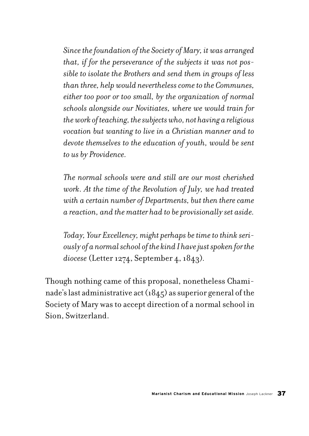*Since the foundation of the Society of Mary, it was arranged that, if for the perseverance of the subjects it was not possible to isolate the Brothers and send them in groups of less than three, help would nevertheless come to the Communes, either too poor or too small, by the organization of normal schools alongside our Novitiates, where we would train for the work of teaching, the subjects who, not having a religious vocation but wanting to live in a Christian manner and to devote themselves to the education of youth, would be sent to us by Providence.*

*The normal schools were and still are our most cherished work. At the time of the Revolution of July, we had treated with a certain number of Departments, but then there came a reaction, and the matter had to be provisionally set aside.*

*Today, Your Excellency, might perhaps be time to think seriously of a normal school of the kind I have just spoken for the diocese* (Letter 1274, September 4, 1843)*.*

Though nothing came of this proposal, nonetheless Chaminade's last administrative act (1845) as superior general of the Society of Mary was to accept direction of a normal school in Sion, Switzerland.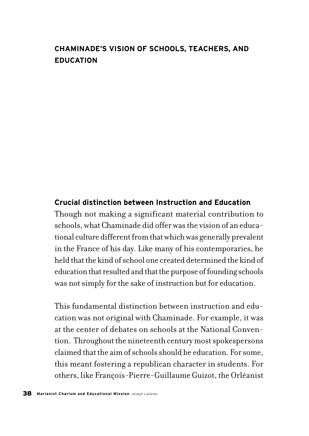# **CHAMINADE'S VISION OF SCHOOLS, TEACHERS, AND EDUCATION**

#### **Crucial distinction between Instruction and Education**

Though not making a significant material contribution to schools, what Chaminade did offer was the vision of an educational culture different from that which was generally prevalent in the France of his day. Like many of his contemporaries, he held that the kind of school one created determined the kind of education that resulted and that the purpose of founding schools was not simply for the sake of instruction but for education.

This fundamental distinction between instruction and education was not original with Chaminade. For example, it was at the center of debates on schools at the National Convention. Throughout the nineteenth century most spokespersons claimed that the aim of schools should be education. For some, this meant fostering a republican character in students. For others, like François-Pierre-Guillaume Guizot, the Orléanist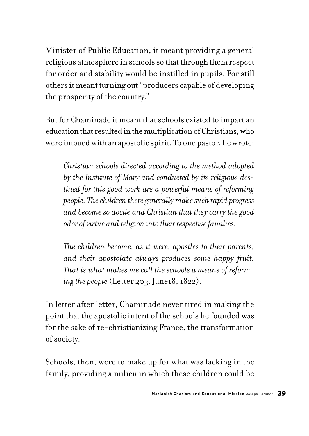Minister of Public Education, it meant providing a general religious atmosphere in schools so that through them respect for order and stability would be instilled in pupils. For still others it meant turning out "producers capable of developing the prosperity of the country."

But for Chaminade it meant that schools existed to impart an education that resulted in the multiplication of Christians, who were imbued with an apostolic spirit. To one pastor, he wrote:

*Christian schools directed according to the method adopted by the Institute of Mary and conducted by its religious destined for this good work are a powerful means of reforming people. The children there generally make such rapid progress and become so docile and Christian that they carry the good odor of virtue and religion into their respective families.* 

*The children become, as it were, apostles to their parents, and their apostolate always produces some happy fruit. That is what makes me call the schools a means of reforming the people* (Letter 203, June18, 1822).

In letter after letter, Chaminade never tired in making the point that the apostolic intent of the schools he founded was for the sake of re-christianizing France, the transformation of society.

Schools, then, were to make up for what was lacking in the family, providing a milieu in which these children could be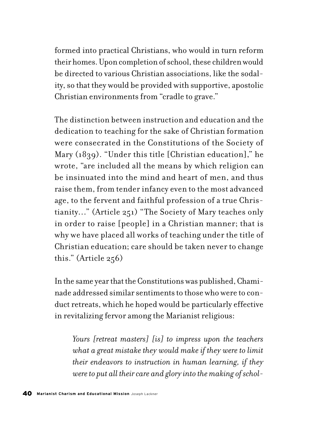formed into practical Christians, who would in turn reform their homes. Upon completion of school, these children would be directed to various Christian associations, like the sodality, so that they would be provided with supportive, apostolic Christian environments from "cradle to grave."

The distinction between instruction and education and the dedication to teaching for the sake of Christian formation were consecrated in the Constitutions of the Society of Mary (1839). "Under this title [Christian education]," he wrote, "are included all the means by which religion can be insinuated into the mind and heart of men, and thus raise them, from tender infancy even to the most advanced age, to the fervent and faithful profession of a true Christianity…" (Article 251) "The Society of Mary teaches only in order to raise [people] in a Christian manner; that is why we have placed all works of teaching under the title of Christian education; care should be taken never to change this." (Article 256)

In the same year that the Constitutions was published, Chaminade addressed similar sentiments to those who were to conduct retreats, which he hoped would be particularly effective in revitalizing fervor among the Marianist religious:

*Yours [retreat masters] [is] to impress upon the teachers what a great mistake they would make if they were to limit their endeavors to instruction in human learning, if they were to put all their care and glory into the making of schol-*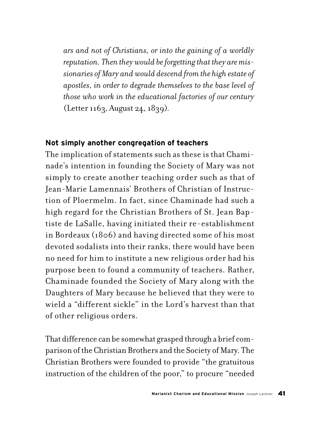*ars and not of Christians, or into the gaining of a worldly reputation. Then they would be forgetting that they are missionaries of Mary and would descend from the high estate of apostles, in order to degrade themselves to the base level of those who work in the educational factories of our century*  (Letter 1163, August 24, 1839)*.*

## **Not simply another congregation of teachers**

The implication of statements such as these is that Chaminade's intention in founding the Society of Mary was not simply to create another teaching order such as that of Jean-Marie Lamennais' Brothers of Christian of Instruction of Ploermelm. In fact, since Chaminade had such a high regard for the Christian Brothers of St. Jean Baptiste de LaSalle, having initiated their re-establishment in Bordeaux (1806) and having directed some of his most devoted sodalists into their ranks, there would have been no need for him to institute a new religious order had his purpose been to found a community of teachers. Rather, Chaminade founded the Society of Mary along with the Daughters of Mary because he believed that they were to wield a "different sickle" in the Lord's harvest than that of other religious orders.

That difference can be somewhat grasped through a brief comparison of the Christian Brothers and the Society of Mary. The Christian Brothers were founded to provide "the gratuitous instruction of the children of the poor," to procure "needed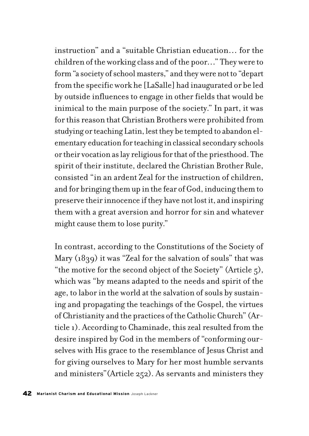instruction" and a "suitable Christian education… for the children of the working class and of the poor…" They were to form "a society of school masters," and they were not to "depart from the specific work he [LaSalle] had inaugurated or be led by outside influences to engage in other fields that would be inimical to the main purpose of the society." In part, it was for this reason that Christian Brothers were prohibited from studying or teaching Latin, lest they be tempted to abandon elementary education for teaching in classical secondary schools or their vocation as lay religious for that of the priesthood. The spirit of their institute, declared the Christian Brother Rule, consisted "in an ardent Zeal for the instruction of children, and for bringing them up in the fear of God, inducing them to preserve their innocence if they have not lost it, and inspiring them with a great aversion and horror for sin and whatever might cause them to lose purity."

In contrast, according to the Constitutions of the Society of Mary (1839) it was "Zeal for the salvation of souls" that was "the motive for the second object of the Society" (Article 5), which was "by means adapted to the needs and spirit of the age, to labor in the world at the salvation of souls by sustaining and propagating the teachings of the Gospel, the virtues of Christianity and the practices of the Catholic Church" (Article 1). According to Chaminade, this zeal resulted from the desire inspired by God in the members of "conforming ourselves with His grace to the resemblance of Jesus Christ and for giving ourselves to Mary for her most humble servants and ministers"(Article 252). As servants and ministers they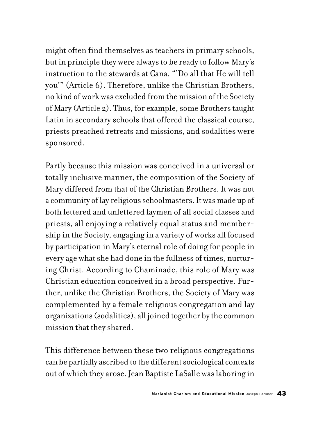might often find themselves as teachers in primary schools, but in principle they were always to be ready to follow Mary's instruction to the stewards at Cana, "'Do all that He will tell you'" (Article 6). Therefore, unlike the Christian Brothers, no kind of work was excluded from the mission of the Society of Mary (Article 2). Thus, for example, some Brothers taught Latin in secondary schools that offered the classical course, priests preached retreats and missions, and sodalities were sponsored.

Partly because this mission was conceived in a universal or totally inclusive manner, the composition of the Society of Mary differed from that of the Christian Brothers. It was not a community of lay religious schoolmasters. It was made up of both lettered and unlettered laymen of all social classes and priests, all enjoying a relatively equal status and membership in the Society, engaging in a variety of works all focused by participation in Mary's eternal role of doing for people in every age what she had done in the fullness of times, nurturing Christ. According to Chaminade, this role of Mary was Christian education conceived in a broad perspective. Further, unlike the Christian Brothers, the Society of Mary was complemented by a female religious congregation and lay organizations (sodalities), all joined together by the common mission that they shared.

This difference between these two religious congregations can be partially ascribed to the different sociological contexts out of which they arose. Jean Baptiste LaSalle was laboring in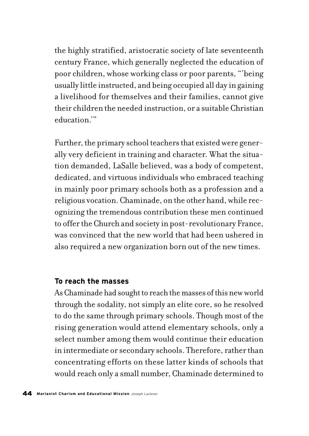the highly stratified, aristocratic society of late seventeenth century France, which generally neglected the education of poor children, whose working class or poor parents, "'being usually little instructed, and being occupied all day in gaining a livelihood for themselves and their families, cannot give their children the needed instruction, or a suitable Christian education.'"

Further, the primary school teachers that existed were generally very deficient in training and character. What the situation demanded, LaSalle believed, was a body of competent, dedicated, and virtuous individuals who embraced teaching in mainly poor primary schools both as a profession and a religious vocation. Chaminade, on the other hand, while recognizing the tremendous contribution these men continued to offer the Church and society in post-revolutionary France, was convinced that the new world that had been ushered in also required a new organization born out of the new times.

#### **To reach the masses**

As Chaminade had sought to reach the masses of this new world through the sodality, not simply an elite core, so he resolved to do the same through primary schools. Though most of the rising generation would attend elementary schools, only a select number among them would continue their education in intermediate or secondary schools. Therefore, rather than concentrating efforts on these latter kinds of schools that would reach only a small number, Chaminade determined to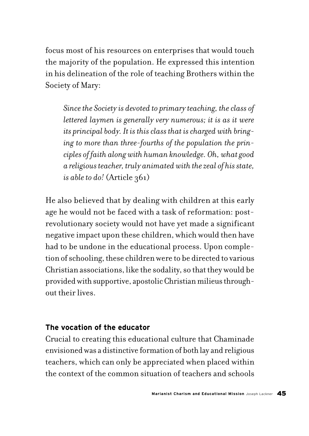focus most of his resources on enterprises that would touch the majority of the population. He expressed this intention in his delineation of the role of teaching Brothers within the Society of Mary:

*Since the Society is devoted to primary teaching, the class of lettered laymen is generally very numerous; it is as it were its principal body. It is this class that is charged with bringing to more than three-fourths of the population the principles of faith along with human knowledge. Oh, what good a religious teacher, truly animated with the zeal of his state, is able to do!* (Article 361)

He also believed that by dealing with children at this early age he would not be faced with a task of reformation: postrevolutionary society would not have yet made a significant negative impact upon these children, which would then have had to be undone in the educational process. Upon completion of schooling, these children were to be directed to various Christian associations, like the sodality, so that they would be provided with supportive, apostolic Christian milieus throughout their lives.

### **The vocation of the educator**

Crucial to creating this educational culture that Chaminade envisioned was a distinctive formation of both lay and religious teachers, which can only be appreciated when placed within the context of the common situation of teachers and schools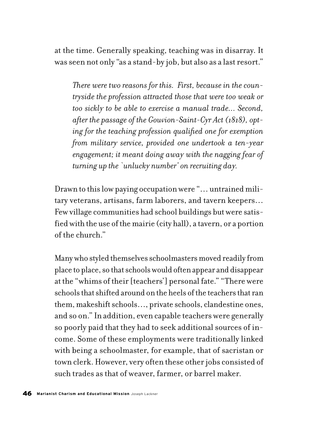at the time. Generally speaking, teaching was in disarray. It was seen not only "as a stand-by job, but also as a last resort."

*There were two reasons for this. First, because in the countryside the profession attracted those that were too weak or too sickly to be able to exercise a manual trade... Second, after the passage of the Gouvion-Saint-Cyr Act (1818), opting for the teaching profession qualified one for exemption from military service, provided one undertook a ten-year engagement; it meant doing away with the nagging fear of turning up the `unlucky number' on recruiting day.* 

Drawn to this low paying occupation were "… untrained military veterans, artisans, farm laborers, and tavern keepers… Few village communities had school buildings but were satisfied with the use of the mairie (city hall), a tavern, or a portion of the church."

Many who styled themselves schoolmasters moved readily from place to place, so that schools would often appear and disappear at the "whims of their [teachers'] personal fate." "There were schools that shifted around on the heels of the teachers that ran them, makeshift schools…, private schools, clandestine ones, and so on." In addition, even capable teachers were generally so poorly paid that they had to seek additional sources of income. Some of these employments were traditionally linked with being a schoolmaster, for example, that of sacristan or town clerk. However, very often these other jobs consisted of such trades as that of weaver, farmer, or barrel maker.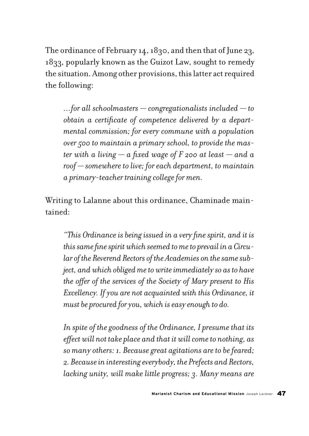The ordinance of February 14, 1830, and then that of June 23, 1833, popularly known as the Guizot Law, sought to remedy the situation. Among other provisions, this latter act required the following:

*…for all schoolmasters — congregationalists included — to obtain a certificate of competence delivered by a departmental commission; for every commune with a population over 500 to maintain a primary school, to provide the master with a living — a fixed wage of F 200 at least — and a roof — somewhere to live; for each department, to maintain a primary-teacher training college for men.* 

Writing to Lalanne about this ordinance, Chaminade maintained:

*"This Ordinance is being issued in a very fine spirit, and it is this same fine spirit which seemed to me to prevail in a Circular of the Reverend Rectors of the Academies on the same subject, and which obliged me to write immediately so as to have the offer of the services of the Society of Mary present to His Excellency. If you are not acquainted with this Ordinance, it must be procured for you, which is easy enough to do.*

*In spite of the goodness of the Ordinance, I presume that its effect will not take place and that it will come to nothing, as so many others: 1. Because great agitations are to be feared; 2. Because in interesting everybody, the Prefects and Rectors, lacking unity, will make little progress; 3. Many means are*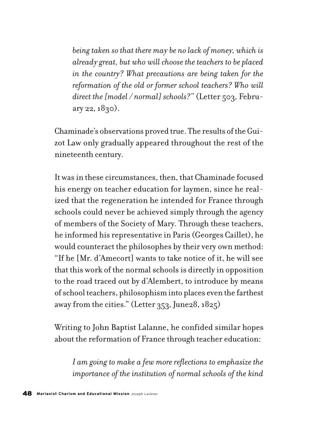*being taken so that there may be no lack of money, which is already great, but who will choose the teachers to be placed in the country? What precautions are being taken for the reformation of the old or former school teachers? Who will*  direct the [model / normal] schools?" (Letter 503, February 22, 1830).

Chaminade's observations proved true. The results of the Guizot Law only gradually appeared throughout the rest of the nineteenth century.

It was in these circumstances, then, that Chaminade focused his energy on teacher education for laymen, since he realized that the regeneration he intended for France through schools could never be achieved simply through the agency of members of the Society of Mary. Through these teachers, he informed his representative in Paris (Georges Caillet), he would counteract the philosophes by their very own method: "If he [Mr. d'Amecort] wants to take notice of it, he will see that this work of the normal schools is directly in opposition to the road traced out by d'Alembert, to introduce by means of school teachers, philosophism into places even the farthest away from the cities." (Letter  $353$ , June  $28$ ,  $1825$ )

Writing to John Baptist Lalanne, he confided similar hopes about the reformation of France through teacher education:

*I am going to make a few more reflections to emphasize the importance of the institution of normal schools of the kind*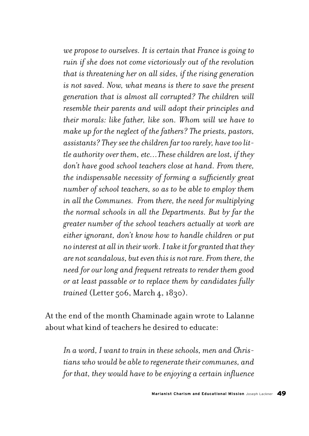*we propose to ourselves. It is certain that France is going to ruin if she does not come victoriously out of the revolution that is threatening her on all sides, if the rising generation is not saved. Now, what means is there to save the present generation that is almost all corrupted? The children will resemble their parents and will adopt their principles and their morals: like father, like son. Whom will we have to make up for the neglect of the fathers? The priests, pastors, assistants? They see the children far too rarely, have too little authority over them, etc…These children are lost, if they don't have good school teachers close at hand. From there, the indispensable necessity of forming a sufficiently great number of school teachers, so as to be able to employ them in all the Communes. From there, the need for multiplying the normal schools in all the Departments. But by far the greater number of the school teachers actually at work are either ignorant, don't know how to handle children or put no interest at all in their work. I take it for granted that they are not scandalous, but even this is not rare. From there, the need for our long and frequent retreats to render them good or at least passable or to replace them by candidates fully trained* (Letter 506, March 4, 1830).

At the end of the month Chaminade again wrote to Lalanne about what kind of teachers he desired to educate:

*In a word, I want to train in these schools, men and Christians who would be able to regenerate their communes, and for that, they would have to be enjoying a certain influence*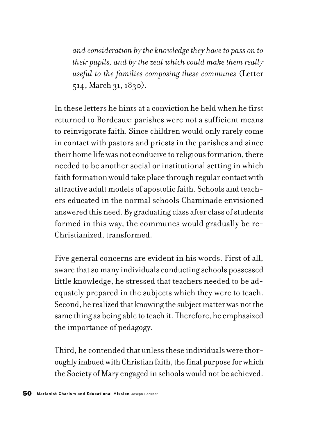*and consideration by the knowledge they have to pass on to their pupils, and by the zeal which could make them really useful to the families composing these communes* (Letter 514, March 31, 1830).

In these letters he hints at a conviction he held when he first returned to Bordeaux: parishes were not a sufficient means to reinvigorate faith. Since children would only rarely come in contact with pastors and priests in the parishes and since their home life was not conducive to religious formation, there needed to be another social or institutional setting in which faith formation would take place through regular contact with attractive adult models of apostolic faith. Schools and teachers educated in the normal schools Chaminade envisioned answered this need. By graduating class after class of students formed in this way, the communes would gradually be re-Christianized, transformed.

Five general concerns are evident in his words. First of all, aware that so many individuals conducting schools possessed little knowledge, he stressed that teachers needed to be adequately prepared in the subjects which they were to teach. Second, he realized that knowing the subject matter was not the same thing as being able to teach it. Therefore, he emphasized the importance of pedagogy.

Third, he contended that unless these individuals were thoroughly imbued with Christian faith, the final purpose for which the Society of Mary engaged in schools would not be achieved.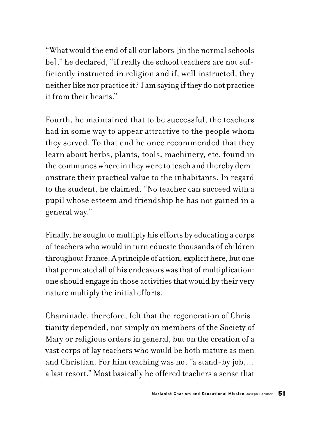"What would the end of all our labors [in the normal schools be]," he declared, "if really the school teachers are not sufficiently instructed in religion and if, well instructed, they neither like nor practice it? I am saying if they do not practice it from their hearts."

Fourth, he maintained that to be successful, the teachers had in some way to appear attractive to the people whom they served. To that end he once recommended that they learn about herbs, plants, tools, machinery, etc. found in the communes wherein they were to teach and thereby demonstrate their practical value to the inhabitants. In regard to the student, he claimed, "No teacher can succeed with a pupil whose esteem and friendship he has not gained in a general way."

Finally, he sought to multiply his efforts by educating a corps of teachers who would in turn educate thousands of children throughout France. A principle of action, explicit here, but one that permeated all of his endeavors was that of multiplication: one should engage in those activities that would by their very nature multiply the initial efforts.

Chaminade, therefore, felt that the regeneration of Christianity depended, not simply on members of the Society of Mary or religious orders in general, but on the creation of a vast corps of lay teachers who would be both mature as men and Christian. For him teaching was not "a stand-by job,… a last resort." Most basically he offered teachers a sense that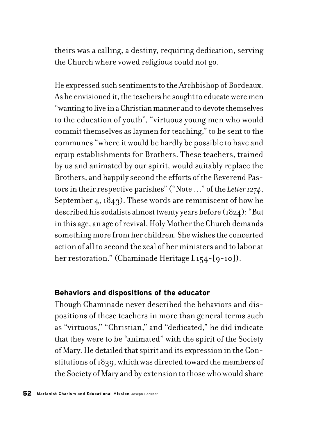theirs was a calling, a destiny, requiring dedication, serving the Church where vowed religious could not go.

He expressed such sentiments to the Archbishop of Bordeaux. As he envisioned it, the teachers he sought to educate were men "wanting to live in a Christian manner and to devote themselves to the education of youth", "virtuous young men who would commit themselves as laymen for teaching," to be sent to the communes "where it would be hardly be possible to have and equip establishments for Brothers. These teachers, trained by us and animated by our spirit, would suitably replace the Brothers, and happily second the efforts of the Reverend Pastors in their respective parishes" ("Note …" of the *Letter 1274*, September 4, 1843). These words are reminiscent of how he described his sodalists almost twenty years before (1824): "But in this age, an age of revival, Holy Mother the Church demands something more from her children. She wishes the concerted action of all to second the zeal of her ministers and to labor at her restoration." (Chaminade Heritage I.154-[9-10]**)**.

### **Behaviors and dispositions of the educator**

Though Chaminade never described the behaviors and dispositions of these teachers in more than general terms such as "virtuous," "Christian," and "dedicated," he did indicate that they were to be "animated" with the spirit of the Society of Mary. He detailed that spirit and its expression in the Constitutions of 1839, which was directed toward the members of the Society of Mary and by extension to those who would share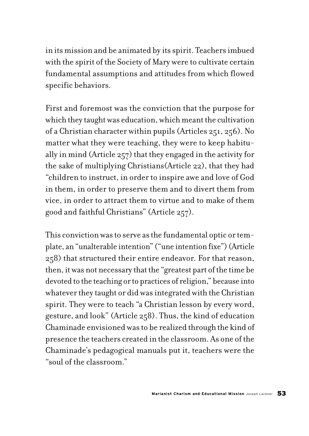in its mission and be animated by its spirit. Teachers imbued with the spirit of the Society of Mary were to cultivate certain fundamental assumptions and attitudes from which flowed specific behaviors.

First and foremost was the conviction that the purpose for which they taught was education, which meant the cultivation of a Christian character within pupils (Articles 251, 256). No matter what they were teaching, they were to keep habitually in mind (Article 257) that they engaged in the activity for the sake of multiplying Christians(Article 22), that they had "children to instruct, in order to inspire awe and love of God in them, in order to preserve them and to divert them from vice, in order to attract them to virtue and to make of them good and faithful Christians" (Article 257).

This conviction was to serve as the fundamental optic or template, an "unalterable intention" ("une intention fixe") (Article 258) that structured their entire endeavor. For that reason, then, it was not necessary that the "greatest part of the time be devoted to the teaching or to practices of religion," because into whatever they taught or did was integrated with the Christian spirit. They were to teach "a Christian lesson by every word, gesture, and look" (Article 258). Thus, the kind of education Chaminade envisioned was to be realized through the kind of presence the teachers created in the classroom. As one of the Chaminade's pedagogical manuals put it, teachers were the "soul of the classroom."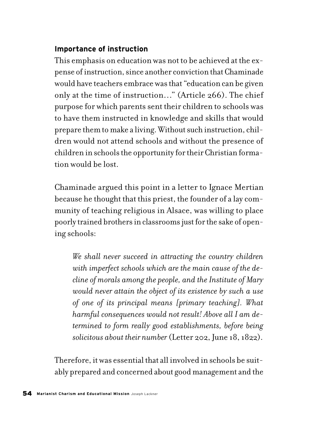## **Importance of instruction**

This emphasis on education was not to be achieved at the expense of instruction, since another conviction that Chaminade would have teachers embrace was that "education can be given only at the time of instruction…" (Article 266). The chief purpose for which parents sent their children to schools was to have them instructed in knowledge and skills that would prepare them to make a living. Without such instruction, children would not attend schools and without the presence of children in schools the opportunity for their Christian formation would be lost.

Chaminade argued this point in a letter to Ignace Mertian because he thought that this priest, the founder of a lay community of teaching religious in Alsace, was willing to place poorly trained brothers in classrooms just for the sake of opening schools:

*We shall never succeed in attracting the country children with imperfect schools which are the main cause of the decline of morals among the people, and the Institute of Mary would never attain the object of its existence by such a use of one of its principal means [primary teaching]. What harmful consequences would not result! Above all I am determined to form really good establishments, before being solicitous about their number* (Letter 202, June 18, 1822).

Therefore, it was essential that all involved in schools be suitably prepared and concerned about good management and the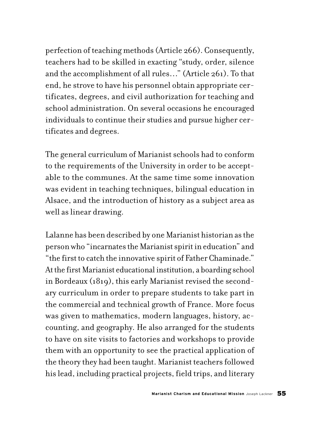perfection of teaching methods (Article 266). Consequently, teachers had to be skilled in exacting "study, order, silence and the accomplishment of all rules…" (Article 261). To that end, he strove to have his personnel obtain appropriate certificates, degrees, and civil authorization for teaching and school administration. On several occasions he encouraged individuals to continue their studies and pursue higher certificates and degrees.

The general curriculum of Marianist schools had to conform to the requirements of the University in order to be acceptable to the communes. At the same time some innovation was evident in teaching techniques, bilingual education in Alsace, and the introduction of history as a subject area as well as linear drawing.

Lalanne has been described by one Marianist historian as the person who "incarnates the Marianist spirit in education" and "the first to catch the innovative spirit of Father Chaminade." At the first Marianist educational institution, a boarding school in Bordeaux (1819), this early Marianist revised the secondary curriculum in order to prepare students to take part in the commercial and technical growth of France. More focus was given to mathematics, modern languages, history, accounting, and geography. He also arranged for the students to have on site visits to factories and workshops to provide them with an opportunity to see the practical application of the theory they had been taught. Marianist teachers followed his lead, including practical projects, field trips, and literary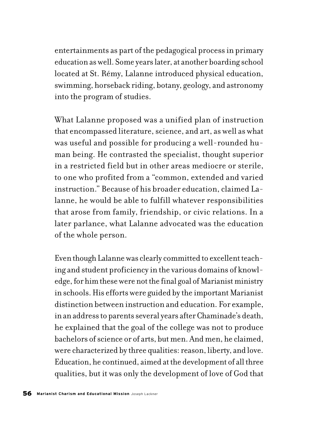entertainments as part of the pedagogical process in primary education as well. Some years later, at another boarding school located at St. Rémy, Lalanne introduced physical education, swimming, horseback riding, botany, geology, and astronomy into the program of studies.

What Lalanne proposed was a unified plan of instruction that encompassed literature, science, and art, as well as what was useful and possible for producing a well-rounded human being. He contrasted the specialist, thought superior in a restricted field but in other areas mediocre or sterile, to one who profited from a "common, extended and varied instruction." Because of his broader education, claimed Lalanne, he would be able to fulfill whatever responsibilities that arose from family, friendship, or civic relations. In a later parlance, what Lalanne advocated was the education of the whole person.

Even though Lalanne was clearly committed to excellent teaching and student proficiency in the various domains of knowledge, for him these were not the final goal of Marianist ministry in schools. His efforts were guided by the important Marianist distinction between instruction and education. For example, in an address to parents several years after Chaminade's death, he explained that the goal of the college was not to produce bachelors of science or of arts, but men. And men, he claimed, were characterized by three qualities: reason, liberty, and love. Education, he continued, aimed at the development of all three qualities, but it was only the development of love of God that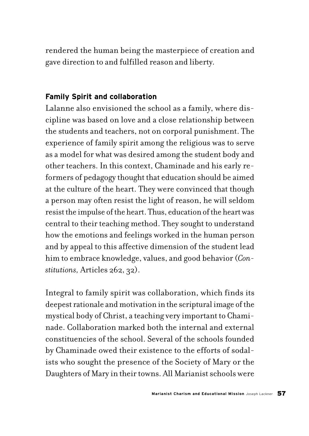rendered the human being the masterpiece of creation and gave direction to and fulfilled reason and liberty.

#### **Family Spirit and collaboration**

Lalanne also envisioned the school as a family, where discipline was based on love and a close relationship between the students and teachers, not on corporal punishment. The experience of family spirit among the religious was to serve as a model for what was desired among the student body and other teachers. In this context, Chaminade and his early reformers of pedagogy thought that education should be aimed at the culture of the heart. They were convinced that though a person may often resist the light of reason, he will seldom resist the impulse of the heart. Thus, education of the heart was central to their teaching method. They sought to understand how the emotions and feelings worked in the human person and by appeal to this affective dimension of the student lead him to embrace knowledge, values, and good behavior (*Constitutions,* Articles 262, 32).

Integral to family spirit was collaboration, which finds its deepest rationale and motivation in the scriptural image of the mystical body of Christ, a teaching very important to Chaminade. Collaboration marked both the internal and external constituencies of the school. Several of the schools founded by Chaminade owed their existence to the efforts of sodalists who sought the presence of the Society of Mary or the Daughters of Mary in their towns. All Marianist schools were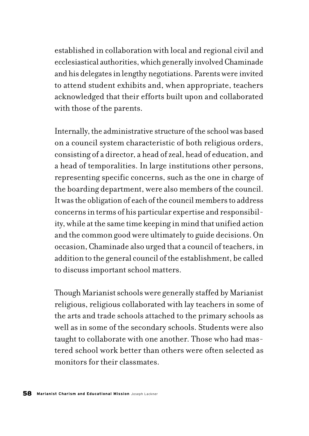established in collaboration with local and regional civil and ecclesiastical authorities, which generally involved Chaminade and his delegates in lengthy negotiations. Parents were invited to attend student exhibits and, when appropriate, teachers acknowledged that their efforts built upon and collaborated with those of the parents.

Internally, the administrative structure of the school was based on a council system characteristic of both religious orders, consisting of a director, a head of zeal, head of education, and a head of temporalities. In large institutions other persons, representing specific concerns, such as the one in charge of the boarding department, were also members of the council. It was the obligation of each of the council members to address concerns in terms of his particular expertise and responsibility, while at the same time keeping in mind that unified action and the common good were ultimately to guide decisions. On occasion, Chaminade also urged that a council of teachers, in addition to the general council of the establishment, be called to discuss important school matters.

Though Marianist schools were generally staffed by Marianist religious, religious collaborated with lay teachers in some of the arts and trade schools attached to the primary schools as well as in some of the secondary schools. Students were also taught to collaborate with one another. Those who had mastered school work better than others were often selected as monitors for their classmates.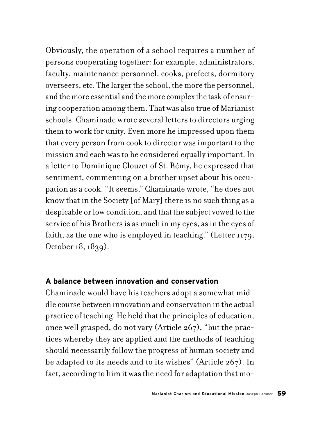Obviously, the operation of a school requires a number of persons cooperating together: for example, administrators, faculty, maintenance personnel, cooks, prefects, dormitory overseers, etc. The larger the school, the more the personnel, and the more essential and the more complex the task of ensuring cooperation among them. That was also true of Marianist schools. Chaminade wrote several letters to directors urging them to work for unity. Even more he impressed upon them that every person from cook to director was important to the mission and each was to be considered equally important. In a letter to Dominique Clouzet of St. Rémy, he expressed that sentiment, commenting on a brother upset about his occupation as a cook. "It seems," Chaminade wrote, "he does not know that in the Society [of Mary] there is no such thing as a despicable or low condition, and that the subject vowed to the service of his Brothers is as much in my eyes, as in the eyes of faith, as the one who is employed in teaching." (Letter 1179, October 18, 1839).

#### **A balance between innovation and conservation**

Chaminade would have his teachers adopt a somewhat middle course between innovation and conservation in the actual practice of teaching. He held that the principles of education, once well grasped, do not vary (Article 267), "but the practices whereby they are applied and the methods of teaching should necessarily follow the progress of human society and be adapted to its needs and to its wishes" (Article 267). In fact, according to him it was the need for adaptation that mo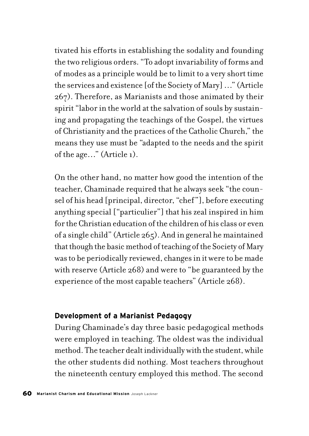tivated his efforts in establishing the sodality and founding the two religious orders. "To adopt invariability of forms and of modes as a principle would be to limit to a very short time the services and existence [of the Society of Mary] …" (Article 267). Therefore, as Marianists and those animated by their spirit "labor in the world at the salvation of souls by sustaining and propagating the teachings of the Gospel, the virtues of Christianity and the practices of the Catholic Church," the means they use must be "adapted to the needs and the spirit of the age…" (Article 1).

On the other hand, no matter how good the intention of the teacher, Chaminade required that he always seek "the counsel of his head [principal, director, "chef"], before executing anything special ["particulier"] that his zeal inspired in him for the Christian education of the children of his class or even of a single child" (Article 265). And in general he maintained that though the basic method of teaching of the Society of Mary was to be periodically reviewed, changes in it were to be made with reserve (Article 268) and were to "be guaranteed by the experience of the most capable teachers" (Article 268).

### **Development of a Marianist Pedagogy**

During Chaminade's day three basic pedagogical methods were employed in teaching. The oldest was the individual method. The teacher dealt individually with the student, while the other students did nothing. Most teachers throughout the nineteenth century employed this method. The second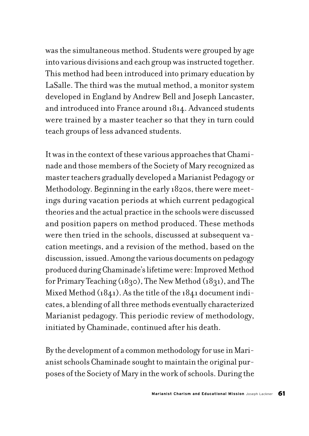was the simultaneous method. Students were grouped by age into various divisions and each group was instructed together. This method had been introduced into primary education by LaSalle. The third was the mutual method, a monitor system developed in England by Andrew Bell and Joseph Lancaster, and introduced into France around 1814. Advanced students were trained by a master teacher so that they in turn could teach groups of less advanced students.

It was in the context of these various approaches that Chaminade and those members of the Society of Mary recognized as master teachers gradually developed a Marianist Pedagogy or Methodology. Beginning in the early 1820s, there were meetings during vacation periods at which current pedagogical theories and the actual practice in the schools were discussed and position papers on method produced. These methods were then tried in the schools, discussed at subsequent vacation meetings, and a revision of the method, based on the discussion, issued. Among the various documents on pedagogy produced during Chaminade's lifetime were: Improved Method for Primary Teaching (1830), The New Method (1831), and The Mixed Method (1841). As the title of the 1841 document indicates, a blending of all three methods eventually characterized Marianist pedagogy. This periodic review of methodology, initiated by Chaminade, continued after his death.

By the development of a common methodology for use in Marianist schools Chaminade sought to maintain the original purposes of the Society of Mary in the work of schools. During the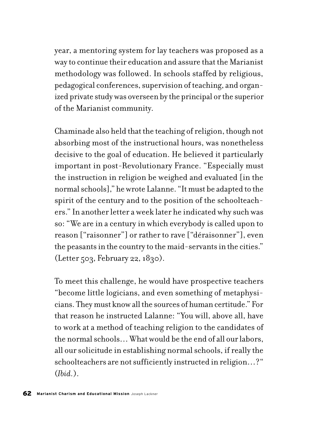year, a mentoring system for lay teachers was proposed as a way to continue their education and assure that the Marianist methodology was followed. In schools staffed by religious, pedagogical conferences, supervision of teaching, and organized private study was overseen by the principal or the superior of the Marianist community.

Chaminade also held that the teaching of religion, though not absorbing most of the instructional hours, was nonetheless decisive to the goal of education. He believed it particularly important in post-Revolutionary France. "Especially must the instruction in religion be weighed and evaluated [in the normal schools]," he wrote Lalanne. "It must be adapted to the spirit of the century and to the position of the schoolteachers." In another letter a week later he indicated why such was so: "We are in a century in which everybody is called upon to reason ["raisonner"] or rather to rave ["déraisonner"], even the peasants in the country to the maid-servants in the cities." (Letter 503, February 22, 1830).

To meet this challenge, he would have prospective teachers "become little logicians, and even something of metaphysicians. They must know all the sources of human certitude." For that reason he instructed Lalanne: "You will, above all, have to work at a method of teaching religion to the candidates of the normal schools… What would be the end of all our labors, all our solicitude in establishing normal schools, if really the schoolteachers are not sufficiently instructed in religion...?" (*Ibid.*).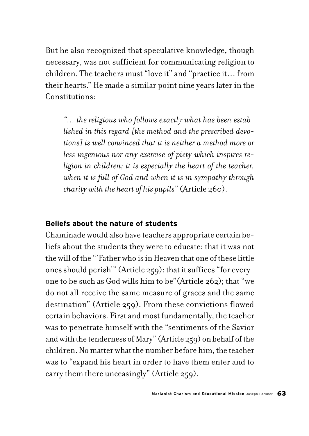But he also recognized that speculative knowledge, though necessary, was not sufficient for communicating religion to children. The teachers must "love it" and "practice it… from their hearts." He made a similar point nine years later in the Constitutions:

*"… the religious who follows exactly what has been established in this regard [the method and the prescribed devotions] is well convinced that it is neither a method more or less ingenious nor any exercise of piety which inspires religion in children; it is especially the heart of the teacher, when it is full of God and when it is in sympathy through charity with the heart of his pupils"* (Article 260).

#### **Beliefs about the nature of students**

Chaminade would also have teachers appropriate certain beliefs about the students they were to educate: that it was not the will of the "'Father who is in Heaven that one of these little ones should perish'" (Article 259); that it suffices "for everyone to be such as God wills him to be"(Article 262); that "we do not all receive the same measure of graces and the same destination" (Article 259). From these convictions flowed certain behaviors. First and most fundamentally, the teacher was to penetrate himself with the "sentiments of the Savior and with the tenderness of Mary" (Article 259) on behalf of the children. No matter what the number before him, the teacher was to "expand his heart in order to have them enter and to carry them there unceasingly" (Article 259).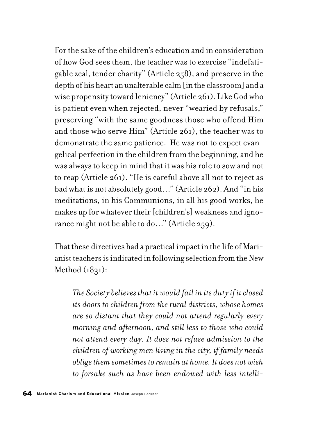For the sake of the children's education and in consideration of how God sees them, the teacher was to exercise "indefatigable zeal, tender charity" (Article 258), and preserve in the depth of his heart an unalterable calm [in the classroom] and a wise propensity toward leniency" (Article 261). Like God who is patient even when rejected, never "wearied by refusals," preserving "with the same goodness those who offend Him and those who serve Him" (Article 261), the teacher was to demonstrate the same patience. He was not to expect evangelical perfection in the children from the beginning, and he was always to keep in mind that it was his role to sow and not to reap (Article 261). "He is careful above all not to reject as bad what is not absolutely good…" (Article 262). And "in his meditations, in his Communions, in all his good works, he makes up for whatever their [children's] weakness and ignorance might not be able to do…" (Article 259).

That these directives had a practical impact in the life of Marianist teachers is indicated in following selection from the New  $Method (1831):$ 

*The Society believes that it would fail in its duty if it closed its doors to children from the rural districts, whose homes are so distant that they could not attend regularly every morning and afternoon, and still less to those who could not attend every day. It does not refuse admission to the children of working men living in the city, if family needs oblige them sometimes to remain at home. It does not wish to forsake such as have been endowed with less intelli-*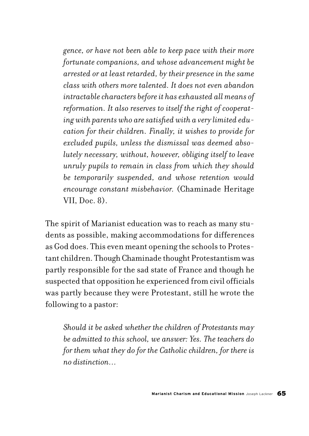*gence, or have not been able to keep pace with their more fortunate companions, and whose advancement might be arrested or at least retarded, by their presence in the same class with others more talented. It does not even abandon intractable characters before it has exhausted all means of reformation. It also reserves to itself the right of cooperating with parents who are satisfied with a very limited education for their children. Finally, it wishes to provide for excluded pupils, unless the dismissal was deemed absolutely necessary, without, however, obliging itself to leave unruly pupils to remain in class from which they should be temporarily suspended, and whose retention would encourage constant misbehavior.* (Chaminade Heritage VII, Doc. 8).

The spirit of Marianist education was to reach as many students as possible, making accommodations for differences as God does. This even meant opening the schools to Protestant children. Though Chaminade thought Protestantism was partly responsible for the sad state of France and though he suspected that opposition he experienced from civil officials was partly because they were Protestant, still he wrote the following to a pastor:

*Should it be asked whether the children of Protestants may be admitted to this school, we answer: Yes. The teachers do for them what they do for the Catholic children, for there is no distinction…*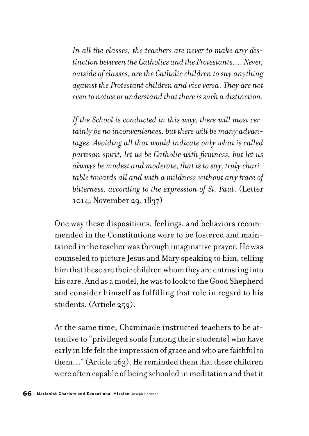*In all the classes, the teachers are never to make any distinction between the Catholics and the Protestants…. Never, outside of classes, are the Catholic children to say anything against the Protestant children and vice versa. They are not even to notice or understand that there is such a distinction.*

*If the School is conducted in this way, there will most certainly be no inconveniences, but there will be many advantages. Avoiding all that would indicate only what is called partisan spirit, let us be Catholic with firmness, but let us always be modest and moderate, that is to say, truly charitable towards all and with a mildness without any trace of bitterness, according to the expression of St. Paul*. (Letter 1014, November 29, 1837)

One way these dispositions, feelings, and behaviors recommended in the Constitutions were to be fostered and maintained in the teacher was through imaginative prayer. He was counseled to picture Jesus and Mary speaking to him, telling him that these are their children whom they are entrusting into his care. And as a model, he was to look to the Good Shepherd and consider himself as fulfilling that role in regard to his students. (Article 259).

At the same time, Chaminade instructed teachers to be attentive to "privileged souls [among their students] who have early in life felt the impression of grace and who are faithful to them…" (Article 263). He reminded them that these children were often capable of being schooled in meditation and that it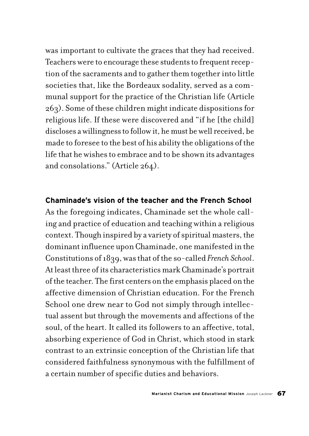was important to cultivate the graces that they had received. Teachers were to encourage these students to frequent reception of the sacraments and to gather them together into little societies that, like the Bordeaux sodality, served as a communal support for the practice of the Christian life (Article 263). Some of these children might indicate dispositions for religious life. If these were discovered and "if he [the child] discloses a willingness to follow it, he must be well received, be made to foresee to the best of his ability the obligations of the life that he wishes to embrace and to be shown its advantages and consolations." (Article 264).

#### **Chaminade's vision of the teacher and the French School**

As the foregoing indicates, Chaminade set the whole calling and practice of education and teaching within a religious context. Though inspired by a variety of spiritual masters, the dominant influence upon Chaminade, one manifested in the Constitutions of 1839, was that of the so-called *French School*. At least three of its characteristics mark Chaminade's portrait of the teacher. The first centers on the emphasis placed on the affective dimension of Christian education. For the French School one drew near to God not simply through intellectual assent but through the movements and affections of the soul, of the heart. It called its followers to an affective, total, absorbing experience of God in Christ, which stood in stark contrast to an extrinsic conception of the Christian life that considered faithfulness synonymous with the fulfillment of a certain number of specific duties and behaviors.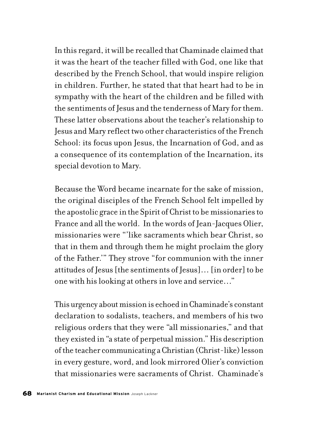In this regard, it will be recalled that Chaminade claimed that it was the heart of the teacher filled with God, one like that described by the French School, that would inspire religion in children. Further, he stated that that heart had to be in sympathy with the heart of the children and be filled with the sentiments of Jesus and the tenderness of Mary for them. These latter observations about the teacher's relationship to Jesus and Mary reflect two other characteristics of the French School: its focus upon Jesus, the Incarnation of God, and as a consequence of its contemplation of the Incarnation, its special devotion to Mary.

Because the Word became incarnate for the sake of mission, the original disciples of the French School felt impelled by the apostolic grace in the Spirit of Christ to be missionaries to France and all the world. In the words of Jean-Jacques Olier, missionaries were "'like sacraments which bear Christ, so that in them and through them he might proclaim the glory of the Father.'" They strove "for communion with the inner attitudes of Jesus [the sentiments of Jesus]… [in order] to be one with his looking at others in love and service…"

This urgency about mission is echoed in Chaminade's constant declaration to sodalists, teachers, and members of his two religious orders that they were "all missionaries," and that they existed in "a state of perpetual mission." His description of the teacher communicating a Christian (Christ-like) lesson in every gesture, word, and look mirrored Olier's conviction that missionaries were sacraments of Christ. Chaminade's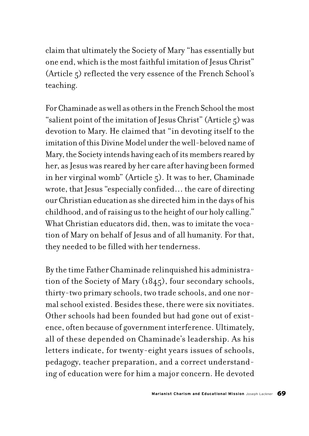claim that ultimately the Society of Mary "has essentially but one end, which is the most faithful imitation of Jesus Christ" (Article 5) reflected the very essence of the French School's teaching.

For Chaminade as well as others in the French School the most "salient point of the imitation of Jesus Christ" (Article 5) was devotion to Mary. He claimed that "in devoting itself to the imitation of this Divine Model under the well-beloved name of Mary, the Society intends having each of its members reared by her, as Jesus was reared by her care after having been formed in her virginal womb" (Article 5). It was to her, Chaminade wrote, that Jesus "especially confided… the care of directing our Christian education as she directed him in the days of his childhood, and of raising us to the height of our holy calling." What Christian educators did, then, was to imitate the vocation of Mary on behalf of Jesus and of all humanity. For that, they needed to be filled with her tenderness.

By the time Father Chaminade relinquished his administration of the Society of Mary (1845), four secondary schools, thirty-two primary schools, two trade schools, and one normal school existed. Besides these, there were six novitiates. Other schools had been founded but had gone out of existence, often because of government interference. Ultimately, all of these depended on Chaminade's leadership. As his letters indicate, for twenty-eight years issues of schools, pedagogy, teacher preparation, and a correct understanding of education were for him a major concern. He devoted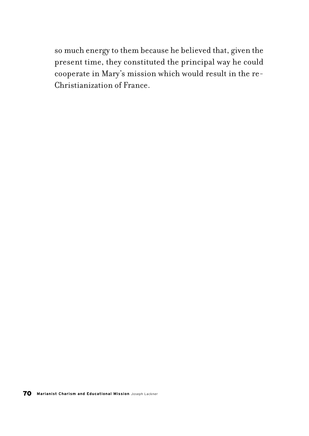so much energy to them because he believed that, given the present time, they constituted the principal way he could cooperate in Mary's mission which would result in the re-Christianization of France.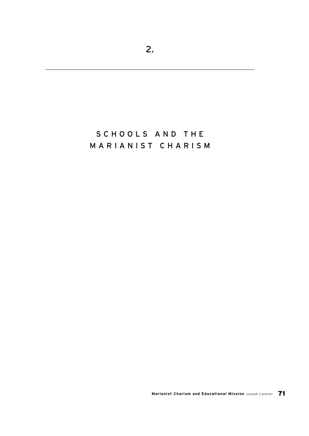# SCHOOLS AND THE MARIANIST CHARISM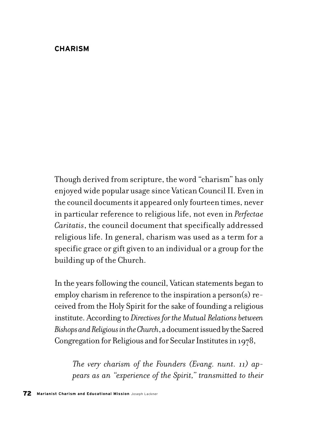#### **CHARISM**

Though derived from scripture, the word "charism" has only enjoyed wide popular usage since Vatican Council II. Even in the council documents it appeared only fourteen times, never in particular reference to religious life, not even in *Perfectae Caritatis*, the council document that specifically addressed religious life. In general, charism was used as a term for a specific grace or gift given to an individual or a group for the building up of the Church.

In the years following the council, Vatican statements began to employ charism in reference to the inspiration a person(s) received from the Holy Spirit for the sake of founding a religious institute. According to *Directives for the Mutual Relations between Bishops and Religious in the Church*, a document issued by the Sacred Congregation for Religious and for Secular Institutes in 1978,

*The very charism of the Founders (Evang. nunt. 11) appears as an "experience of the Spirit," transmitted to their*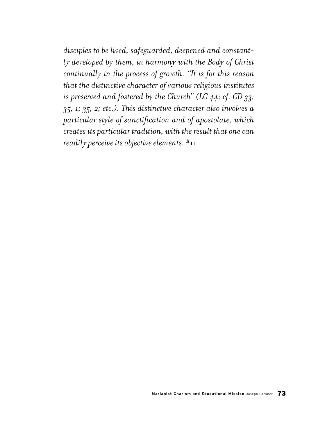*disciples to be lived, safeguarded, deepened and constantly developed by them, in harmony with the Body of Christ continually in the process of growth. "It is for this reason that the distinctive character of various religious institutes is preserved and fostered by the Church" (LG 44; cf. CD 33; 35, 1; 35, 2; etc.). This distinctive character also involves a particular style of sanctification and of apostolate, which creates its particular tradition, with the result that one can readily perceive its objective elements.* #11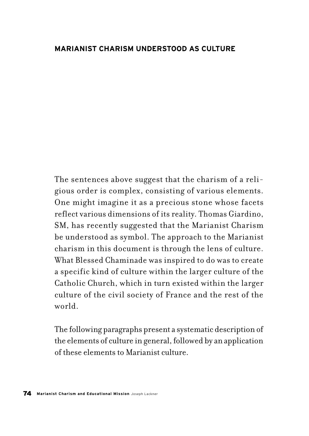#### **MARIANIST CHARISM UNDERSTOOD AS CULTURE**

The sentences above suggest that the charism of a religious order is complex, consisting of various elements. One might imagine it as a precious stone whose facets reflect various dimensions of its reality. Thomas Giardino, SM, has recently suggested that the Marianist Charism be understood as symbol. The approach to the Marianist charism in this document is through the lens of culture. What Blessed Chaminade was inspired to do was to create a specific kind of culture within the larger culture of the Catholic Church, which in turn existed within the larger culture of the civil society of France and the rest of the world.

The following paragraphs present a systematic description of the elements of culture in general, followed by an application of these elements to Marianist culture.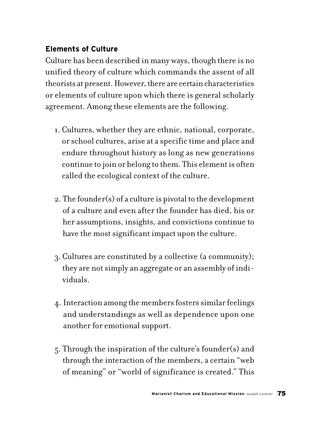## **Elements of Culture**

Culture has been described in many ways, though there is no unified theory of culture which commands the assent of all theorists at present. However, there are certain characteristics or elements of culture upon which there is general scholarly agreement. Among these elements are the following.

- 1. Cultures, whether they are ethnic, national, corporate, or school cultures, arise at a specific time and place and endure throughout history as long as new generations continue to join or belong to them. This element is often called the ecological context of the culture.
- 2. The founder(s) of a culture is pivotal to the development of a culture and even after the founder has died, his or her assumptions, insights, and convictions continue to have the most significant impact upon the culture.
- 3. Cultures are constituted by a collective (a community); they are not simply an aggregate or an assembly of individuals.
- 4. Interaction among the members fosters similar feelings and understandings as well as dependence upon one another for emotional support.
- 5. Through the inspiration of the culture's founder(s) and through the interaction of the members, a certain "web of meaning" or "world of significance is created." This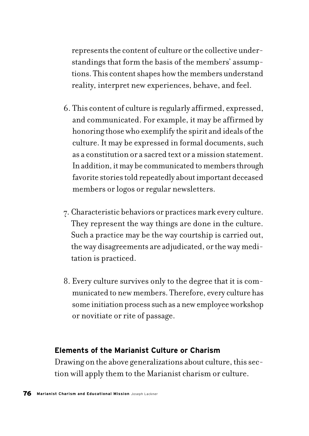represents the content of culture or the collective understandings that form the basis of the members' assumptions. This content shapes how the members understand reality, interpret new experiences, behave, and feel.

- 6. This content of culture is regularly affirmed, expressed, and communicated. For example, it may be affirmed by honoring those who exemplify the spirit and ideals of the culture. It may be expressed in formal documents, such as a constitution or a sacred text or a mission statement. In addition, it may be communicated to members through favorite stories told repeatedly about important deceased members or logos or regular newsletters.
- 7. Characteristic behaviors or practices mark every culture. They represent the way things are done in the culture. Such a practice may be the way courtship is carried out, the way disagreements are adjudicated, or the way meditation is practiced.
- 8. Every culture survives only to the degree that it is communicated to new members. Therefore, every culture has some initiation process such as a new employee workshop or novitiate or rite of passage.

#### **Elements of the Marianist Culture or Charism**

Drawing on the above generalizations about culture, this section will apply them to the Marianist charism or culture.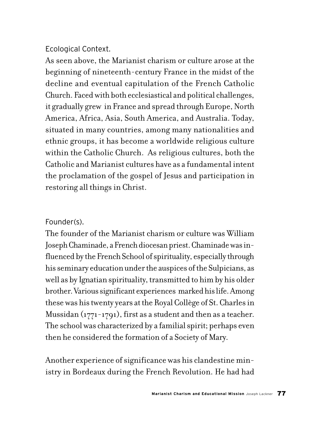## Ecological Context.

As seen above, the Marianist charism or culture arose at the beginning of nineteenth-century France in the midst of the decline and eventual capitulation of the French Catholic Church. Faced with both ecclesiastical and political challenges, it gradually grew in France and spread through Europe, North America, Africa, Asia, South America, and Australia. Today, situated in many countries, among many nationalities and ethnic groups, it has become a worldwide religious culture within the Catholic Church. As religious cultures, both the Catholic and Marianist cultures have as a fundamental intent the proclamation of the gospel of Jesus and participation in restoring all things in Christ.

### Founder(s).

The founder of the Marianist charism or culture was William Joseph Chaminade, a French diocesan priest. Chaminade was influenced by the French School of spirituality, especially through his seminary education under the auspices of the Sulpicians, as well as by Ignatian spirituality, transmitted to him by his older brother. Various significant experiences marked his life. Among these was his twenty years at the Royal Collège of St. Charles in Mussidan (1771-1791), first as a student and then as a teacher. The school was characterized by a familial spirit; perhaps even then he considered the formation of a Society of Mary.

Another experience of significance was his clandestine ministry in Bordeaux during the French Revolution. He had had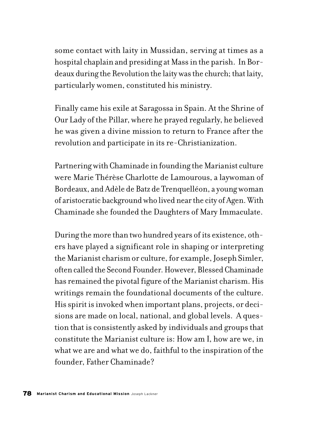some contact with laity in Mussidan, serving at times as a hospital chaplain and presiding at Mass in the parish. In Bordeaux during the Revolution the laity was the church; that laity, particularly women, constituted his ministry.

Finally came his exile at Saragossa in Spain. At the Shrine of Our Lady of the Pillar, where he prayed regularly, he believed he was given a divine mission to return to France after the revolution and participate in its re-Christianization.

Partnering with Chaminade in founding the Marianist culture were Marie Thérèse Charlotte de Lamourous, a laywoman of Bordeaux, and Adèle de Batz de Trenquelléon, a young woman of aristocratic background who lived near the city of Agen. With Chaminade she founded the Daughters of Mary Immaculate.

During the more than two hundred years of its existence, others have played a significant role in shaping or interpreting the Marianist charism or culture, for example, Joseph Simler, often called the Second Founder. However, Blessed Chaminade has remained the pivotal figure of the Marianist charism. His writings remain the foundational documents of the culture. His spirit is invoked when important plans, projects, or decisions are made on local, national, and global levels. A question that is consistently asked by individuals and groups that constitute the Marianist culture is: How am I, how are we, in what we are and what we do, faithful to the inspiration of the founder, Father Chaminade?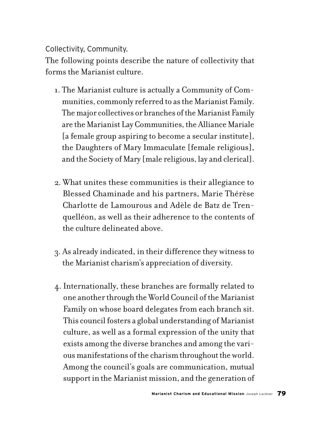Collectivity, Community.

The following points describe the nature of collectivity that forms the Marianist culture.

- 1. The Marianist culture is actually a Community of Communities, commonly referred to as the Marianist Family. The major collectives or branches of the Marianist Family are the Marianist Lay Communities, the Alliance Mariale [a female group aspiring to become a secular institute], the Daughters of Mary Immaculate [female religious], and the Society of Mary [male religious, lay and clerical].
- 2. What unites these communities is their allegiance to Blessed Chaminade and his partners, Marie Thérèse Charlotte de Lamourous and Adèle de Batz de Trenquelléon, as well as their adherence to the contents of the culture delineated above.
- 3. As already indicated, in their difference they witness to the Marianist charism's appreciation of diversity.
- 4. Internationally, these branches are formally related to one another through the World Council of the Marianist Family on whose board delegates from each branch sit. This council fosters a global understanding of Marianist culture, as well as a formal expression of the unity that exists among the diverse branches and among the various manifestations of the charism throughout the world. Among the council's goals are communication, mutual support in the Marianist mission, and the generation of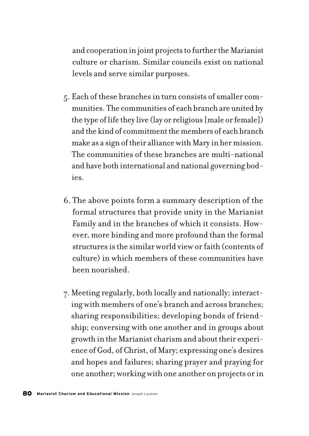and cooperation in joint projects to further the Marianist culture or charism. Similar councils exist on national levels and serve similar purposes.

- 5. Each of these branches in turn consists of smaller communities. The communities of each branch are united by the type of life they live (lay or religious [male or female]) and the kind of commitment the members of each branch make as a sign of their alliance with Mary in her mission. The communities of these branches are multi-national and have both international and national governing bodies.
- 6. The above points form a summary description of the formal structures that provide unity in the Marianist Family and in the branches of which it consists. However, more binding and more profound than the formal structures is the similar world view or faith (contents of culture) in which members of these communities have been nourished.
- 7. Meeting regularly, both locally and nationally; interacting with members of one's branch and across branches; sharing responsibilities; developing bonds of friendship; conversing with one another and in groups about growth in the Marianist charism and about their experience of God, of Christ, of Mary; expressing one's desires and hopes and failures; sharing prayer and praying for one another; working with one another on projects or in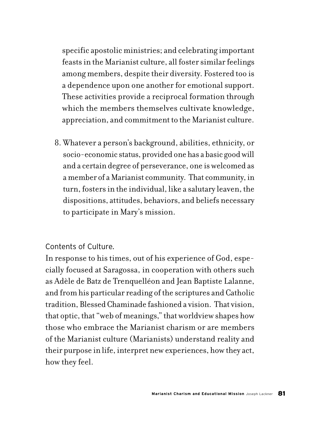specific apostolic ministries; and celebrating important feasts in the Marianist culture, all foster similar feelings among members, despite their diversity. Fostered too is a dependence upon one another for emotional support. These activities provide a reciprocal formation through which the members themselves cultivate knowledge, appreciation, and commitment to the Marianist culture.

8. Whatever a person's background, abilities, ethnicity, or socio-economic status, provided one has a basic good will and a certain degree of perseverance, one is welcomed as a member of a Marianist community. That community, in turn, fosters in the individual, like a salutary leaven, the dispositions, attitudes, behaviors, and beliefs necessary to participate in Mary's mission.

Contents of Culture.

In response to his times, out of his experience of God, especially focused at Saragossa, in cooperation with others such as Adèle de Batz de Trenquelléon and Jean Baptiste Lalanne, and from his particular reading of the scriptures and Catholic tradition, Blessed Chaminade fashioned a vision. That vision, that optic, that "web of meanings," that worldview shapes how those who embrace the Marianist charism or are members of the Marianist culture (Marianists) understand reality and their purpose in life, interpret new experiences, how they act, how they feel.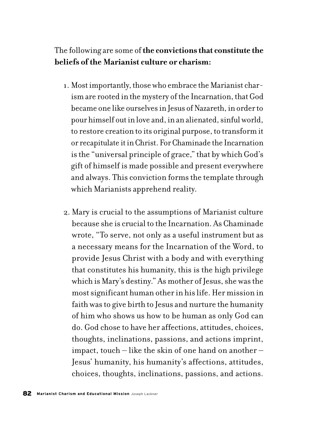# The following are some of **the convictions that constitute the beliefs of the Marianist culture or charism:**

- 1. Most importantly, those who embrace the Marianist charism are rooted in the mystery of the Incarnation, that God became one like ourselves in Jesus of Nazareth, in order to pour himself out in love and, in an alienated, sinful world, to restore creation to its original purpose, to transform it or recapitulate it in Christ. For Chaminade the Incarnation is the "universal principle of grace," that by which God's gift of himself is made possible and present everywhere and always. This conviction forms the template through which Marianists apprehend reality.
- 2. Mary is crucial to the assumptions of Marianist culture because she is crucial to the Incarnation. As Chaminade wrote, "To serve, not only as a useful instrument but as a necessary means for the Incarnation of the Word, to provide Jesus Christ with a body and with everything that constitutes his humanity, this is the high privilege which is Mary's destiny." As mother of Jesus, she was the most significant human other in his life. Her mission in faith was to give birth to Jesus and nurture the humanity of him who shows us how to be human as only God can do. God chose to have her affections, attitudes, choices, thoughts, inclinations, passions, and actions imprint, impact, touch – like the skin of one hand on another – Jesus' humanity, his humanity's affections, attitudes, choices, thoughts, inclinations, passions, and actions.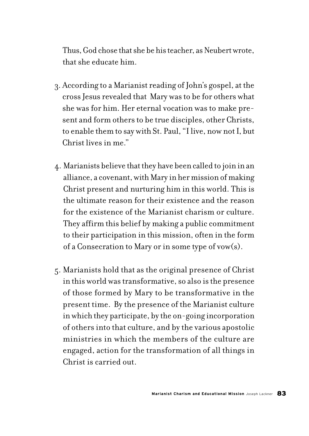Thus, God chose that she be his teacher, as Neubert wrote, that she educate him.

- 3. According to a Marianist reading of John's gospel, at the cross Jesus revealed that Mary was to be for others what she was for him. Her eternal vocation was to make present and form others to be true disciples, other Christs, to enable them to say with St. Paul, "I live, now not I, but Christ lives in me."
- 4. Marianists believe that they have been called to join in an alliance, a covenant, with Mary in her mission of making Christ present and nurturing him in this world. This is the ultimate reason for their existence and the reason for the existence of the Marianist charism or culture. They affirm this belief by making a public commitment to their participation in this mission, often in the form of a Consecration to Mary or in some type of vow(s).
- 5. Marianists hold that as the original presence of Christ in this world was transformative, so also is the presence of those formed by Mary to be transformative in the present time. By the presence of the Marianist culture in which they participate, by the on-going incorporation of others into that culture, and by the various apostolic ministries in which the members of the culture are engaged, action for the transformation of all things in Christ is carried out.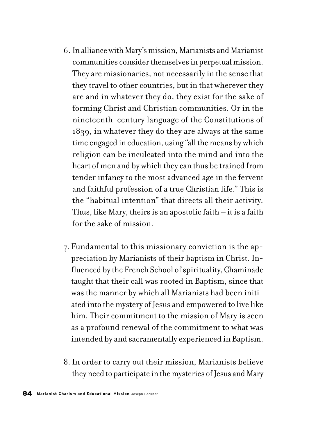- 6. In alliance with Mary's mission, Marianists and Marianist communities consider themselves in perpetual mission. They are missionaries, not necessarily in the sense that they travel to other countries, but in that wherever they are and in whatever they do, they exist for the sake of forming Christ and Christian communities. Or in the nineteenth-century language of the Constitutions of 1839, in whatever they do they are always at the same time engaged in education, using "all the means by which religion can be inculcated into the mind and into the heart of men and by which they can thus be trained from tender infancy to the most advanced age in the fervent and faithful profession of a true Christian life." This is the "habitual intention" that directs all their activity. Thus, like Mary, theirs is an apostolic faith  $-$  it is a faith for the sake of mission.
- 7. Fundamental to this missionary conviction is the appreciation by Marianists of their baptism in Christ. Influenced by the French School of spirituality, Chaminade taught that their call was rooted in Baptism, since that was the manner by which all Marianists had been initiated into the mystery of Jesus and empowered to live like him. Their commitment to the mission of Mary is seen as a profound renewal of the commitment to what was intended by and sacramentally experienced in Baptism.
- 8. In order to carry out their mission, Marianists believe they need to participate in the mysteries of Jesus and Mary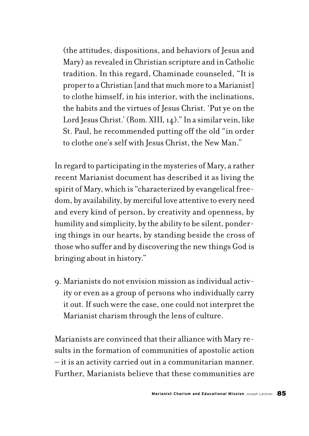(the attitudes, dispositions, and behaviors of Jesus and Mary) as revealed in Christian scripture and in Catholic tradition. In this regard, Chaminade counseled, "It is proper to a Christian [and that much more to a Marianist] to clothe himself, in his interior, with the inclinations, the habits and the virtues of Jesus Christ. 'Put ye on the Lord Jesus Christ.' (Rom. XIII, 14)." In a similar vein, like St. Paul, he recommended putting off the old "in order to clothe one's self with Jesus Christ, the New Man."

In regard to participating in the mysteries of Mary, a rather recent Marianist document has described it as living the spirit of Mary, which is "characterized by evangelical freedom, by availability, by merciful love attentive to every need and every kind of person, by creativity and openness, by humility and simplicity, by the ability to be silent, pondering things in our hearts, by standing beside the cross of those who suffer and by discovering the new things God is bringing about in history."

9. Marianists do not envision mission as individual activity or even as a group of persons who individually carry it out. If such were the case, one could not interpret the Marianist charism through the lens of culture.

Marianists are convinced that their alliance with Mary results in the formation of communities of apostolic action – it is an activity carried out in a communitarian manner. Further, Marianists believe that these communities are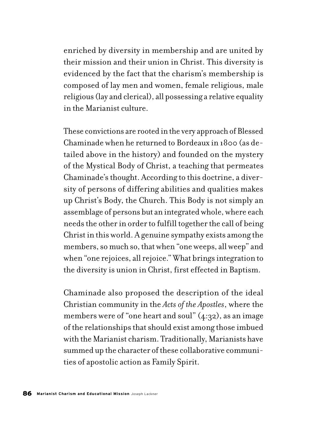enriched by diversity in membership and are united by their mission and their union in Christ. This diversity is evidenced by the fact that the charism's membership is composed of lay men and women, female religious, male religious (lay and clerical), all possessing a relative equality in the Marianist culture.

These convictions are rooted in the very approach of Blessed Chaminade when he returned to Bordeaux in 1800 (as detailed above in the history) and founded on the mystery of the Mystical Body of Christ, a teaching that permeates Chaminade's thought. According to this doctrine, a diversity of persons of differing abilities and qualities makes up Christ's Body, the Church. This Body is not simply an assemblage of persons but an integrated whole, where each needs the other in order to fulfill together the call of being Christ in this world. A genuine sympathy exists among the members, so much so, that when "one weeps, all weep" and when "one rejoices, all rejoice." What brings integration to the diversity is union in Christ, first effected in Baptism.

Chaminade also proposed the description of the ideal Christian community in the *Acts of the Apostles*, where the members were of "one heart and soul" (4:32), as an image of the relationships that should exist among those imbued with the Marianist charism. Traditionally, Marianists have summed up the character of these collaborative communities of apostolic action as Family Spirit.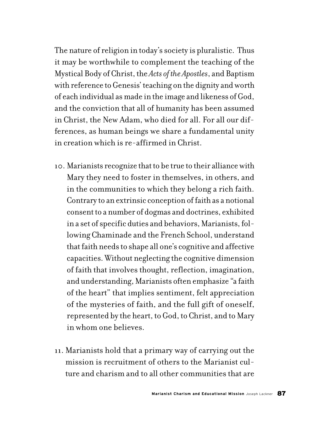The nature of religion in today's society is pluralistic. Thus it may be worthwhile to complement the teaching of the Mystical Body of Christ, the *Acts of the Apostles*, and Baptism with reference to Genesis' teaching on the dignity and worth of each individual as made in the image and likeness of God, and the conviction that all of humanity has been assumed in Christ, the New Adam, who died for all. For all our differences, as human beings we share a fundamental unity in creation which is re-affirmed in Christ.

- 10. Marianists recognize that to be true to their alliance with Mary they need to foster in themselves, in others, and in the communities to which they belong a rich faith. Contrary to an extrinsic conception of faith as a notional consent to a number of dogmas and doctrines, exhibited in a set of specific duties and behaviors, Marianists, following Chaminade and the French School, understand that faith needs to shape all one's cognitive and affective capacities. Without neglecting the cognitive dimension of faith that involves thought, reflection, imagination, and understanding, Marianists often emphasize "a faith of the heart" that implies sentiment, felt appreciation of the mysteries of faith, and the full gift of oneself, represented by the heart, to God, to Christ, and to Mary in whom one believes.
- 11. Marianists hold that a primary way of carrying out the mission is recruitment of others to the Marianist culture and charism and to all other communities that are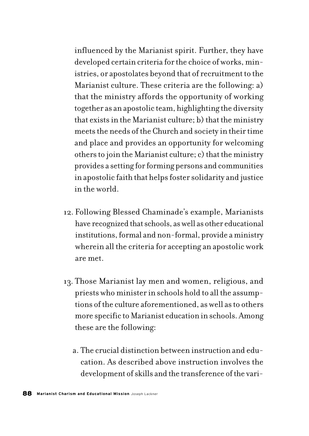influenced by the Marianist spirit. Further, they have developed certain criteria for the choice of works, ministries, or apostolates beyond that of recruitment to the Marianist culture. These criteria are the following: a) that the ministry affords the opportunity of working together as an apostolic team, highlighting the diversity that exists in the Marianist culture; b) that the ministry meets the needs of the Church and society in their time and place and provides an opportunity for welcoming others to join the Marianist culture; c) that the ministry provides a setting for forming persons and communities in apostolic faith that helps foster solidarity and justice in the world.

- 12. Following Blessed Chaminade's example, Marianists have recognized that schools, as well as other educational institutions, formal and non-formal, provide a ministry wherein all the criteria for accepting an apostolic work are met.
- 13. Those Marianist lay men and women, religious, and priests who minister in schools hold to all the assumptions of the culture aforementioned, as well as to others more specific to Marianist education in schools. Among these are the following:
	- a. The crucial distinction between instruction and education. As described above instruction involves the development of skills and the transference of the vari-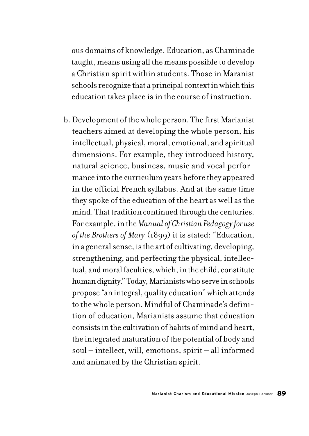ous domains of knowledge. Education, as Chaminade taught, means using all the means possible to develop a Christian spirit within students. Those in Maranist schools recognize that a principal context in which this education takes place is in the course of instruction.

b. Development of the whole person. The first Marianist teachers aimed at developing the whole person, his intellectual, physical, moral, emotional, and spiritual dimensions. For example, they introduced history, natural science, business, music and vocal performance into the curriculum years before they appeared in the official French syllabus. And at the same time they spoke of the education of the heart as well as the mind. That tradition continued through the centuries. For example, in the *Manual of Christian Pedagogy for use of the Brothers of Mary* (1899) it is stated: "Education, in a general sense, is the art of cultivating, developing, strengthening, and perfecting the physical, intellectual, and moral faculties, which, in the child, constitute human dignity." Today, Marianists who serve in schools propose "an integral, quality education" which attends to the whole person. Mindful of Chaminade's definition of education, Marianists assume that education consists in the cultivation of habits of mind and heart, the integrated maturation of the potential of body and soul – intellect, will, emotions, spirit – all informed and animated by the Christian spirit.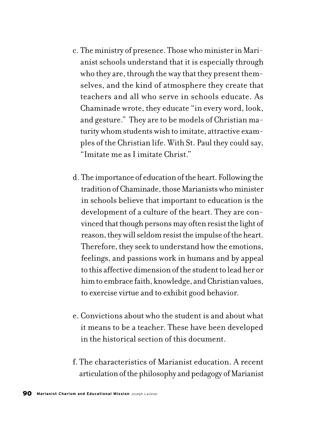- c. The ministry of presence. Those who minister in Marianist schools understand that it is especially through who they are, through the way that they present themselves, and the kind of atmosphere they create that teachers and all who serve in schools educate. As Chaminade wrote, they educate "in every word, look, and gesture." They are to be models of Christian maturity whom students wish to imitate, attractive examples of the Christian life. With St. Paul they could say, "Imitate me as I imitate Christ."
- d. The importance of education of the heart. Following the tradition of Chaminade, those Marianists who minister in schools believe that important to education is the development of a culture of the heart. They are convinced that though persons may often resist the light of reason, they will seldom resist the impulse of the heart. Therefore, they seek to understand how the emotions, feelings, and passions work in humans and by appeal to this affective dimension of the student to lead her or him to embrace faith, knowledge, and Christian values, to exercise virtue and to exhibit good behavior.
- e. Convictions about who the student is and about what it means to be a teacher. These have been developed in the historical section of this document.
- f. The characteristics of Marianist education. A recent articulation of the philosophy and pedagogy of Marianist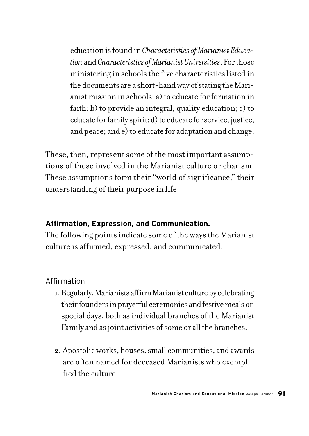education is found in *Characteristics of Marianist Education* and *Characteristics of Marianist Universities*. For those ministering in schools the five characteristics listed in the documents are a short-hand way of stating the Marianist mission in schools: a) to educate for formation in faith; b) to provide an integral, quality education; c) to educate for family spirit; d) to educate for service, justice, and peace; and e) to educate for adaptation and change.

These, then, represent some of the most important assumptions of those involved in the Marianist culture or charism. These assumptions form their "world of significance," their understanding of their purpose in life.

## **Affirmation, Expression, and Communication.**

The following points indicate some of the ways the Marianist culture is affirmed, expressed, and communicated.

Affirmation

- 1. Regularly, Marianists affirm Marianist culture by celebrating their founders in prayerful ceremonies and festive meals on special days, both as individual branches of the Marianist Family and as joint activities of some or all the branches.
- 2. Apostolic works, houses, small communities, and awards are often named for deceased Marianists who exemplified the culture.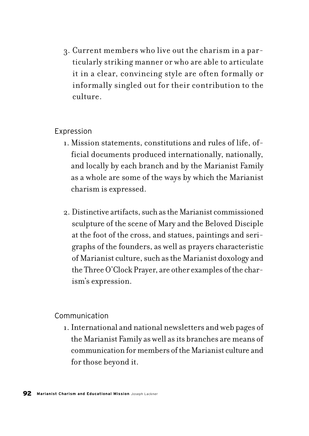3. Current members who live out the charism in a particularly striking manner or who are able to articulate it in a clear, convincing style are often formally or informally singled out for their contribution to the culture.

### Expression

- 1. Mission statements, constitutions and rules of life, official documents produced internationally, nationally, and locally by each branch and by the Marianist Family as a whole are some of the ways by which the Marianist charism is expressed.
- 2. Distinctive artifacts, such as the Marianist commissioned sculpture of the scene of Mary and the Beloved Disciple at the foot of the cross, and statues, paintings and serigraphs of the founders, as well as prayers characteristic of Marianist culture, such as the Marianist doxology and the Three O'Clock Prayer, are other examples of the charism's expression.

Communication

1. International and national newsletters and web pages of the Marianist Family as well as its branches are means of communication for members of the Marianist culture and for those beyond it.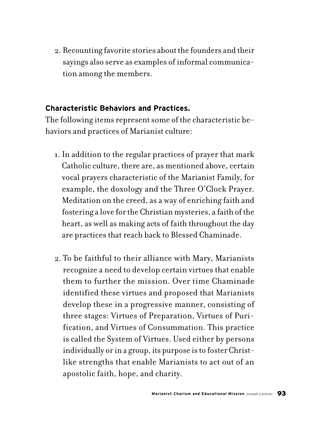2. Recounting favorite stories about the founders and their sayings also serve as examples of informal communication among the members.

### **Characteristic Behaviors and Practices.**

The following items represent some of the characteristic behaviors and practices of Marianist culture:

- 1. In addition to the regular practices of prayer that mark Catholic culture, there are, as mentioned above, certain vocal prayers characteristic of the Marianist Family, for example, the doxology and the Three O'Clock Prayer. Meditation on the creed, as a way of enriching faith and fostering a love for the Christian mysteries, a faith of the heart, as well as making acts of faith throughout the day are practices that reach back to Blessed Chaminade.
- 2. To be faithful to their alliance with Mary, Marianists recognize a need to develop certain virtues that enable them to further the mission. Over time Chaminade identified these virtues and proposed that Marianists develop these in a progressive manner, consisting of three stages: Virtues of Preparation, Virtues of Purification, and Virtues of Consummation. This practice is called the System of Virtues. Used either by persons individually or in a group, its purpose is to foster Christlike strengths that enable Marianists to act out of an apostolic faith, hope, and charity.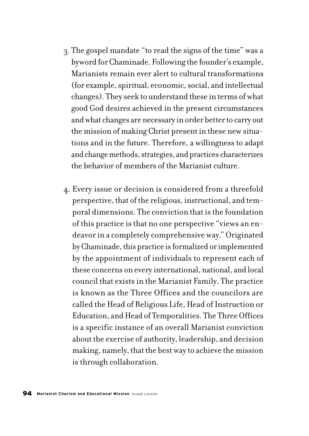- 3. The gospel mandate "to read the signs of the time" was a byword for Chaminade. Following the founder's example, Marianists remain ever alert to cultural transformations (for example, spiritual, economic, social, and intellectual changes). They seek to understand these in terms of what good God desires achieved in the present circumstances and what changes are necessary in order better to carry out the mission of making Christ present in these new situations and in the future. Therefore, a willingness to adapt and change methods, strategies, and practices characterizes the behavior of members of the Marianist culture.
- 4. Every issue or decision is considered from a threefold perspective, that of the religious, instructional, and temporal dimensions. The conviction that is the foundation of this practice is that no one perspective "views an endeavor in a completely comprehensive way." Originated by Chaminade, this practice is formalized or implemented by the appointment of individuals to represent each of these concerns on every international, national, and local council that exists in the Marianist Family. The practice is known as the Three Offices and the councilors are called the Head of Religious Life, Head of Instruction or Education, and Head of Temporalities. The Three Offices is a specific instance of an overall Marianist conviction about the exercise of authority, leadership, and decision making, namely, that the best way to achieve the mission is through collaboration.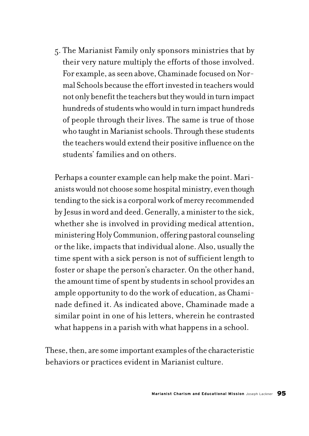5. The Marianist Family only sponsors ministries that by their very nature multiply the efforts of those involved. For example, as seen above, Chaminade focused on Normal Schools because the effort invested in teachers would not only benefit the teachers but they would in turn impact hundreds of students who would in turn impact hundreds of people through their lives. The same is true of those who taught in Marianist schools. Through these students the teachers would extend their positive influence on the students' families and on others.

Perhaps a counter example can help make the point. Marianists would not choose some hospital ministry, even though tending to the sick is a corporal work of mercy recommended by Jesus in word and deed. Generally, a minister to the sick, whether she is involved in providing medical attention, ministering Holy Communion, offering pastoral counseling or the like, impacts that individual alone. Also, usually the time spent with a sick person is not of sufficient length to foster or shape the person's character. On the other hand, the amount time of spent by students in school provides an ample opportunity to do the work of education, as Chaminade defined it. As indicated above, Chaminade made a similar point in one of his letters, wherein he contrasted what happens in a parish with what happens in a school.

These, then, are some important examples of the characteristic behaviors or practices evident in Marianist culture.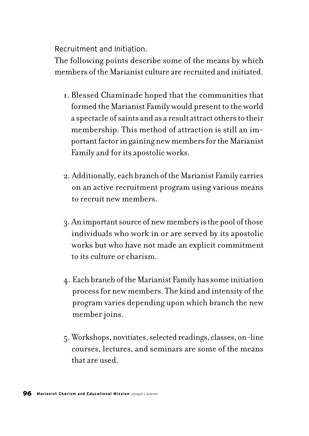Recruitment and Initiation.

The following points describe some of the means by which members of the Marianist culture are recruited and initiated.

- 1. Blessed Chaminade hoped that the communities that formed the Marianist Family would present to the world a spectacle of saints and as a result attract others to their membership. This method of attraction is still an important factor in gaining new members for the Marianist Family and for its apostolic works.
- 2. Additionally, each branch of the Marianist Family carries on an active recruitment program using various means to recruit new members.
- 3. An important source of new members is the pool of those individuals who work in or are served by its apostolic works but who have not made an explicit commitment to its culture or charism.
- 4. Each branch of the Marianist Family has some initiation process for new members. The kind and intensity of the program varies depending upon which branch the new member joins.
- 5. Workshops, novitiates, selected readings, classes, on-line courses, lectures, and seminars are some of the means that are used.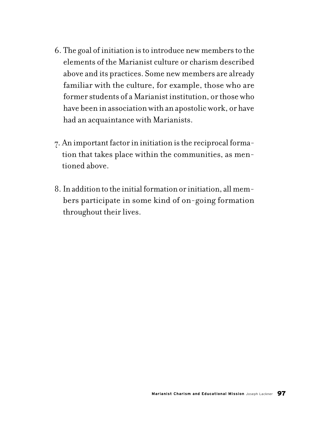- 6. The goal of initiation is to introduce new members to the elements of the Marianist culture or charism described above and its practices. Some new members are already familiar with the culture, for example, those who are former students of a Marianist institution, or those who have been in association with an apostolic work, or have had an acquaintance with Marianists.
- 7. An important factor in initiation is the reciprocal formation that takes place within the communities, as mentioned above.
- 8. In addition to the initial formation or initiation, all members participate in some kind of on-going formation throughout their lives.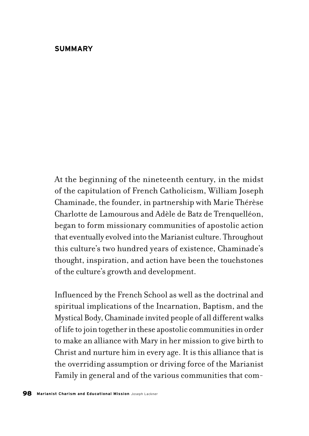#### **SUMMARY**

At the beginning of the nineteenth century, in the midst of the capitulation of French Catholicism, William Joseph Chaminade, the founder, in partnership with Marie Thérèse Charlotte de Lamourous and Adèle de Batz de Trenquelléon, began to form missionary communities of apostolic action that eventually evolved into the Marianist culture. Throughout this culture's two hundred years of existence, Chaminade's thought, inspiration, and action have been the touchstones of the culture's growth and development.

Influenced by the French School as well as the doctrinal and spiritual implications of the Incarnation, Baptism, and the Mystical Body, Chaminade invited people of all different walks of life to join together in these apostolic communities in order to make an alliance with Mary in her mission to give birth to Christ and nurture him in every age. It is this alliance that is the overriding assumption or driving force of the Marianist Family in general and of the various communities that com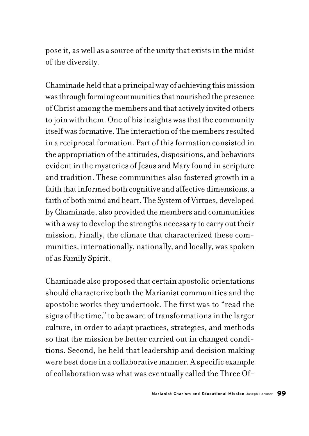pose it, as well as a source of the unity that exists in the midst of the diversity.

Chaminade held that a principal way of achieving this mission was through forming communities that nourished the presence of Christ among the members and that actively invited others to join with them. One of his insights was that the community itself was formative. The interaction of the members resulted in a reciprocal formation. Part of this formation consisted in the appropriation of the attitudes, dispositions, and behaviors evident in the mysteries of Jesus and Mary found in scripture and tradition. These communities also fostered growth in a faith that informed both cognitive and affective dimensions, a faith of both mind and heart. The System of Virtues, developed by Chaminade, also provided the members and communities with a way to develop the strengths necessary to carry out their mission. Finally, the climate that characterized these communities, internationally, nationally, and locally, was spoken of as Family Spirit.

Chaminade also proposed that certain apostolic orientations should characterize both the Marianist communities and the apostolic works they undertook. The first was to "read the signs of the time," to be aware of transformations in the larger culture, in order to adapt practices, strategies, and methods so that the mission be better carried out in changed conditions. Second, he held that leadership and decision making were best done in a collaborative manner. A specific example of collaboration was what was eventually called the Three Of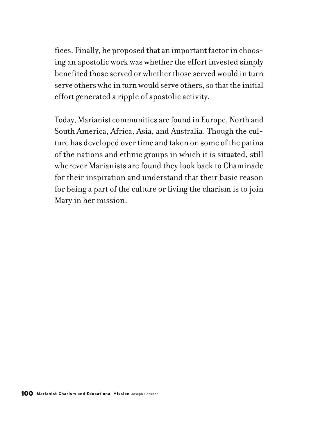fices. Finally, he proposed that an important factor in choosing an apostolic work was whether the effort invested simply benefited those served or whether those served would in turn serve others who in turn would serve others, so that the initial effort generated a ripple of apostolic activity.

Today, Marianist communities are found in Europe, North and South America, Africa, Asia, and Australia. Though the culture has developed over time and taken on some of the patina of the nations and ethnic groups in which it is situated, still wherever Marianists are found they look back to Chaminade for their inspiration and understand that their basic reason for being a part of the culture or living the charism is to join Mary in her mission.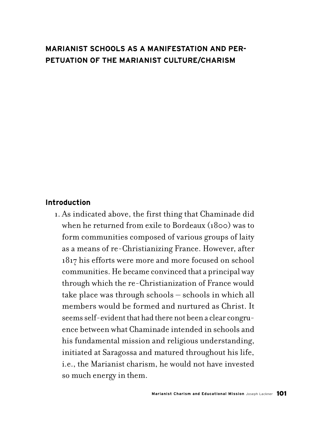## **MARIANIST SCHOOLS AS A MANIFESTATION AND PER-PETUATION OF THE MARIANIST CULTURE/CHARISM**

#### **Introduction**

1. As indicated above, the first thing that Chaminade did when he returned from exile to Bordeaux (1800) was to form communities composed of various groups of laity as a means of re-Christianizing France. However, after 1817 his efforts were more and more focused on school communities. He became convinced that a principal way through which the re-Christianization of France would take place was through schools – schools in which all members would be formed and nurtured as Christ. It seems self-evident that had there not been a clear congruence between what Chaminade intended in schools and his fundamental mission and religious understanding, initiated at Saragossa and matured throughout his life, i.e., the Marianist charism, he would not have invested so much energy in them.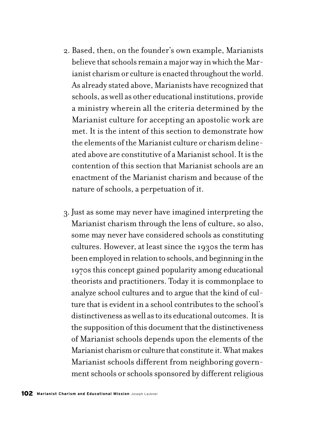- 2. Based, then, on the founder's own example, Marianists believe that schools remain a major way in which the Marianist charism or culture is enacted throughout the world. As already stated above, Marianists have recognized that schools, as well as other educational institutions, provide a ministry wherein all the criteria determined by the Marianist culture for accepting an apostolic work are met. It is the intent of this section to demonstrate how the elements of the Marianist culture or charism delineated above are constitutive of a Marianist school. It is the contention of this section that Marianist schools are an enactment of the Marianist charism and because of the nature of schools, a perpetuation of it.
- 3. Just as some may never have imagined interpreting the Marianist charism through the lens of culture, so also, some may never have considered schools as constituting cultures. However, at least since the 1930s the term has been employed in relation to schools, and beginning in the 1970s this concept gained popularity among educational theorists and practitioners. Today it is commonplace to analyze school cultures and to argue that the kind of culture that is evident in a school contributes to the school's distinctiveness as well as to its educational outcomes. It is the supposition of this document that the distinctiveness of Marianist schools depends upon the elements of the Marianist charism or culture that constitute it. What makes Marianist schools different from neighboring government schools or schools sponsored by different religious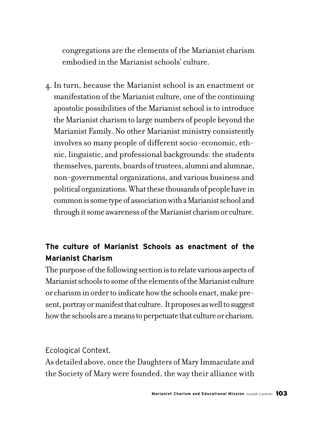congregations are the elements of the Marianist charism embodied in the Marianist schools' culture.

4. In turn, because the Marianist school is an enactment or manifestation of the Marianist culture, one of the continuing apostolic possibilities of the Marianist school is to introduce the Marianist charism to large numbers of people beyond the Marianist Family. No other Marianist ministry consistently involves so many people of different socio-economic, ethnic, linguistic, and professional backgrounds: the students themselves, parents, boards of trustees, alumni and alumnae, non-governmental organizations, and various business and political organizations. What these thousands of people have in common is some type of association with a Marianist school and through it some awareness of the Marianist charism or culture.

# **The culture of Marianist Schools as enactment of the Marianist Charism**

The purpose of the following section is to relate various aspects of Marianist schools to some of the elements of the Marianist culture or charism in order to indicate how the schools enact, make present, portray or manifest that culture. It proposes as well to suggest how the schools are a means to perpetuate that culture or charism.

Ecological Context.

As detailed above, once the Daughters of Mary Immaculate and the Society of Mary were founded, the way their alliance with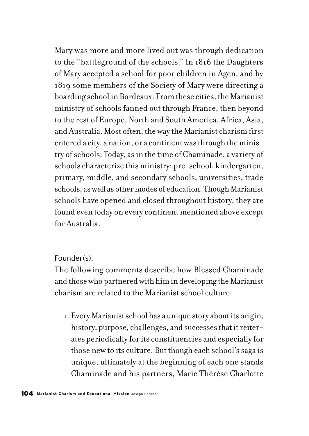Mary was more and more lived out was through dedication to the "battleground of the schools." In 1816 the Daughters of Mary accepted a school for poor children in Agen, and by 1819 some members of the Society of Mary were directing a boarding school in Bordeaux. From these cities, the Marianist ministry of schools fanned out through France, then beyond to the rest of Europe, North and South America, Africa, Asia, and Australia. Most often, the way the Marianist charism first entered a city, a nation, or a continent was through the ministry of schools. Today, as in the time of Chaminade, a variety of schools characterize this ministry: pre-school, kindergarten, primary, middle, and secondary schools, universities, trade schools, as well as other modes of education. Though Marianist schools have opened and closed throughout history, they are found even today on every continent mentioned above except for Australia.

### Founder(s).

The following comments describe how Blessed Chaminade and those who partnered with him in developing the Marianist charism are related to the Marianist school culture.

1. Every Marianist school has a unique story about its origin, history, purpose, challenges, and successes that it reiterates periodically for its constituencies and especially for those new to its culture. But though each school's saga is unique, ultimately at the beginning of each one stands Chaminade and his partners, Marie Thérèse Charlotte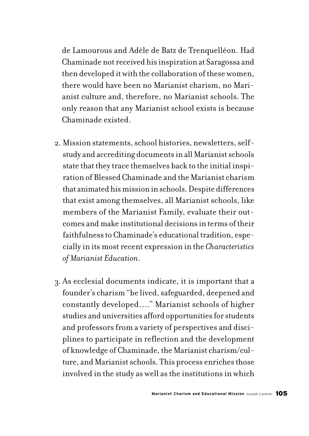de Lamourous and Adèle de Batz de Trenquelléon. Had Chaminade not received his inspiration at Saragossa and then developed it with the collaboration of these women, there would have been no Marianist charism, no Marianist culture and, therefore, no Marianist schools. The only reason that any Marianist school exists is because Chaminade existed.

- 2. Mission statements, school histories, newsletters, selfstudy and accrediting documents in all Marianist schools state that they trace themselves back to the initial inspiration of Blessed Chaminade and the Marianist charism that animated his mission in schools. Despite differences that exist among themselves, all Marianist schools, like members of the Marianist Family, evaluate their outcomes and make institutional decisions in terms of their faithfulness to Chaminade's educational tradition, especially in its most recent expression in the *Characteristics of Marianist Education*.
- 3. As ecclesial documents indicate, it is important that a founder's charism "be lived, safeguarded, deepened and constantly developed…." Marianist schools of higher studies and universities afford opportunities for students and professors from a variety of perspectives and disciplines to participate in reflection and the development of knowledge of Chaminade, the Marianist charism/culture, and Marianist schools. This process enriches those involved in the study as well as the institutions in which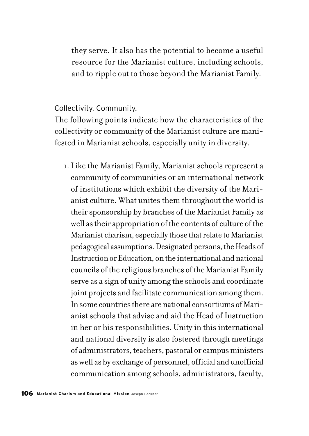they serve. It also has the potential to become a useful resource for the Marianist culture, including schools, and to ripple out to those beyond the Marianist Family.

Collectivity, Community.

The following points indicate how the characteristics of the collectivity or community of the Marianist culture are manifested in Marianist schools, especially unity in diversity.

1. Like the Marianist Family, Marianist schools represent a community of communities or an international network of institutions which exhibit the diversity of the Marianist culture. What unites them throughout the world is their sponsorship by branches of the Marianist Family as well as their appropriation of the contents of culture of the Marianist charism, especially those that relate to Marianist pedagogical assumptions. Designated persons, the Heads of Instruction or Education, on the international and national councils of the religious branches of the Marianist Family serve as a sign of unity among the schools and coordinate joint projects and facilitate communication among them. In some countries there are national consortiums of Marianist schools that advise and aid the Head of Instruction in her or his responsibilities. Unity in this international and national diversity is also fostered through meetings of administrators, teachers, pastoral or campus ministers as well as by exchange of personnel, official and unofficial communication among schools, administrators, faculty,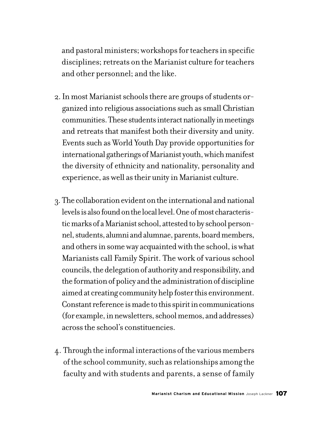and pastoral ministers; workshops for teachers in specific disciplines; retreats on the Marianist culture for teachers and other personnel; and the like.

- 2. In most Marianist schools there are groups of students organized into religious associations such as small Christian communities. These students interact nationally in meetings and retreats that manifest both their diversity and unity. Events such as World Youth Day provide opportunities for international gatherings of Marianist youth, which manifest the diversity of ethnicity and nationality, personality and experience, as well as their unity in Marianist culture.
- 3. The collaboration evident on the international and national levels is also found on the local level. One of most characteristic marks of a Marianist school, attested to by school personnel, students, alumni and alumnae, parents, board members, and others in some way acquainted with the school, is what Marianists call Family Spirit. The work of various school councils, the delegation of authority and responsibility, and the formation of policy and the administration of discipline aimed at creating community help foster this environment. Constant reference is made to this spirit in communications (for example, in newsletters, school memos, and addresses) across the school's constituencies.
- 4. Through the informal interactions of the various members of the school community, such as relationships among the faculty and with students and parents, a sense of family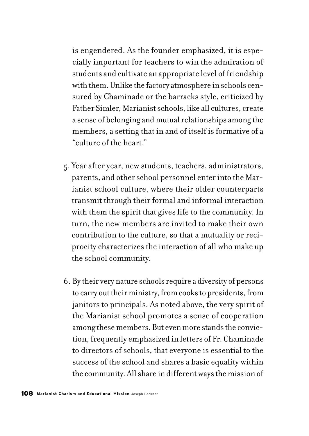is engendered. As the founder emphasized, it is especially important for teachers to win the admiration of students and cultivate an appropriate level of friendship with them. Unlike the factory atmosphere in schools censured by Chaminade or the barracks style, criticized by Father Simler, Marianist schools, like all cultures, create a sense of belonging and mutual relationships among the members, a setting that in and of itself is formative of a "culture of the heart."

- 5. Year after year, new students, teachers, administrators, parents, and other school personnel enter into the Marianist school culture, where their older counterparts transmit through their formal and informal interaction with them the spirit that gives life to the community. In turn, the new members are invited to make their own contribution to the culture, so that a mutuality or reciprocity characterizes the interaction of all who make up the school community.
- 6. By their very nature schools require a diversity of persons to carry out their ministry, from cooks to presidents, from janitors to principals. As noted above, the very spirit of the Marianist school promotes a sense of cooperation among these members. But even more stands the conviction, frequently emphasized in letters of Fr. Chaminade to directors of schools, that everyone is essential to the success of the school and shares a basic equality within the community. All share in different ways the mission of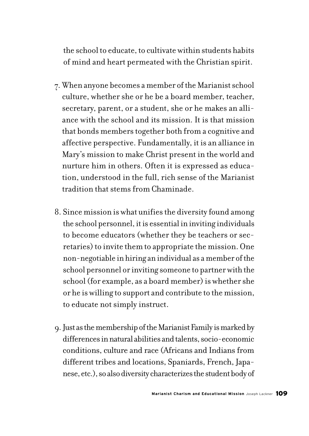the school to educate, to cultivate within students habits of mind and heart permeated with the Christian spirit.

- 7. When anyone becomes a member of the Marianist school culture, whether she or he be a board member, teacher, secretary, parent, or a student, she or he makes an alliance with the school and its mission. It is that mission that bonds members together both from a cognitive and affective perspective. Fundamentally, it is an alliance in Mary's mission to make Christ present in the world and nurture him in others. Often it is expressed as education, understood in the full, rich sense of the Marianist tradition that stems from Chaminade.
- 8. Since mission is what unifies the diversity found among the school personnel, it is essential in inviting individuals to become educators (whether they be teachers or secretaries) to invite them to appropriate the mission. One non-negotiable in hiring an individual as a member of the school personnel or inviting someone to partner with the school (for example, as a board member) is whether she or he is willing to support and contribute to the mission, to educate not simply instruct.
- 9. Just as the membership of the Marianist Family is marked by differences in natural abilities and talents, socio-economic conditions, culture and race (Africans and Indians from different tribes and locations, Spaniards, French, Japanese, etc.), so also diversity characterizes the student body of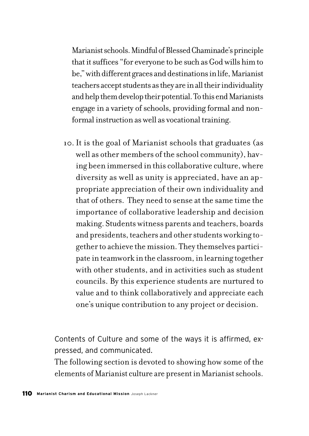Marianist schools. Mindful of Blessed Chaminade's principle that it suffices "for everyone to be such as God wills him to be," with different graces and destinations in life, Marianist teachers accept students as they are in all their individuality and help them develop their potential. To this end Marianists engage in a variety of schools, providing formal and nonformal instruction as well as vocational training.

10. It is the goal of Marianist schools that graduates (as well as other members of the school community), having been immersed in this collaborative culture, where diversity as well as unity is appreciated, have an appropriate appreciation of their own individuality and that of others. They need to sense at the same time the importance of collaborative leadership and decision making. Students witness parents and teachers, boards and presidents, teachers and other students working together to achieve the mission. They themselves participate in teamwork in the classroom, in learning together with other students, and in activities such as student councils. By this experience students are nurtured to value and to think collaboratively and appreciate each one's unique contribution to any project or decision.

Contents of Culture and some of the ways it is affirmed, expressed, and communicated.

The following section is devoted to showing how some of the elements of Marianist culture are present in Marianist schools.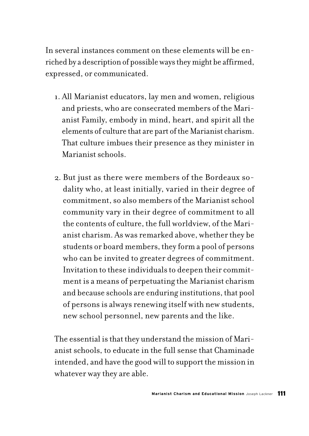In several instances comment on these elements will be enriched by a description of possible ways they might be affirmed, expressed, or communicated.

- 1. All Marianist educators, lay men and women, religious and priests, who are consecrated members of the Marianist Family, embody in mind, heart, and spirit all the elements of culture that are part of the Marianist charism. That culture imbues their presence as they minister in Marianist schools.
- 2. But just as there were members of the Bordeaux sodality who, at least initially, varied in their degree of commitment, so also members of the Marianist school community vary in their degree of commitment to all the contents of culture, the full worldview, of the Marianist charism. As was remarked above, whether they be students or board members, they form a pool of persons who can be invited to greater degrees of commitment. Invitation to these individuals to deepen their commitment is a means of perpetuating the Marianist charism and because schools are enduring institutions, that pool of persons is always renewing itself with new students, new school personnel, new parents and the like.

The essential is that they understand the mission of Marianist schools, to educate in the full sense that Chaminade intended, and have the good will to support the mission in whatever way they are able.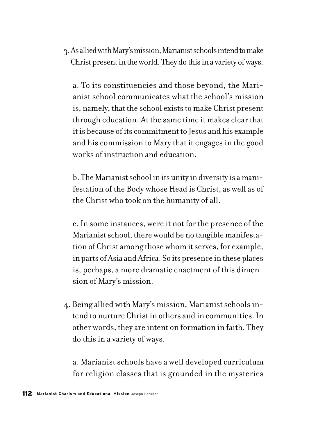3. As allied with Mary's mission, Marianist schools intend to make Christ present in the world. They do this in a variety of ways.

a. To its constituencies and those beyond, the Marianist school communicates what the school's mission is, namely, that the school exists to make Christ present through education. At the same time it makes clear that it is because of its commitment to Jesus and his example and his commission to Mary that it engages in the good works of instruction and education.

b. The Marianist school in its unity in diversity is a manifestation of the Body whose Head is Christ, as well as of the Christ who took on the humanity of all.

c. In some instances, were it not for the presence of the Marianist school, there would be no tangible manifestation of Christ among those whom it serves, for example, in parts of Asia and Africa. So its presence in these places is, perhaps, a more dramatic enactment of this dimension of Mary's mission.

4. Being allied with Mary's mission, Marianist schools intend to nurture Christ in others and in communities. In other words, they are intent on formation in faith. They do this in a variety of ways.

a. Marianist schools have a well developed curriculum for religion classes that is grounded in the mysteries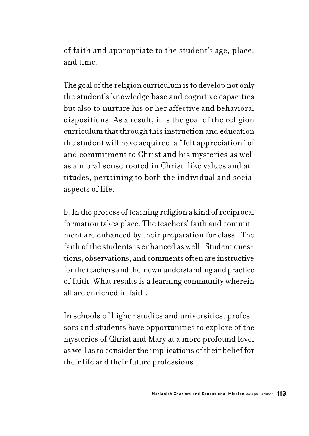of faith and appropriate to the student's age, place, and time.

The goal of the religion curriculum is to develop not only the student's knowledge base and cognitive capacities but also to nurture his or her affective and behavioral dispositions. As a result, it is the goal of the religion curriculum that through this instruction and education the student will have acquired a "felt appreciation" of and commitment to Christ and his mysteries as well as a moral sense rooted in Christ-like values and attitudes, pertaining to both the individual and social aspects of life.

b. In the process of teaching religion a kind of reciprocal formation takes place. The teachers' faith and commitment are enhanced by their preparation for class. The faith of the students is enhanced as well. Student questions, observations, and comments often are instructive for the teachers and their own understanding and practice of faith. What results is a learning community wherein all are enriched in faith.

In schools of higher studies and universities, professors and students have opportunities to explore of the mysteries of Christ and Mary at a more profound level as well as to consider the implications of their belief for their life and their future professions.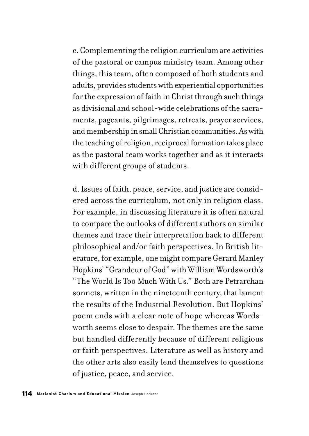c. Complementing the religion curriculum are activities of the pastoral or campus ministry team. Among other things, this team, often composed of both students and adults, provides students with experiential opportunities for the expression of faith in Christ through such things as divisional and school-wide celebrations of the sacraments, pageants, pilgrimages, retreats, prayer services, and membership in small Christian communities. As with the teaching of religion, reciprocal formation takes place as the pastoral team works together and as it interacts with different groups of students.

d. Issues of faith, peace, service, and justice are considered across the curriculum, not only in religion class. For example, in discussing literature it is often natural to compare the outlooks of different authors on similar themes and trace their interpretation back to different philosophical and/or faith perspectives. In British literature, for example, one might compare Gerard Manley Hopkins' "Grandeur of God" with William Wordsworth's "The World Is Too Much With Us." Both are Petrarchan sonnets, written in the nineteenth century, that lament the results of the Industrial Revolution. But Hopkins' poem ends with a clear note of hope whereas Wordsworth seems close to despair. The themes are the same but handled differently because of different religious or faith perspectives. Literature as well as history and the other arts also easily lend themselves to questions of justice, peace, and service.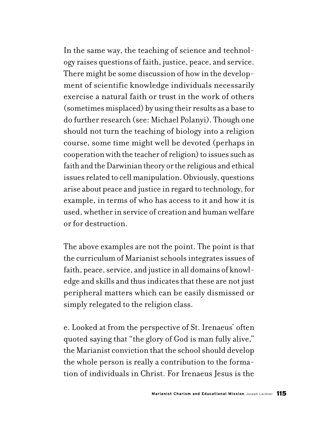In the same way, the teaching of science and technology raises questions of faith, justice, peace, and service. There might be some discussion of how in the development of scientific knowledge individuals necessarily exercise a natural faith or trust in the work of others (sometimes misplaced) by using their results as a base to do further research (see: Michael Polanyi). Though one should not turn the teaching of biology into a religion course, some time might well be devoted (perhaps in cooperation with the teacher of religion) to issues such as faith and the Darwinian theory or the religious and ethical issues related to cell manipulation. Obviously, questions arise about peace and justice in regard to technology, for example, in terms of who has access to it and how it is used, whether in service of creation and human welfare or for destruction.

The above examples are not the point. The point is that the curriculum of Marianist schools integrates issues of faith, peace, service, and justice in all domains of knowledge and skills and thus indicates that these are not just peripheral matters which can be easily dismissed or simply relegated to the religion class.

e. Looked at from the perspective of St. Irenaeus' often quoted saying that "the glory of God is man fully alive," the Marianist conviction that the school should develop the whole person is really a contribution to the formation of individuals in Christ. For Irenaeus Jesus is the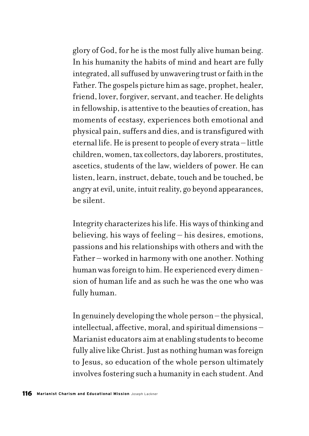glory of God, for he is the most fully alive human being. In his humanity the habits of mind and heart are fully integrated, all suffused by unwavering trust or faith in the Father. The gospels picture him as sage, prophet, healer, friend, lover, forgiver, servant, and teacher. He delights in fellowship, is attentive to the beauties of creation, has moments of ecstasy, experiences both emotional and physical pain, suffers and dies, and is transfigured with eternal life. He is present to people of every strata – little children, women, tax collectors, day laborers, prostitutes, ascetics, students of the law, wielders of power. He can listen, learn, instruct, debate, touch and be touched, be angry at evil, unite, intuit reality, go beyond appearances, be silent.

Integrity characterizes his life. His ways of thinking and believing, his ways of feeling – his desires, emotions, passions and his relationships with others and with the Father – worked in harmony with one another. Nothing human was foreign to him. He experienced every dimension of human life and as such he was the one who was fully human.

In genuinely developing the whole person – the physical, intellectual, affective, moral, and spiritual dimensions – Marianist educators aim at enabling students to become fully alive like Christ. Just as nothing human was foreign to Jesus, so education of the whole person ultimately involves fostering such a humanity in each student. And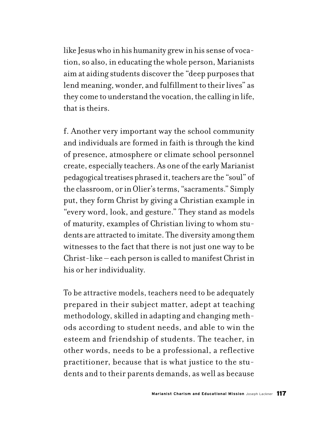like Jesus who in his humanity grew in his sense of vocation, so also, in educating the whole person, Marianists aim at aiding students discover the "deep purposes that lend meaning, wonder, and fulfillment to their lives" as they come to understand the vocation, the calling in life, that is theirs.

f. Another very important way the school community and individuals are formed in faith is through the kind of presence, atmosphere or climate school personnel create, especially teachers. As one of the early Marianist pedagogical treatises phrased it, teachers are the "soul" of the classroom, or in Olier's terms, "sacraments." Simply put, they form Christ by giving a Christian example in "every word, look, and gesture." They stand as models of maturity, examples of Christian living to whom students are attracted to imitate. The diversity among them witnesses to the fact that there is not just one way to be Christ-like – each person is called to manifest Christ in his or her individuality.

To be attractive models, teachers need to be adequately prepared in their subject matter, adept at teaching methodology, skilled in adapting and changing methods according to student needs, and able to win the esteem and friendship of students. The teacher, in other words, needs to be a professional, a reflective practitioner, because that is what justice to the students and to their parents demands, as well as because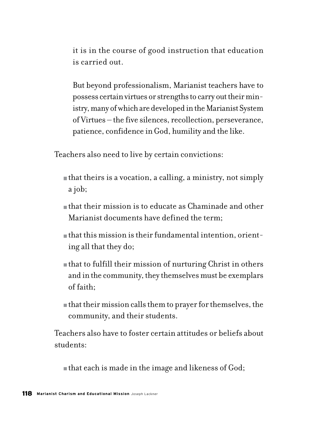it is in the course of good instruction that education is carried out.

But beyond professionalism, Marianist teachers have to possess certain virtues or strengths to carry out their ministry, many of which are developed in the Marianist System of Virtues – the five silences, recollection, perseverance, patience, confidence in God, humility and the like.

Teachers also need to live by certain convictions:

- $\blacksquare$  that theirs is a vocation, a calling, a ministry, not simply a job;
- that their mission is to educate as Chaminade and other Marianist documents have defined the term;
- that this mission is their fundamental intention, orienting all that they do;
- that to fulfill their mission of nurturing Christ in others and in the community, they themselves must be exemplars of faith;
- that their mission calls them to prayer for themselves, the community, and their students.

Teachers also have to foster certain attitudes or beliefs about students:

that each is made in the image and likeness of God;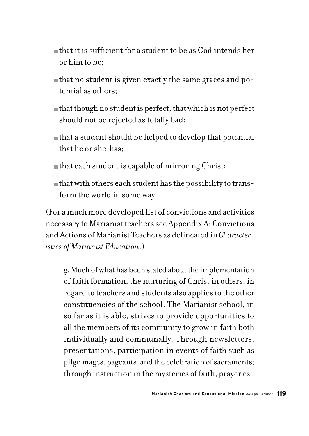- that it is sufficient for a student to be as God intends her or him to be;
- that no student is given exactly the same graces and potential as others;
- $\blacksquare$  that though no student is perfect, that which is not perfect should not be rejected as totally bad;
- that a student should be helped to develop that potential that he or she has;
- that each student is capable of mirroring Christ;
- that with others each student has the possibility to transform the world in some way.

(For a much more developed list of convictions and activities necessary to Marianist teachers see Appendix A: Convictions and Actions of Marianist Teachers as delineated in *Characteristics of Marianist Education*.)

g. Much of what has been stated about the implementation of faith formation, the nurturing of Christ in others, in regard to teachers and students also applies to the other constituencies of the school. The Marianist school, in so far as it is able, strives to provide opportunities to all the members of its community to grow in faith both individually and communally. Through newsletters, presentations, participation in events of faith such as pilgrimages, pageants, and the celebration of sacraments; through instruction in the mysteries of faith, prayer ex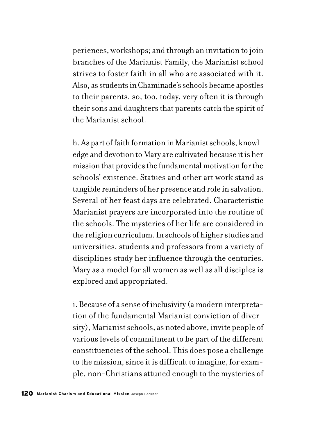periences, workshops; and through an invitation to join branches of the Marianist Family, the Marianist school strives to foster faith in all who are associated with it. Also, as students in Chaminade's schools became apostles to their parents, so, too, today, very often it is through their sons and daughters that parents catch the spirit of the Marianist school.

h. As part of faith formation in Marianist schools, knowledge and devotion to Mary are cultivated because it is her mission that provides the fundamental motivation for the schools' existence. Statues and other art work stand as tangible reminders of her presence and role in salvation. Several of her feast days are celebrated. Characteristic Marianist prayers are incorporated into the routine of the schools. The mysteries of her life are considered in the religion curriculum. In schools of higher studies and universities, students and professors from a variety of disciplines study her influence through the centuries. Mary as a model for all women as well as all disciples is explored and appropriated.

i. Because of a sense of inclusivity (a modern interpretation of the fundamental Marianist conviction of diversity), Marianist schools, as noted above, invite people of various levels of commitment to be part of the different constituencies of the school. This does pose a challenge to the mission, since it is difficult to imagine, for example, non-Christians attuned enough to the mysteries of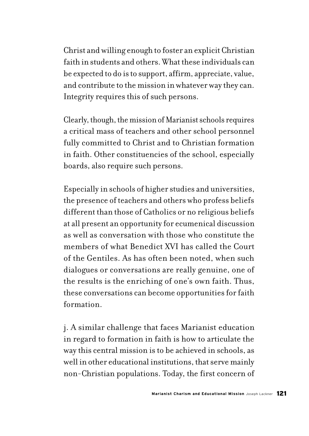Christ and willing enough to foster an explicit Christian faith in students and others. What these individuals can be expected to do is to support, affirm, appreciate, value, and contribute to the mission in whatever way they can. Integrity requires this of such persons.

Clearly, though, the mission of Marianist schools requires a critical mass of teachers and other school personnel fully committed to Christ and to Christian formation in faith. Other constituencies of the school, especially boards, also require such persons.

Especially in schools of higher studies and universities, the presence of teachers and others who profess beliefs different than those of Catholics or no religious beliefs at all present an opportunity for ecumenical discussion as well as conversation with those who constitute the members of what Benedict XVI has called the Court of the Gentiles. As has often been noted, when such dialogues or conversations are really genuine, one of the results is the enriching of one's own faith. Thus, these conversations can become opportunities for faith formation.

j. A similar challenge that faces Marianist education in regard to formation in faith is how to articulate the way this central mission is to be achieved in schools, as well in other educational institutions, that serve mainly non-Christian populations. Today, the first concern of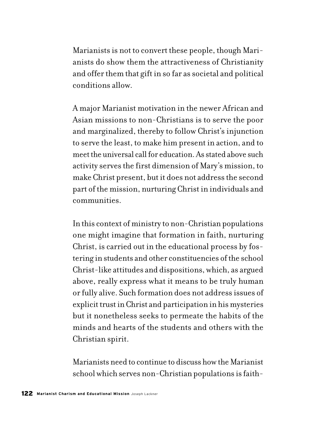Marianists is not to convert these people, though Marianists do show them the attractiveness of Christianity and offer them that gift in so far as societal and political conditions allow.

A major Marianist motivation in the newer African and Asian missions to non-Christians is to serve the poor and marginalized, thereby to follow Christ's injunction to serve the least, to make him present in action, and to meet the universal call for education. As stated above such activity serves the first dimension of Mary's mission, to make Christ present, but it does not address the second part of the mission, nurturing Christ in individuals and communities.

In this context of ministry to non-Christian populations one might imagine that formation in faith, nurturing Christ, is carried out in the educational process by fostering in students and other constituencies of the school Christ-like attitudes and dispositions, which, as argued above, really express what it means to be truly human or fully alive. Such formation does not address issues of explicit trust in Christ and participation in his mysteries but it nonetheless seeks to permeate the habits of the minds and hearts of the students and others with the Christian spirit.

Marianists need to continue to discuss how the Marianist school which serves non-Christian populations is faith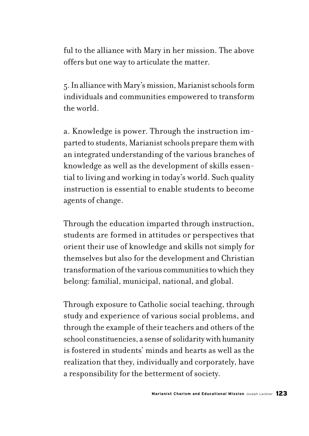ful to the alliance with Mary in her mission. The above offers but one way to articulate the matter.

5. In alliance with Mary's mission, Marianist schools form individuals and communities empowered to transform the world.

a. Knowledge is power. Through the instruction imparted to students, Marianist schools prepare them with an integrated understanding of the various branches of knowledge as well as the development of skills essential to living and working in today's world. Such quality instruction is essential to enable students to become agents of change.

Through the education imparted through instruction, students are formed in attitudes or perspectives that orient their use of knowledge and skills not simply for themselves but also for the development and Christian transformation of the various communities to which they belong: familial, municipal, national, and global.

Through exposure to Catholic social teaching, through study and experience of various social problems, and through the example of their teachers and others of the school constituencies, a sense of solidarity with humanity is fostered in students' minds and hearts as well as the realization that they, individually and corporately, have a responsibility for the betterment of society.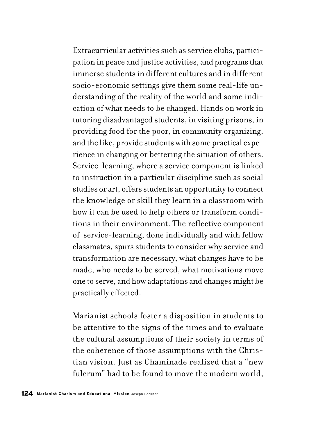Extracurricular activities such as service clubs, participation in peace and justice activities, and programs that immerse students in different cultures and in different socio-economic settings give them some real-life understanding of the reality of the world and some indication of what needs to be changed. Hands on work in tutoring disadvantaged students, in visiting prisons, in providing food for the poor, in community organizing, and the like, provide students with some practical experience in changing or bettering the situation of others. Service-learning, where a service component is linked to instruction in a particular discipline such as social studies or art, offers students an opportunity to connect the knowledge or skill they learn in a classroom with how it can be used to help others or transform conditions in their environment. The reflective component of service-learning, done individually and with fellow classmates, spurs students to consider why service and transformation are necessary, what changes have to be made, who needs to be served, what motivations move one to serve, and how adaptations and changes might be practically effected.

Marianist schools foster a disposition in students to be attentive to the signs of the times and to evaluate the cultural assumptions of their society in terms of the coherence of those assumptions with the Christian vision. Just as Chaminade realized that a "new fulcrum" had to be found to move the modern world,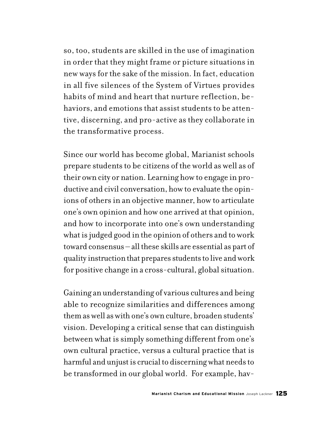so, too, students are skilled in the use of imagination in order that they might frame or picture situations in new ways for the sake of the mission. In fact, education in all five silences of the System of Virtues provides habits of mind and heart that nurture reflection, behaviors, and emotions that assist students to be attentive, discerning, and pro-active as they collaborate in the transformative process.

Since our world has become global, Marianist schools prepare students to be citizens of the world as well as of their own city or nation. Learning how to engage in productive and civil conversation, how to evaluate the opinions of others in an objective manner, how to articulate one's own opinion and how one arrived at that opinion, and how to incorporate into one's own understanding what is judged good in the opinion of others and to work toward consensus – all these skills are essential as part of quality instruction that prepares students to live and work for positive change in a cross-cultural, global situation.

Gaining an understanding of various cultures and being able to recognize similarities and differences among them as well as with one's own culture, broaden students' vision. Developing a critical sense that can distinguish between what is simply something different from one's own cultural practice, versus a cultural practice that is harmful and unjust is crucial to discerning what needs to be transformed in our global world. For example, hav-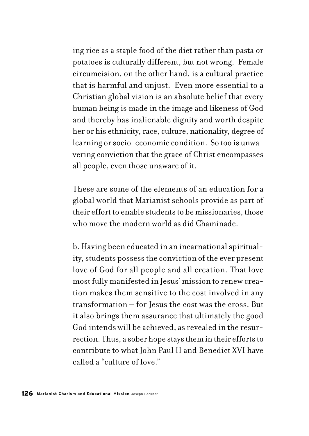ing rice as a staple food of the diet rather than pasta or potatoes is culturally different, but not wrong. Female circumcision, on the other hand, is a cultural practice that is harmful and unjust. Even more essential to a Christian global vision is an absolute belief that every human being is made in the image and likeness of God and thereby has inalienable dignity and worth despite her or his ethnicity, race, culture, nationality, degree of learning or socio-economic condition. So too is unwavering conviction that the grace of Christ encompasses all people, even those unaware of it.

These are some of the elements of an education for a global world that Marianist schools provide as part of their effort to enable students to be missionaries, those who move the modern world as did Chaminade.

b. Having been educated in an incarnational spirituality, students possess the conviction of the ever present love of God for all people and all creation. That love most fully manifested in Jesus' mission to renew creation makes them sensitive to the cost involved in any transformation – for Jesus the cost was the cross. But it also brings them assurance that ultimately the good God intends will be achieved, as revealed in the resurrection. Thus, a sober hope stays them in their efforts to contribute to what John Paul II and Benedict XVI have called a "culture of love."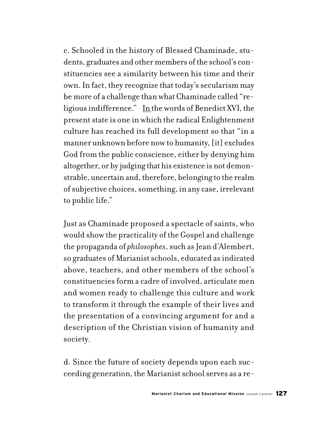c. Schooled in the history of Blessed Chaminade, students, graduates and other members of the school's constituencies see a similarity between his time and their own. In fact, they recognize that today's secularism may be more of a challenge than what Chaminade called "religious indifference." In the words of Benedict XVI, the present state is one in which the radical Enlightenment culture has reached its full development so that "in a manner unknown before now to humanity, [it] excludes God from the public conscience, either by denying him altogether, or by judging that his existence is not demonstrable, uncertain and, therefore, belonging to the realm of subjective choices, something, in any case, irrelevant to public life."

Just as Chaminade proposed a spectacle of saints, who would show the practicality of the Gospel and challenge the propaganda of *philosophes*, such as Jean d'Alembert, so graduates of Marianist schools, educated as indicated above, teachers, and other members of the school's constituencies form a cadre of involved, articulate men and women ready to challenge this culture and work to transform it through the example of their lives and the presentation of a convincing argument for and a description of the Christian vision of humanity and society.

d. Since the future of society depends upon each succeeding generation, the Marianist school serves as a re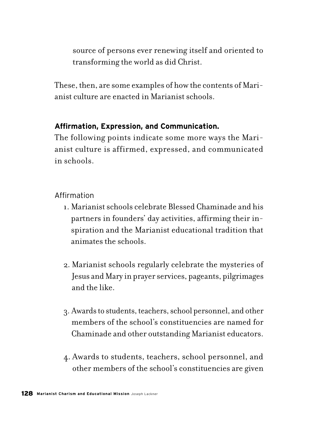source of persons ever renewing itself and oriented to transforming the world as did Christ.

These, then, are some examples of how the contents of Marianist culture are enacted in Marianist schools.

## **Affirmation, Expression, and Communication.**

The following points indicate some more ways the Marianist culture is affirmed, expressed, and communicated in schools.

## Affirmation

- 1. Marianist schools celebrate Blessed Chaminade and his partners in founders' day activities, affirming their inspiration and the Marianist educational tradition that animates the schools.
- 2. Marianist schools regularly celebrate the mysteries of Jesus and Mary in prayer services, pageants, pilgrimages and the like.
- 3. Awards to students, teachers, school personnel, and other members of the school's constituencies are named for Chaminade and other outstanding Marianist educators.
- 4. Awards to students, teachers, school personnel, and other members of the school's constituencies are given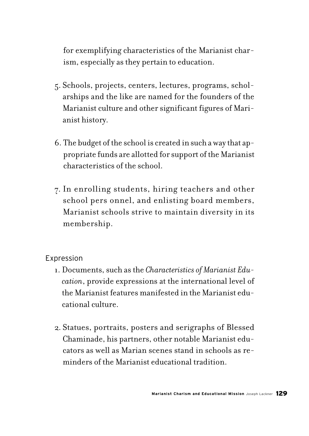for exemplifying characteristics of the Marianist charism, especially as they pertain to education.

- 5. Schools, projects, centers, lectures, programs, scholarships and the like are named for the founders of the Marianist culture and other significant figures of Marianist history.
- 6. The budget of the school is created in such a way that appropriate funds are allotted for support of the Marianist characteristics of the school.
- 7. In enrolling students, hiring teachers and other school pers onnel, and enlisting board members, Marianist schools strive to maintain diversity in its membership.

## Expression

- 1. Documents, such as the *Characteristics of Marianist Education*, provide expressions at the international level of the Marianist features manifested in the Marianist educational culture.
- 2. Statues, portraits, posters and serigraphs of Blessed Chaminade, his partners, other notable Marianist educators as well as Marian scenes stand in schools as reminders of the Marianist educational tradition.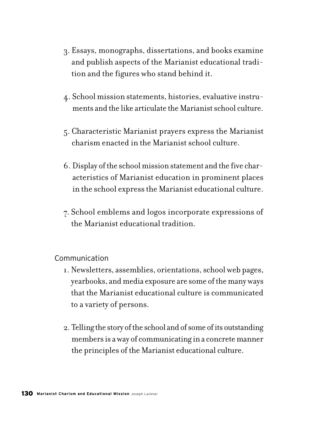- 3. Essays, monographs, dissertations, and books examine and publish aspects of the Marianist educational tradition and the figures who stand behind it.
- 4. School mission statements, histories, evaluative instruments and the like articulate the Marianist school culture.
- 5. Characteristic Marianist prayers express the Marianist charism enacted in the Marianist school culture.
- 6. Display of the school mission statement and the five characteristics of Marianist education in prominent places in the school express the Marianist educational culture.
- 7. School emblems and logos incorporate expressions of the Marianist educational tradition.

### Communication

- 1. Newsletters, assemblies, orientations, school web pages, yearbooks, and media exposure are some of the many ways that the Marianist educational culture is communicated to a variety of persons.
- 2. Telling the story of the school and of some of its outstanding members is a way of communicating in a concrete manner the principles of the Marianist educational culture.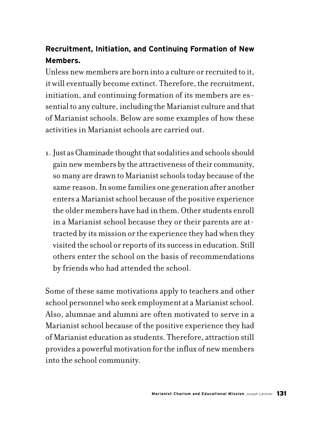# **Recruitment, Initiation, and Continuing Formation of New Members.**

Unless new members are born into a culture or recruited to it, it will eventually become extinct. Therefore, the recruitment, initiation, and continuing formation of its members are essential to any culture, including the Marianist culture and that of Marianist schools. Below are some examples of how these activities in Marianist schools are carried out.

1. Just as Chaminade thought that sodalities and schools should gain new members by the attractiveness of their community, so many are drawn to Marianist schools today because of the same reason. In some families one generation after another enters a Marianist school because of the positive experience the older members have had in them. Other students enroll in a Marianist school because they or their parents are attracted by its mission or the experience they had when they visited the school or reports of its success in education. Still others enter the school on the basis of recommendations by friends who had attended the school.

Some of these same motivations apply to teachers and other school personnel who seek employment at a Marianist school. Also, alumnae and alumni are often motivated to serve in a Marianist school because of the positive experience they had of Marianist education as students. Therefore, attraction still provides a powerful motivation for the influx of new members into the school community.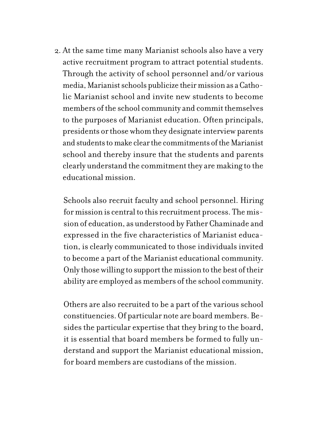2. At the same time many Marianist schools also have a very active recruitment program to attract potential students. Through the activity of school personnel and/or various media, Marianist schools publicize their mission as a Catholic Marianist school and invite new students to become members of the school community and commit themselves to the purposes of Marianist education. Often principals, presidents or those whom they designate interview parents and students to make clear the commitments of the Marianist school and thereby insure that the students and parents clearly understand the commitment they are making to the educational mission.

Schools also recruit faculty and school personnel. Hiring for mission is central to this recruitment process. The mission of education, as understood by Father Chaminade and expressed in the five characteristics of Marianist education, is clearly communicated to those individuals invited to become a part of the Marianist educational community. Only those willing to support the mission to the best of their ability are employed as members of the school community.

Others are also recruited to be a part of the various school constituencies. Of particular note are board members. Besides the particular expertise that they bring to the board, it is essential that board members be formed to fully understand and support the Marianist educational mission, for board members are custodians of the mission.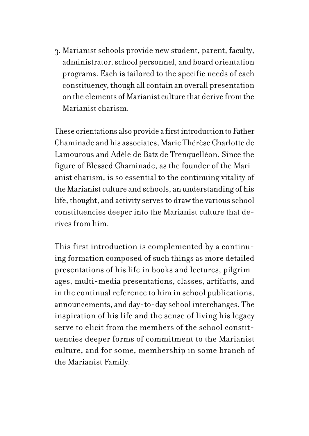3. Marianist schools provide new student, parent, faculty, administrator, school personnel, and board orientation programs. Each is tailored to the specific needs of each constituency, though all contain an overall presentation on the elements of Marianist culture that derive from the Marianist charism.

These orientations also provide a first introduction to Father Chaminade and his associates, Marie Thérèse Charlotte de Lamourous and Adèle de Batz de Trenquelléon. Since the figure of Blessed Chaminade, as the founder of the Marianist charism, is so essential to the continuing vitality of the Marianist culture and schools, an understanding of his life, thought, and activity serves to draw the various school constituencies deeper into the Marianist culture that derives from him.

This first introduction is complemented by a continuing formation composed of such things as more detailed presentations of his life in books and lectures, pilgrimages, multi-media presentations, classes, artifacts, and in the continual reference to him in school publications, announcements, and day-to-day school interchanges. The inspiration of his life and the sense of living his legacy serve to elicit from the members of the school constituencies deeper forms of commitment to the Marianist culture, and for some, membership in some branch of the Marianist Family.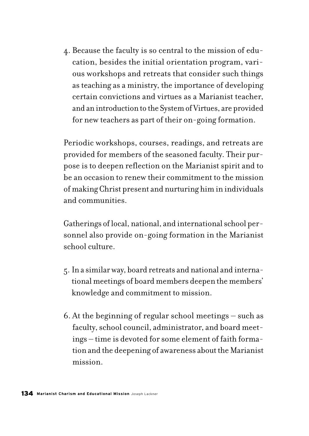4. Because the faculty is so central to the mission of education, besides the initial orientation program, various workshops and retreats that consider such things as teaching as a ministry, the importance of developing certain convictions and virtues as a Marianist teacher, and an introduction to the System of Virtues, are provided for new teachers as part of their on-going formation.

Periodic workshops, courses, readings, and retreats are provided for members of the seasoned faculty. Their purpose is to deepen reflection on the Marianist spirit and to be an occasion to renew their commitment to the mission of making Christ present and nurturing him in individuals and communities.

Gatherings of local, national, and international school personnel also provide on-going formation in the Marianist school culture.

- 5. In a similar way, board retreats and national and international meetings of board members deepen the members' knowledge and commitment to mission.
- 6. At the beginning of regular school meetings such as faculty, school council, administrator, and board meetings – time is devoted for some element of faith formation and the deepening of awareness about the Marianist mission.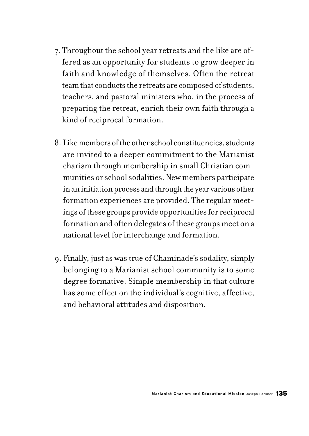- 7. Throughout the school year retreats and the like are offered as an opportunity for students to grow deeper in faith and knowledge of themselves. Often the retreat team that conducts the retreats are composed of students, teachers, and pastoral ministers who, in the process of preparing the retreat, enrich their own faith through a kind of reciprocal formation.
- 8. Like members of the other school constituencies, students are invited to a deeper commitment to the Marianist charism through membership in small Christian communities or school sodalities. New members participate in an initiation process and through the year various other formation experiences are provided. The regular meetings of these groups provide opportunities for reciprocal formation and often delegates of these groups meet on a national level for interchange and formation.
- 9. Finally, just as was true of Chaminade's sodality, simply belonging to a Marianist school community is to some degree formative. Simple membership in that culture has some effect on the individual's cognitive, affective, and behavioral attitudes and disposition.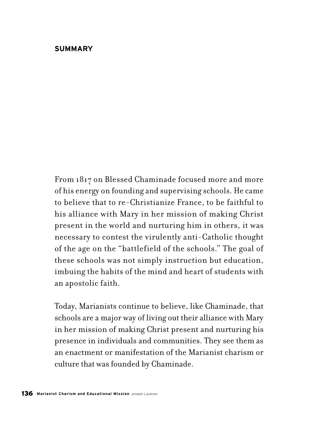#### **SUMMARY**

From 1817 on Blessed Chaminade focused more and more of his energy on founding and supervising schools. He came to believe that to re-Christianize France, to be faithful to his alliance with Mary in her mission of making Christ present in the world and nurturing him in others, it was necessary to contest the virulently anti-Catholic thought of the age on the "battlefield of the schools." The goal of these schools was not simply instruction but education, imbuing the habits of the mind and heart of students with an apostolic faith.

Today, Marianists continue to believe, like Chaminade, that schools are a major way of living out their alliance with Mary in her mission of making Christ present and nurturing his presence in individuals and communities. They see them as an enactment or manifestation of the Marianist charism or culture that was founded by Chaminade.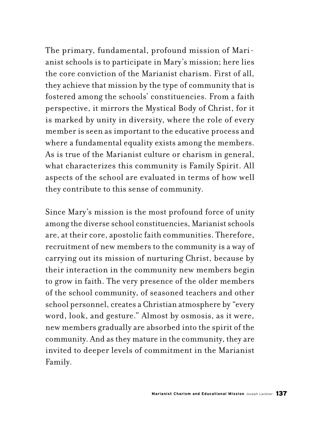The primary, fundamental, profound mission of Marianist schools is to participate in Mary's mission; here lies the core conviction of the Marianist charism. First of all, they achieve that mission by the type of community that is fostered among the schools' constituencies. From a faith perspective, it mirrors the Mystical Body of Christ, for it is marked by unity in diversity, where the role of every member is seen as important to the educative process and where a fundamental equality exists among the members. As is true of the Marianist culture or charism in general, what characterizes this community is Family Spirit. All aspects of the school are evaluated in terms of how well they contribute to this sense of community.

Since Mary's mission is the most profound force of unity among the diverse school constituencies, Marianist schools are, at their core, apostolic faith communities. Therefore, recruitment of new members to the community is a way of carrying out its mission of nurturing Christ, because by their interaction in the community new members begin to grow in faith. The very presence of the older members of the school community, of seasoned teachers and other school personnel, creates a Christian atmosphere by "every word, look, and gesture." Almost by osmosis, as it were, new members gradually are absorbed into the spirit of the community. And as they mature in the community, they are invited to deeper levels of commitment in the Marianist Family.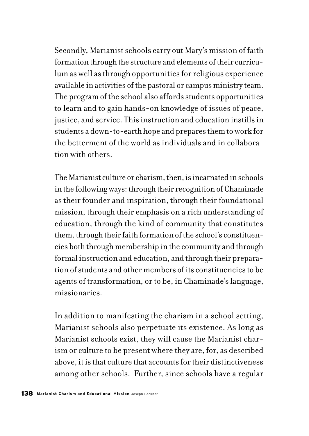Secondly, Marianist schools carry out Mary's mission of faith formation through the structure and elements of their curriculum as well as through opportunities for religious experience available in activities of the pastoral or campus ministry team. The program of the school also affords students opportunities to learn and to gain hands-on knowledge of issues of peace, justice, and service. This instruction and education instills in students a down-to-earth hope and prepares them to work for the betterment of the world as individuals and in collaboration with others.

The Marianist culture or charism, then, is incarnated in schools in the following ways: through their recognition of Chaminade as their founder and inspiration, through their foundational mission, through their emphasis on a rich understanding of education, through the kind of community that constitutes them, through their faith formation of the school's constituencies both through membership in the community and through formal instruction and education, and through their preparation of students and other members of its constituencies to be agents of transformation, or to be, in Chaminade's language, missionaries.

In addition to manifesting the charism in a school setting, Marianist schools also perpetuate its existence. As long as Marianist schools exist, they will cause the Marianist charism or culture to be present where they are, for, as described above, it is that culture that accounts for their distinctiveness among other schools. Further, since schools have a regular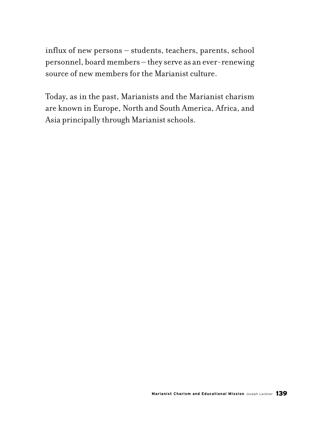influx of new persons – students, teachers, parents, school personnel, board members – they serve as an ever-renewing source of new members for the Marianist culture.

Today, as in the past, Marianists and the Marianist charism are known in Europe, North and South America, Africa, and Asia principally through Marianist schools.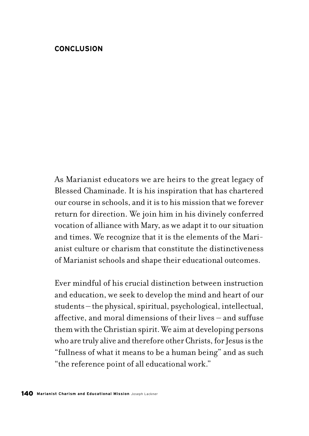#### **CONCLUSION**

As Marianist educators we are heirs to the great legacy of Blessed Chaminade. It is his inspiration that has chartered our course in schools, and it is to his mission that we forever return for direction. We join him in his divinely conferred vocation of alliance with Mary, as we adapt it to our situation and times. We recognize that it is the elements of the Marianist culture or charism that constitute the distinctiveness of Marianist schools and shape their educational outcomes.

Ever mindful of his crucial distinction between instruction and education, we seek to develop the mind and heart of our students – the physical, spiritual, psychological, intellectual, affective, and moral dimensions of their lives – and suffuse them with the Christian spirit. We aim at developing persons who are truly alive and therefore other Christs, for Jesus is the "fullness of what it means to be a human being" and as such "the reference point of all educational work."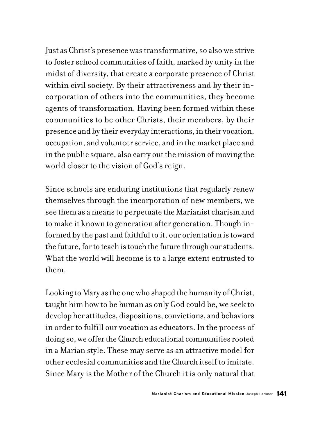Just as Christ's presence was transformative, so also we strive to foster school communities of faith, marked by unity in the midst of diversity, that create a corporate presence of Christ within civil society. By their attractiveness and by their incorporation of others into the communities, they become agents of transformation. Having been formed within these communities to be other Christs, their members, by their presence and by their everyday interactions, in their vocation, occupation, and volunteer service, and in the market place and in the public square, also carry out the mission of moving the world closer to the vision of God's reign.

Since schools are enduring institutions that regularly renew themselves through the incorporation of new members, we see them as a means to perpetuate the Marianist charism and to make it known to generation after generation. Though informed by the past and faithful to it, our orientation is toward the future, for to teach is touch the future through our students. What the world will become is to a large extent entrusted to them.

Looking to Mary as the one who shaped the humanity of Christ, taught him how to be human as only God could be, we seek to develop her attitudes, dispositions, convictions, and behaviors in order to fulfill our vocation as educators. In the process of doing so, we offer the Church educational communities rooted in a Marian style. These may serve as an attractive model for other ecclesial communities and the Church itself to imitate. Since Mary is the Mother of the Church it is only natural that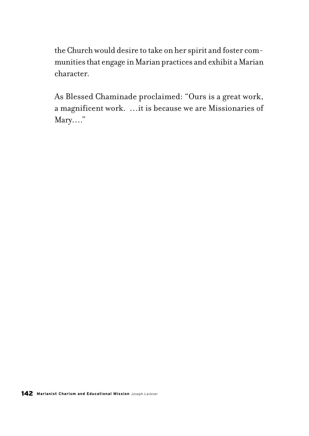the Church would desire to take on her spirit and foster communities that engage in Marian practices and exhibit a Marian character.

As Blessed Chaminade proclaimed: "Ours is a great work, a magnificent work. …it is because we are Missionaries of Mary…."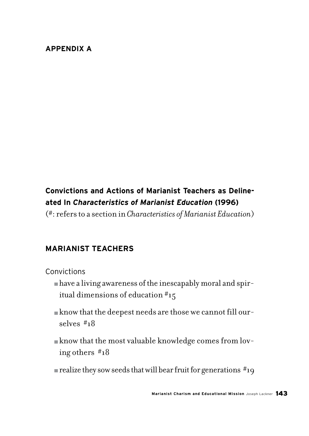### **APPENDIX A**

# **Convictions and Actions of Marianist Teachers as Delineated In** *Characteristics of Marianist Education* **(1996)**

(#: refers to a section in *Characteristics of Marianist Education*)

### **MARIANIST TEACHERS**

Convictions

- have a living awareness of the inescapably moral and spiritual dimensions of education #15
- know that the deepest needs are those we cannot fill ourselves #18
- know that the most valuable knowledge comes from loving others #18
- $\blacksquare$  realize they sow seeds that will bear fruit for generations  $\#_1$ 9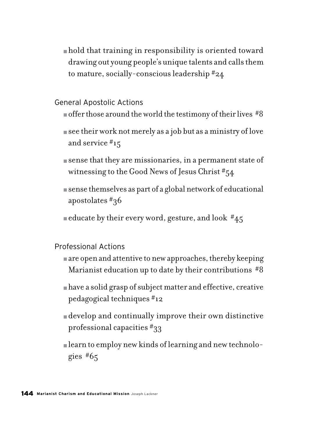hold that training in responsibility is oriented toward drawing out young people's unique talents and calls them to mature, socially-conscious leadership #24

General Apostolic Actions

- $\blacksquare$  offer those around the world the testimony of their lives  $\#8$
- see their work not merely as a job but as a ministry of love and service #15
- sense that they are missionaries, in a permanent state of witnessing to the Good News of Jesus Christ #54
- sense themselves as part of a global network of educational apostolates #36
- educate by their every word, gesture, and look  $\frac{4}{5}$

Professional Actions

- **are open and attentive to new approaches, thereby keeping** Marianist education up to date by their contributions  $*8$
- have a solid grasp of subject matter and effective, creative pedagogical techniques #12
- develop and continually improve their own distinctive professional capacities #33
- learn to employ new kinds of learning and new technologies  $#65$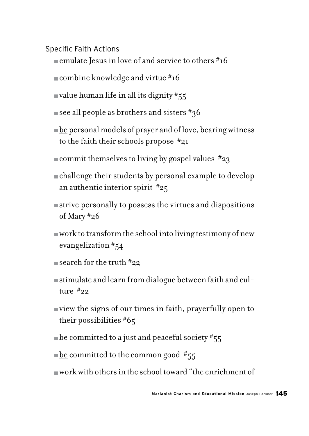Specific Faith Actions

- **Example 1** emulate Jesus in love of and service to others  $*_{16}$
- combine knowledge and virtue  $\#_16$
- value human life in all its dignity  $\sharp$ 55
- see all people as brothers and sisters  $\frac{436}{5}$
- $\blacksquare$  <u>be</u> personal models of prayer and of love, bearing witness to the faith their schools propose #21
- **commit themselves to living by gospel values**  $*_{23}$
- challenge their students by personal example to develop an authentic interior spirit #25
- strive personally to possess the virtues and dispositions of Mary #26
- work to transform the school into living testimony of new evangelization #54
- search for the truth  $\frac{\#22}{}$
- stimulate and learn from dialogue between faith and culture  $\#_{22}$
- view the signs of our times in faith, prayerfully open to their possibilities  $#65$
- $\blacksquare$  be committed to a just and peaceful society  $\#$ 55
- $\blacksquare$  <u>be</u> committed to the common good  $\#$ 55
- work with others in the school toward "the enrichment of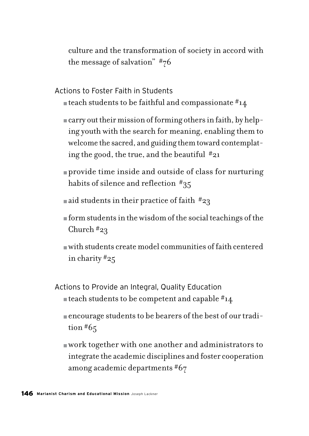culture and the transformation of society in accord with the message of salvation"  $\#$ 76

Actions to Foster Faith in Students

- **theorem** students to be faithful and compassionate  $*_{14}$
- carry out their mission of forming others in faith, by helping youth with the search for meaning, enabling them to welcome the sacred, and guiding them toward contemplating the good, the true, and the beautiful  $\frac{4}{21}$
- provide time inside and outside of class for nurturing habits of silence and reflection  $\#_{35}$
- aid students in their practice of faith  $\frac{\#23}{}$
- **form students in the wisdom of the social teachings of the** Church  $\#_{23}$
- with students create model communities of faith centered in charity #25
- Actions to Provide an Integral, Quality Education **theorem** students to be competent and capable  $\#_1 \phi$ 
	- encourage students to be bearers of the best of our tradition  $#65$
	- work together with one another and administrators to integrate the academic disciplines and foster cooperation among academic departments #67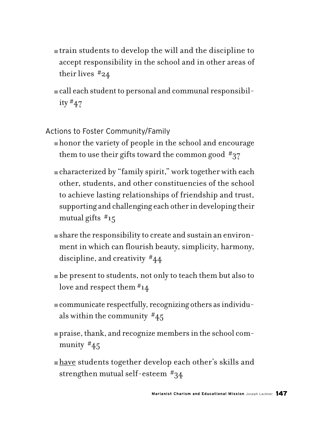- train students to develop the will and the discipline to accept responsibility in the school and in other areas of their lives #24
- call each student to personal and communal responsibility  $#47$

Actions to Foster Community/Family

- honor the variety of people in the school and encourage them to use their gifts toward the common good  $\#_{37}$
- characterized by "family spirit," work together with each other, students, and other constituencies of the school to achieve lasting relationships of friendship and trust, supporting and challenging each other in developing their mutual gifts  $\#$ 15
- share the responsibility to create and sustain an environment in which can flourish beauty, simplicity, harmony, discipline, and creativity #44
- $\blacksquare$  be present to students, not only to teach them but also to love and respect them #14
- communicate respectfully, recognizing others as individuals within the community  $\#_{45}$
- praise, thank, and recognize members in the school community  $*_{45}$
- have students together develop each other's skills and strengthen mutual self-esteem #34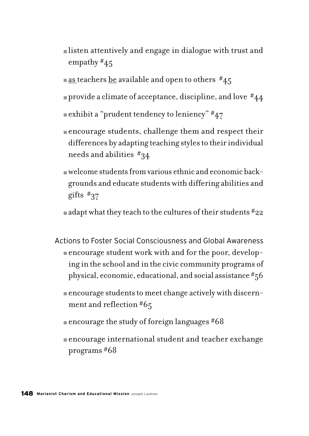- listen attentively and engage in dialogue with trust and empathy  $*_{45}$
- **as teachers** <u>be</u> available and open to others  $*_{45}$
- **provide a climate of acceptance, discipline, and love**  $*_{44}$
- **exhibit a "prudent tendency to leniency"**  $*_{47}$
- encourage students, challenge them and respect their differences by adapting teaching styles to their individual needs and abilities #34
- welcome students from various ethnic and economic backgrounds and educate students with differing abilities and gifts  $#_{37}$
- adapt what they teach to the cultures of their students #22
- Actions to Foster Social Consciousness and Global Awareness encourage student work with and for the poor, developing in the school and in the civic community programs of physical, economic, educational, and social assistance #56
	- encourage students to meet change actively with discernment and reflection #65
	- $\blacksquare$  encourage the study of foreign languages  $#68$
	- encourage international student and teacher exchange programs #68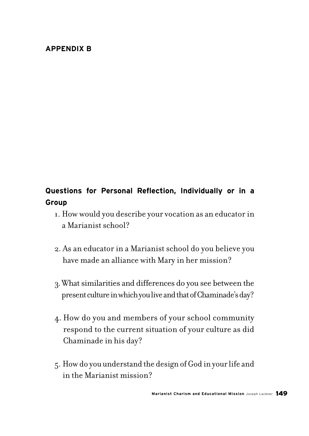## **APPENDIX B**

# **Questions for Personal Reflection, Individually or in a Group**

- 1. How would you describe your vocation as an educator in a Marianist school?
- 2. As an educator in a Marianist school do you believe you have made an alliance with Mary in her mission?
- 3. What similarities and differences do you see between the present culture in which you live and that of Chaminade's day?
- 4. How do you and members of your school community respond to the current situation of your culture as did Chaminade in his day?
- 5. How do you understand the design of God in your life and in the Marianist mission?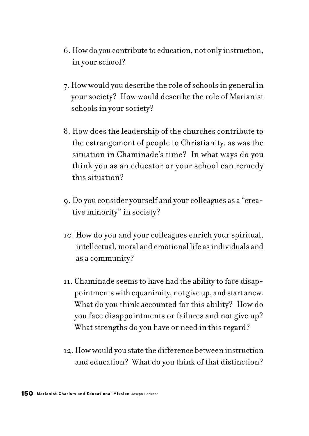- 6. How do you contribute to education, not only instruction, in your school?
- 7. How would you describe the role of schools in general in your society? How would describe the role of Marianist schools in your society?
- 8. How does the leadership of the churches contribute to the estrangement of people to Christianity, as was the situation in Chaminade's time? In what ways do you think you as an educator or your school can remedy this situation?
- 9. Do you consider yourself and your colleagues as a "creative minority" in society?
- 10. How do you and your colleagues enrich your spiritual, intellectual, moral and emotional life as individuals and as a community?
- 11. Chaminade seems to have had the ability to face disappointments with equanimity, not give up, and start anew. What do you think accounted for this ability? How do you face disappointments or failures and not give up? What strengths do you have or need in this regard?
- 12. How would you state the difference between instruction and education? What do you think of that distinction?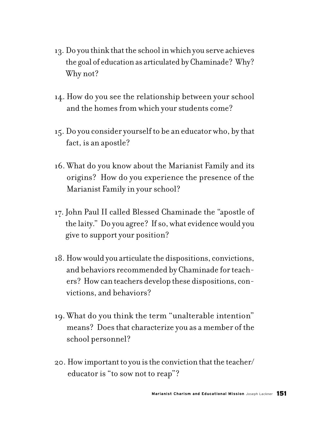- 13. Do you think that the school in which you serve achieves the goal of education as articulated by Chaminade? Why? Why not?
- 14. How do you see the relationship between your school and the homes from which your students come?
- 15. Do you consider yourself to be an educator who, by that fact, is an apostle?
- 16. What do you know about the Marianist Family and its origins? How do you experience the presence of the Marianist Family in your school?
- 17. John Paul II called Blessed Chaminade the "apostle of the laity." Do you agree? If so, what evidence would you give to support your position?
- 18. How would you articulate the dispositions, convictions, and behaviors recommended by Chaminade for teachers? How can teachers develop these dispositions, convictions, and behaviors?
- 19. What do you think the term "unalterable intention" means? Does that characterize you as a member of the school personnel?
- 20. How important to you is the conviction that the teacher/ educator is "to sow not to reap"?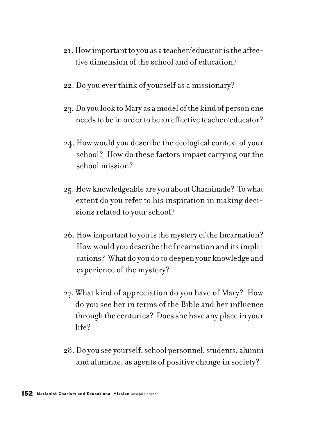- 21. How important to you as a teacher/educator is the affective dimension of the school and of education?
- 22. Do you ever think of yourself as a missionary?
- 23. Do you look to Mary as a model of the kind of person one needs to be in order to be an effective teacher/educator?
- 24. How would you describe the ecological context of your school? How do these factors impact carrying out the school mission?
- 25. How knowledgeable are you about Chaminade? To what extent do you refer to his inspiration in making decisions related to your school?
- 26. How important to you is the mystery of the Incarnation? How would you describe the Incarnation and its implications? What do you do to deepen your knowledge and experience of the mystery?
- 27. What kind of appreciation do you have of Mary? How do you see her in terms of the Bible and her influence through the centuries? Does she have any place in your life?
- 28. Do you see yourself, school personnel, students, alumni and alumnae, as agents of positive change in society?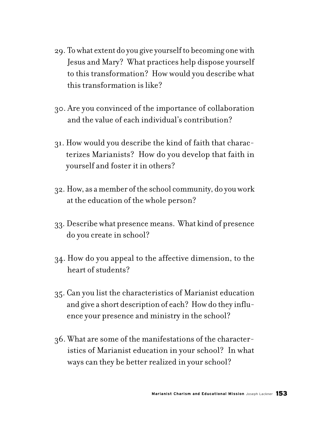- 29. To what extent do you give yourself to becoming one with Jesus and Mary? What practices help dispose yourself to this transformation? How would you describe what this transformation is like?
- 30. Are you convinced of the importance of collaboration and the value of each individual's contribution?
- 31. How would you describe the kind of faith that characterizes Marianists? How do you develop that faith in yourself and foster it in others?
- 32. How, as a member of the school community, do you work at the education of the whole person?
- 33. Describe what presence means. What kind of presence do you create in school?
- 34. How do you appeal to the affective dimension, to the heart of students?
- 35. Can you list the characteristics of Marianist education and give a short description of each? How do they influence your presence and ministry in the school?
- 36. What are some of the manifestations of the characteristics of Marianist education in your school? In what ways can they be better realized in your school?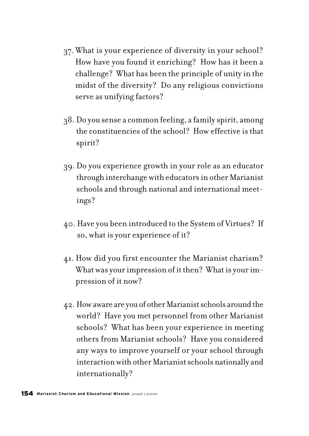- 37. What is your experience of diversity in your school? How have you found it enriching? How has it been a challenge? What has been the principle of unity in the midst of the diversity? Do any religious convictions serve as unifying factors?
- 38. Do you sense a common feeling, a family spirit, among the constituencies of the school? How effective is that spirit?
- 39. Do you experience growth in your role as an educator through interchange with educators in other Marianist schools and through national and international meetings?
- 40. Have you been introduced to the System of Virtues? If so, what is your experience of it?
- 41. How did you first encounter the Marianist charism? What was your impression of it then? What is your impression of it now?
- 42. How aware are you of other Marianist schools around the world? Have you met personnel from other Marianist schools? What has been your experience in meeting others from Marianist schools? Have you considered any ways to improve yourself or your school through interaction with other Marianist schools nationally and internationally?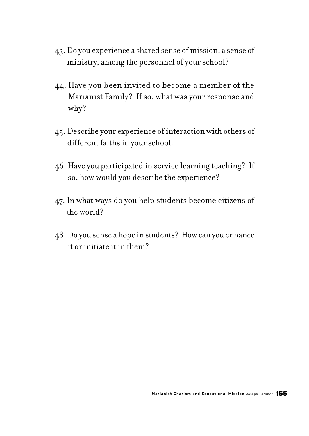- 43. Do you experience a shared sense of mission, a sense of ministry, among the personnel of your school?
- 44. Have you been invited to become a member of the Marianist Family? If so, what was your response and why?
- 45. Describe your experience of interaction with others of different faiths in your school.
- 46. Have you participated in service learning teaching? If so, how would you describe the experience?
- 47. In what ways do you help students become citizens of the world?
- 48. Do you sense a hope in students? How can you enhance it or initiate it in them?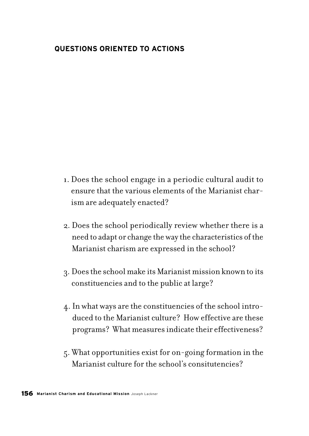### **QUESTIONS ORIENTED TO ACTIONS**

- 1. Does the school engage in a periodic cultural audit to ensure that the various elements of the Marianist charism are adequately enacted?
- 2. Does the school periodically review whether there is a need to adapt or change the way the characteristics of the Marianist charism are expressed in the school?
- 3. Does the school make its Marianist mission known to its constituencies and to the public at large?
- 4. In what ways are the constituencies of the school introduced to the Marianist culture? How effective are these programs? What measures indicate their effectiveness?
- 5. What opportunities exist for on-going formation in the Marianist culture for the school's consitutencies?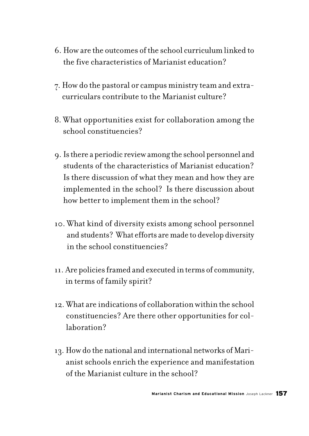- 6. How are the outcomes of the school curriculum linked to the five characteristics of Marianist education?
- 7. How do the pastoral or campus ministry team and extracurriculars contribute to the Marianist culture?
- 8. What opportunities exist for collaboration among the school constituencies?
- 9. Is there a periodic review among the school personnel and students of the characteristics of Marianist education? Is there discussion of what they mean and how they are implemented in the school? Is there discussion about how better to implement them in the school?
- 10. What kind of diversity exists among school personnel and students? What efforts are made to develop diversity in the school constituencies?
- 11. Are policies framed and executed in terms of community, in terms of family spirit?
- 12. What are indications of collaboration within the school constituencies? Are there other opportunities for collaboration?
- 13. How do the national and international networks of Marianist schools enrich the experience and manifestation of the Marianist culture in the school?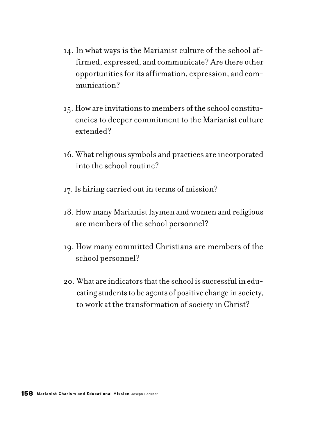- 14. In what ways is the Marianist culture of the school affirmed, expressed, and communicate? Are there other opportunities for its affirmation, expression, and communication?
- 15. How are invitations to members of the school constituencies to deeper commitment to the Marianist culture extended?
- 16. What religious symbols and practices are incorporated into the school routine?
- 17. Is hiring carried out in terms of mission?
- 18. How many Marianist laymen and women and religious are members of the school personnel?
- 19. How many committed Christians are members of the school personnel?
- 20. What are indicators that the school is successful in educating students to be agents of positive change in society, to work at the transformation of society in Christ?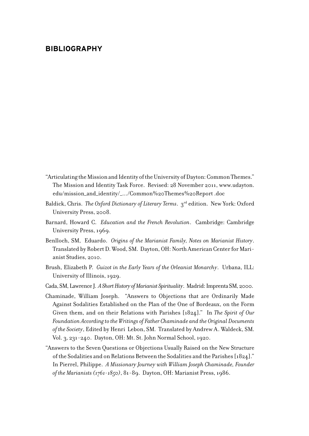#### **BIBLIOGRAPHY**

- "Articulating the Mission and Identity of the University of Dayton: Common Themes." The Mission and Identity Task Force. Revised: 28 November 2011, www.udayton. edu/mission\_and\_identity/\_.../Common%20Themes%20Report .doc
- Baldick, Chris. *The Oxford Dictionary of Literary Terms*. 3<sup>rd</sup> edition. New York: Oxford University Press, 2008.
- Barnard, Howard C. *Education and the French Revolution*. Cambridge: Cambridge University Press, 1969.
- Benlloch, SM, Eduardo. *Origins of the Marianist Family, Notes on Marianist History*. Translated by Robert D. Wood, SM. Dayton, OH: North American Center for Marianist Studies, 2010.
- Brush, Elizabeth P. *Guizot in the Early Years of the Orleanist Monarchy*. Urbana, ILL: University of Illinois, 1929.
- Cada, SM, Lawrence J. *A Short History of Marianist Spirituality*. Madrid: Imprenta SM, 2000.
- Chaminade, William Joseph. "Answers to Objections that are Ordinarily Made Against Sodalities Established on the Plan of the One of Bordeaux, on the Form Given them, and on their Relations with Parishes [1824]." In *The Spirit of Our Foundation According to the Writings of Father Chaminade and the Original Documents of the Society*, Edited by Henri Lebon, SM. Translated by Andrew A. Waldeck, SM. Vol. 3, 231-240. Dayton, OH: Mt. St. John Normal School, 1920.
- "Answers to the Seven Questions or Objections Usually Raised on the New Structure of the Sodalities and on Relations Between the Sodalities and the Parishes [1824]." In Pierrel, Philippe. *A Missionary Journey with William Joseph Chaminade, Founder of the Marianists (1761-1850)*, 81-89. Dayton, OH: Marianist Press, 1986.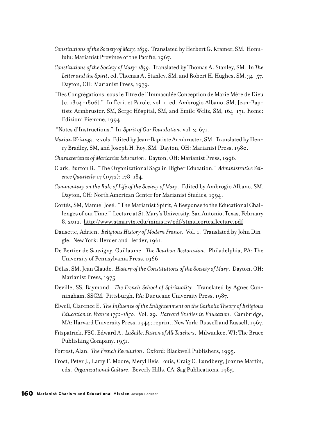- *Constitutions of the Society of Mary, 1839*. Translated by Herbert G. Kramer, SM. Honululu: Marianist Province of the Pacific, 1967.
- *Constitutions of the Society of Mary: 1839*. Translated by Thomas A. Stanley, SM. In *The Letter and the Spirit*, ed. Thomas A. Stanley, SM, and Robert H. Hughes, SM, 34-57. Dayton, OH: Marianist Press, 1979.
- "Des Congrégations, sous le Titre de l'Immaculée Conception de Marie Mère de Dieu [c. 1804-1806]." In Écrit et Parole, vol. 1, ed. Ambrogio Albano, SM, Jean-Baptiste Armbruster, SM, Serge Hôspital, SM, and Emile Weltz, SM, 164-171. Rome: Edizioni Piemme, 1994.
- "Notes d'Instructions." In *Spirit of Our Foundation*, vol. 2, 671.
- *Marian Writings*. 2 vols. Edited by Jean-Baptiste Armbruster, SM. Translated by Henry Bradley, SM, and Joseph H. Roy, SM. Dayton, OH: Marianist Press, 1980.
- *Characteristics of Marianist Education*. Dayton, OH: Marianist Press, 1996.
- Clark, Burton R. "The Organizational Saga in Higher Education." *Administrative Science Quarterly* 17 (1972): 178-184.
- *Commentary on the Rule of Life of the Society of Mary*. Edited by Ambrogio Albano, SM. Dayton, OH: North American Center for Marianist Studies, 1994.
- Cortés, SM, Manuel José. "The Marianist Spirit, A Response to the Educational Challenges of our Time." Lecture at St. Mary's University, San Antonio, Texas, February 8, 2012. http://www.stmarytx.edu/ministry/pdf/stmu\_cortes\_lecture.pdf
- Dansette, Adrien. *Religious History of Modern France*. Vol. 1. Translated by John Dingle. New York: Herder and Herder, 1961.
- De Bertier de Sauvigny, Guillaume. *The Bourbon Restoration*. Philadelphia, PA: The University of Pennsylvania Press, 1966.
- Délas, SM, Jean Claude. *History of the Constitutions of the Society of Mary*. Dayton, OH: Marianist Press, 1975.
- Deville, SS, Raymond. *The French School of Spirituality*. Translated by Agnes Cunningham, SSCM. Pittsburgh, PA: Duquesne University Press, 1987.
- Elwell, Clarence E. *The Influence of the Enlightenment on the Catholic Theory of Religious Education in France 1750-1850*. Vol. 29. *Harvard Studies in Education.* Cambridge, MA: Harvard University Press, 1944; reprint, New York: Russell and Russell, 1967.
- Fitzpatrick, FSC, Edward A. *LaSalle, Patron of All Teachers*. Milwaukee, WI: The Bruce Publishing Company, 1951.
- Forrest, Alan. *The French Revolution*. Oxford: Blackwell Publishers, 1995.
- Frost, Peter J., Larry F. Moore, Meryl Reis Louis, Craig C. Lundberg, Joanne Martin, eds. *Organizational Culture*. Beverly Hills, CA: Sag Publications, 1985.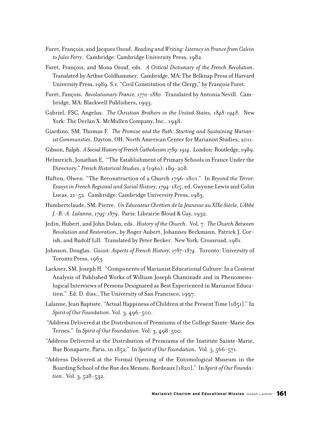- Furet, François, and Jacques Ozouf. *Reading and Writing: Literacy in France from Calvin to Jules Ferry*. Cambridge: Cambridge University Press, 1982.
- Furet, François, and Mona Ozouf, eds. *A Critical Dictionary of the French Revolution*. Translated by Arthur Goldhammer. Cambridge, MA: The Belknap Press of Harvard University Press, 1989. S.v. "Civil Constitution of the Clergy," by François Furet.
- Furet, Fançois. *Revolutionary France, 1770-1880*. Translated by Antonia Nevill. Cambridge, MA: Blackwell Publishers, 1993.
- Gabriel, FSC, Angelus. *The Christian Brothers in the United States, 1848-1948*. New York: The Declan X. McMullen Company, Inc., 1948.
- Giardino, SM, Thomas F. *The Promise and the Path: Starting and Sustaining Marianist Communities*. Dayton, OH: North American Center for Marianist Studies, 2011.
- Gibson, Ralph. *A Social History of French Catholicism 1789-1914*. London: Routledge, 1989.
- Helmreich, Jonathan E. "The Establishment of Primary Schools in France Under the Directory." *French Historical Studies*, 2 (1961): 189-208.
- Hufton, Olwen. "The Reconstruction of a Church 1796-1801." In *Beyond the Terror: Essays in French Regional and Social History, 1794-1815*, ed. Gwynne Lewis and Colin Lucas, 21-52. Cambridge: Cambridge University Press, 1983.
- Humbertclaude, SM, Pierre. *Un Educateur Chrétien de la Jeunesse au XIXe Siècle, L'Abbé J.-B.-A. Lalanne, 1795-1879*. Paris: Librairie Bloud & Gay, 1932.
- Jedin, Hubert, and John Dolan, eds. *History of the Church*. Vol. 7. *The Church Between Revolution and Restoration*, by Roger Aubert, Johannes Beckmann, Patrick J. Corish, and Rudolf Lill. Translated by Peter Becker. New York: Crossroad, 1981.
- Johnson, Douglas. *Guizot: Aspects of French History, 1787-1874*. Toronto: University of Toronto Press, 1963.
- Lackner, SM, Joseph H. "Components of Marianist Educational Culture: In a Content Analysis of Published Works of William Joseph Chaminade and in Phenomenological Interviews of Persons Designated as Best Experienced in Marianist Education." Ed. D. diss., The University of San Francisco, 1997.
- Lalanne, Jean Baptiste. "Actual Happiness of Children at the Present Time [1851]." In *Spirit of Our Foundation*. Vol. 3, 496-500.
- "Address Delivered at the Distribution of Premiums of the College Sainte-Marie des Ternes." In *Spirit of Our Foundation*. Vol. 3, 498-500.
- "Address Delivered at the Distribution of Premiums of the Institute Sainte-Marie, Rue Bonaparte, Paris, in 1852." In *Spirit of Our Foundation*. Vol. 3, 566-571.
- "Address Delivered at the Formal Opening of the Entomological Museum in the Boarding School of the Rue des Menuts, Bordeaux [1820]." In *Spirit of Our Foundation*. Vol. 3, 528-532.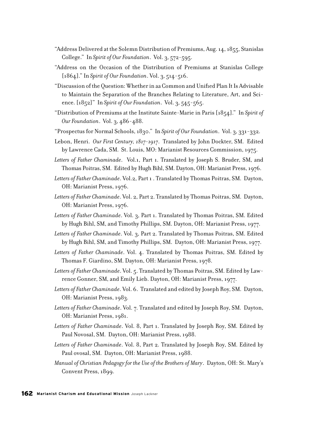- "Address Delivered at the Solemn Distribution of Premiums, Aug. 14, 1855, Stanislas College." In *Spirit of Our Foundation*. Vol. 3, 572-595.
- "Address on the Occasion of the Distribution of Premiums at Stanislas College [1864]." In *Spirit of Our Foundation*. Vol. 3, 514-516.
- "Discussion of the Question: Whether in aa Common and Unified Plan It Is Advisable to Maintain the Separation of the Branches Relating to Literature, Art, and Science. [1852]" In *Spirit of Our Foundation*. Vol. 3, 545-565.
- "Distribution of Premiums at the Institute Sainte-Marie in Paris [1854]." In *Spirit of Our Foundation*. Vol. 3, 486-488.
- "Prospectus for Normal Schools, 1830." In *Spirit of Our Foundation*. Vol. 3, 331-332.
- Lebon, Henri. *Our First Century, 1817-1917*. Translated by John Dockter, SM. Edited by Lawrence Cada, SM. St. Louis, MO: Marianist Resources Commission, 1975.
- *Letters of Father Chaminade*. Vol.1, Part 1. Translated by Joseph S. Bruder, SM, and Thomas Poitras, SM. Edited by Hugh Bihl, SM. Dayton, OH: Marianist Press, 1976.
- *Letters of Father Chaminade*. Vol.2, Part 1 . Translated by Thomas Poitras, SM. Dayton, OH: Marianist Press, 1976.
- *Letters of Father Chaminade*. Vol. 2, Part 2. Translated by Thomas Poitras, SM. Dayton, OH: Marianist Press, 1976.
- *Letters of Father Chaminade*. Vol. 3, Part 1. Translated by Thomas Poitras, SM. Edited by Hugh Bihl, SM, and Timothy Phillips, SM. Dayton, OH: Marianist Press, 1977.
- *Letters of Father Chaminade*. Vol. 3, Part 2. Translated by Thomas Poitras, SM. Edited by Hugh Bihl, SM, and Timothy Phillips, SM. Dayton, OH: Marianist Press, 1977.
- *Letters of Father Chaminade*. Vol. 4. Translated by Thomas Poitras, SM. Edited by Thomas F. Giardino, SM. Dayton, OH: Marianist Press, 1978.
- *Letters of Father Chaminade*. Vol. 5. Translated by Thomas Poitras, SM. Edited by Lawrence Gonner, SM, and Emily Lieb. Dayton, OH: Marianist Press, 1977.
- *Letters of Father Chaminade*. Vol. 6. Translated and edited by Joseph Roy, SM. Dayton, OH: Marianist Press, 1983.
- *Letters of Father Chaminade*. Vol. 7. Translated and edited by Joseph Roy, SM. Dayton, OH: Marianist Press, 1981.
- *Letters of Father Chaminade*. Vol. 8, Part 1. Translated by Joseph Roy, SM. Edited by Paul Novosal, SM. Dayton, OH: Marianist Press, 1988.
- *Letters of Father Chaminade*. Vol. 8, Part 2. Translated by Joseph Roy, SM. Edited by Paul ovosal, SM. Dayton, OH: Marianist Press, 1988.
- *Manual of Christian Pedagogy for the Use of the Brothers of Mary*. Dayton, OH: St. Mary's Convent Press, 1899.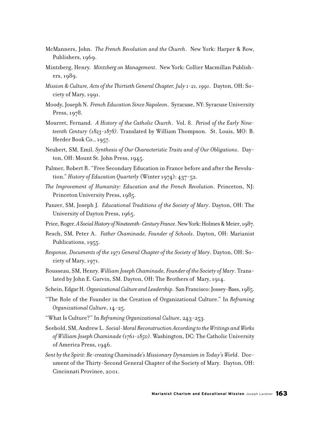- McManners, John. *The French Revolution and the Church*. New York: Harper & Row, Publishers, 1969.
- Mintzberg, Henry. *Mintzberg on Management*. New York: Collier Macmillan Publishers, 1989.
- *Mission & Culture, Acts of the Thirtieth General Chapter, July 1-21, 1991*. Dayton, OH: Society of Mary, 1991.
- Moody, Joseph N. *French Education Since Napoleon*. Syracuse, NY: Syracuse University Press, 1978.
- Mourret, Fernand. *A History of the Catholic Church*. Vol. 8. *Period of the Early Nineteenth Century (1823-1878)*. Translated by William Thompson. St. Louis, MO: B. Herder Book Co., 1957.
- Neubert, SM, Emil. *Synthesis of Our Characteristic Traits and of Our Obligations*. Dayton, OH: Mount St. John Press, 1945.
- Palmer, Robert R. "Free Secondary Education in France before and after the Revolution." *History of Education Quarterly* (Winter 1974): 437-52.
- *The Improvement of Humanity: Education and the French Revolution*. Princeton, NJ: Princeton University Press, 1985.
- Panzer, SM, Joseph J. *Educational Traditions of the Society of Mary*. Dayton, OH: The University of Dayton Press, 1965.
- Price, Roger. *A Social History of Nineteenth-Century France*. New York: Holmes & Meier, 1987.
- Resch, SM, Peter A. *Father Chaminade, Founder of Schools*. Dayton, OH: Marianist Publications, 1955.
- *Response, Documents of the 1971 General Chapter of the Society of Mary*. Dayton, OH: Society of Mary, 1971.
- Rousseau, SM, Henry. *William Joseph Chaminade, Founder of the Society of Mary*. Translated by John E. Garvin, SM. Dayton, OH: The Brothers of Mary, 1914.
- Schein, Edgar H. *Organizational Culture and Leadership*. San Francisco: Jossey-Bass, 1985.
- "The Role of the Founder in the Creation of Organizational Culture." In *Reframing Organizational Culture*, 14-25.
- "What Is Culture?" In *Reframing Organizational Culture*, 243-253.
- Seebold, SM, Andrew L. *Social-Moral Reconstruction According to the Writings and Works of William Joseph Chaminade (1761-1850)*. Washington, DC: The Catholic University of America Press, 1946.
- *Sent by the Spirit: Re-creating Chaminade's Missionary Dynamism in Today's World*. Document of the Thirty-Second General Chapter of the Society of Mary. Dayton, OH: Cincinnati Province, 2001.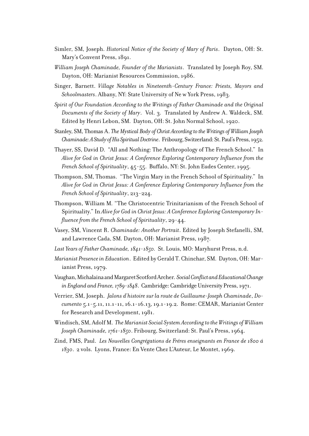- Simler, SM, Joseph. *Historical Notice of the Society of Mary of Paris*. Dayton, OH: St. Mary's Convent Press, 1891.
- *William Joseph Chaminade, Founder of the Marianists*. Translated by Joseph Roy, SM. Dayton, OH: Marianist Resources Commission, 1986.
- Singer, Barnett. *Village Notables in Nineteenth-Century France: Priests, Mayors and Schoolmasters*. Albany, NY: State University of Ne w York Press, 1983.
- *Spirit of Our Foundation According to the Writings of Father Chaminade and the Original Documents of the Society of Mary*. Vol. 3. Translated by Andrew A. Waldeck, SM. Edited by Henri Lebon, SM. Dayton, OH: St. John Normal School, 1920.
- Stanley, SM, Thomas A. *The Mystical Body of Christ According to the Writings of William Joseph Chaminade: A Study of His Spiritual Doctrine*. Fribourg, Switzerland: St. Paul's Press, 1952.
- Thayer, SS, David D. "All and Nothing: The Anthropology of The French School." In *Alive for God in Christ Jesus: A Conference Exploring Contemporary Influence from the French School of Spirituality*, 45-55. Buffalo, NY: St. John Eudes Center, 1995.
- Thompson, SM, Thomas. "The Virgin Mary in the French School of Spirituality." In *Alive for God in Christ Jesus: A Conference Exploring Contemporary Influence from the French School of Spirituality*, 213-224.
- Thompson, William M. "The Christocentric Trinitarianism of the French School of Spirituality." In *Alive for God in Christ Jesus: A Conference Exploring Contemporary Influence from the French School of Spirituality*, 29-44.
- Vasey, SM, Vincent R. *Chaminade: Another Portrait*. Edited by Joseph Stefanelli, SM, and Lawrence Cada, SM. Dayton, OH: Marianist Press, 1987.
- *Last Years of Father Chaminade, 1841-1850.* St. Louis, MO: Maryhurst Press, n.d.
- *Marianist Presence in Education*. Edited by Gerald T. Chinchar, SM. Dayton, OH: Marianist Press, 1979.
- Vaughan, Michalaina and Margaret Scotford Archer. *Social Conflict and Educational Change in England and France, 1789-1848*. Cambridge: Cambridge University Press, 1971.
- Verrier, SM, Joseph. *Jalons d'histoire sur la route de Guillaume-Joseph Chaminade*, *Documento* 5.1-5.11, 11.1-11, 16.1-16.13, 19.1-19.2. Rome: CEMAR, Marianist Center for Research and Development, 1981.
- Windisch, SM, Adolf M. *The Marianist Social System According to the Writings of William Joseph Chaminade, 1761-1850*. Fribourg, Switzerland: St. Paul's Press, 1964.
- Zind, FMS, Paul. *Les Nouvelles Congrégations de Fréres enseignants en France de 1800 á 1830*. 2 vols. Lyons, France: En Vente Chez L'Auteur, Le Montet, 1969.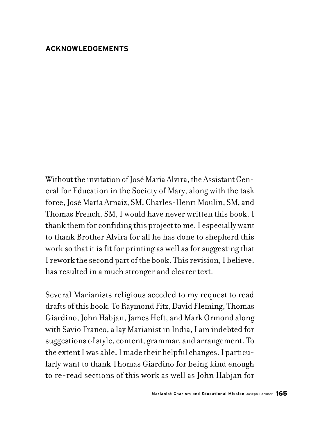#### **ACKNOWLEDGEMENTS**

Without the invitation of José María Alvira, the Assistant General for Education in the Society of Mary, along with the task force, José María Arnaiz, SM, Charles-Henri Moulin, SM, and Thomas French, SM, I would have never written this book. I thank them for confiding this project to me. I especially want to thank Brother Alvira for all he has done to shepherd this work so that it is fit for printing as well as for suggesting that I rework the second part of the book. This revision, I believe, has resulted in a much stronger and clearer text.

Several Marianists religious acceded to my request to read drafts of this book. To Raymond Fitz, David Fleming, Thomas Giardino, John Habjan, James Heft, and Mark Ormond along with Savio Franco, a lay Marianist in India, I am indebted for suggestions of style, content, grammar, and arrangement. To the extent I was able, I made their helpful changes. I particularly want to thank Thomas Giardino for being kind enough to re-read sections of this work as well as John Habjan for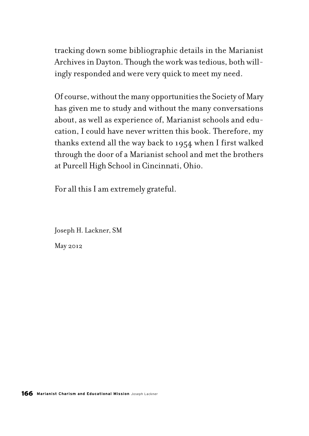tracking down some bibliographic details in the Marianist Archives in Dayton. Though the work was tedious, both willingly responded and were very quick to meet my need.

Of course, without the many opportunities the Society of Mary has given me to study and without the many conversations about, as well as experience of, Marianist schools and education, I could have never written this book. Therefore, my thanks extend all the way back to 1954 when I first walked through the door of a Marianist school and met the brothers at Purcell High School in Cincinnati, Ohio.

For all this I am extremely grateful.

Joseph H. Lackner, SM

May 2012